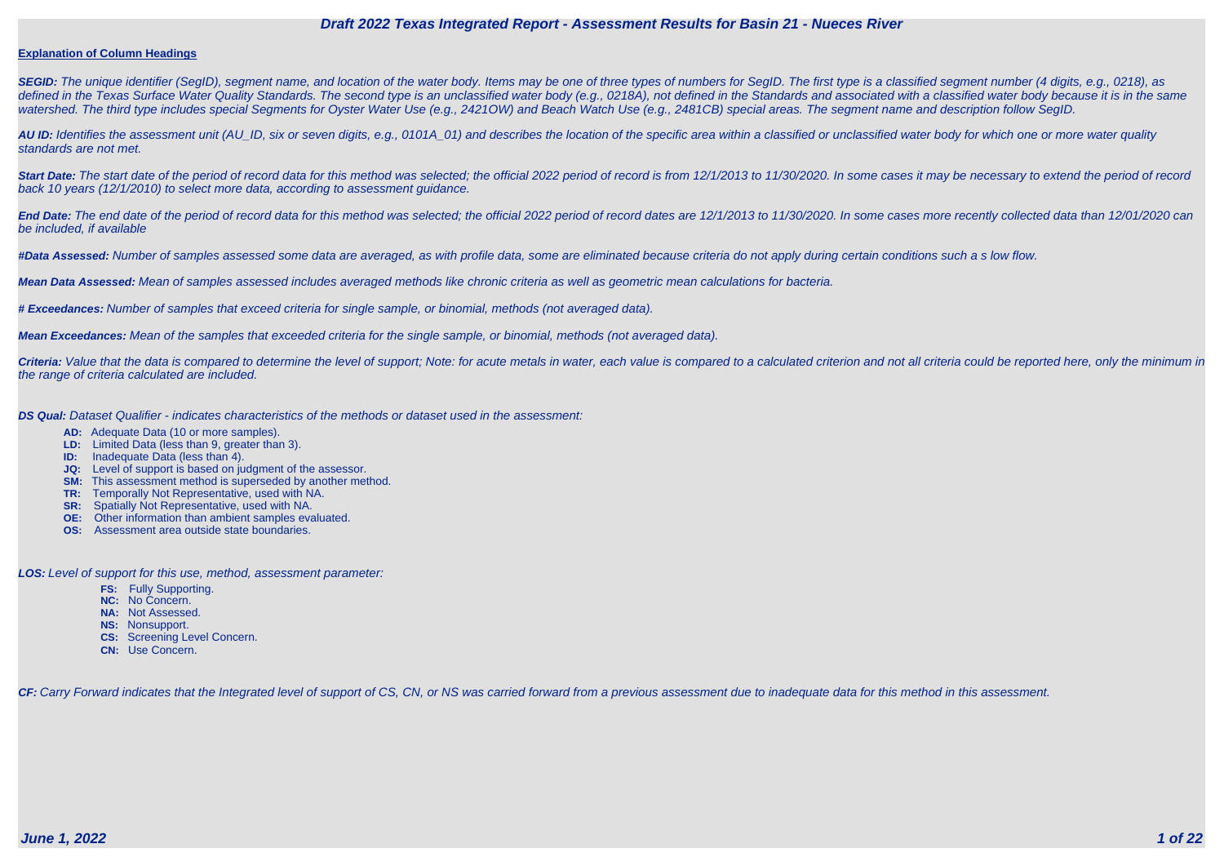#### **Explanation of Column Headings**

**SEGID:** The unique identifier (SegID), segment name, and location of the water body. Items may be one of three types of numbers for SegID. The first type is a classified segment number (4 digits, e.g., 0218), as defined in the Texas Surface Water Quality Standards. The second type is an unclassified water body (e.g., 0218A), not defined in the Standards and associated with a classified water body because it is in the same watershed. The third type includes special Segments for Oyster Water Use (e.g., 2421OW) and Beach Watch Use (e.g., 2481CB) special areas. The segment name and description follow SegID.

**AU ID:** Identifies the assessment unit (AU\_ID, six or seven digits, e.g., 0101A\_01) and describes the location of the specific area within a classified or unclassified water body for which one or more water quality standards are not met.

Start Date: The start date of the period of record data for this method was selected; the official 2022 period of record is from 12/1/2013 to 11/30/2020. In some cases it may be necessary to extend the period of record back 10 years (12/1/2010) to select more data, according to assessment guidance.

End Date: The end date of the period of record data for this method was selected; the official 2022 period of record dates are 12/1/2013 to 11/30/2020. In some cases more recently collected data than 12/01/2020 can be included, if available

Criteria: Value that the data is compared to determine the level of support; Note: for acute metals in water, each value is compared to a calculated criterion and not all criteria could be reported here, only the minimum i the range of criteria calculated are included.

**#Data Assessed:** Number of samples assessed some data are averaged, as with profile data, some are eliminated because criteria do not apply during certain conditions such a s low flow.

**Mean Data Assessed:** Mean of samples assessed includes averaged methods like chronic criteria as well as geometric mean calculations for bacteria.

**# Exceedances:** Number of samples that exceed criteria for single sample, or binomial, methods (not averaged data).

**Mean Exceedances:** Mean of the samples that exceeded criteria for the single sample, or binomial, methods (not averaged data).

**DS Qual:** Dataset Qualifier - indicates characteristics of the methods or dataset used in the assessment:

- **AD:** Adequate Data (10 or more samples).
- **LD:** Limited Data (less than 9, greater than 3).
- **ID:** Inadequate Data (less than 4).
- **JQ:** Level of support is based on judgment of the assessor.
- **SM:** This assessment method is superseded by another method.
- **TR:** Temporally Not Representative, used with NA.
- **SR:** Spatially Not Representative, used with NA.
- **OE:** Other information than ambient samples evaluated.
- **OS:** Assessment area outside state boundaries.

**LOS:** Level of support for this use, method, assessment parameter:

- **FS:** Fully Supporting.
- **NC:** No Concern.
- **NA:** Not Assessed.
- **NS:** Nonsupport.
- **CS:** Screening Level Concern.
- **CN:** Use Concern.

CF: Carry Forward indicates that the Integrated level of support of CS, CN, or NS was carried forward from a previous assessment due to inadequate data for this method in this assessment.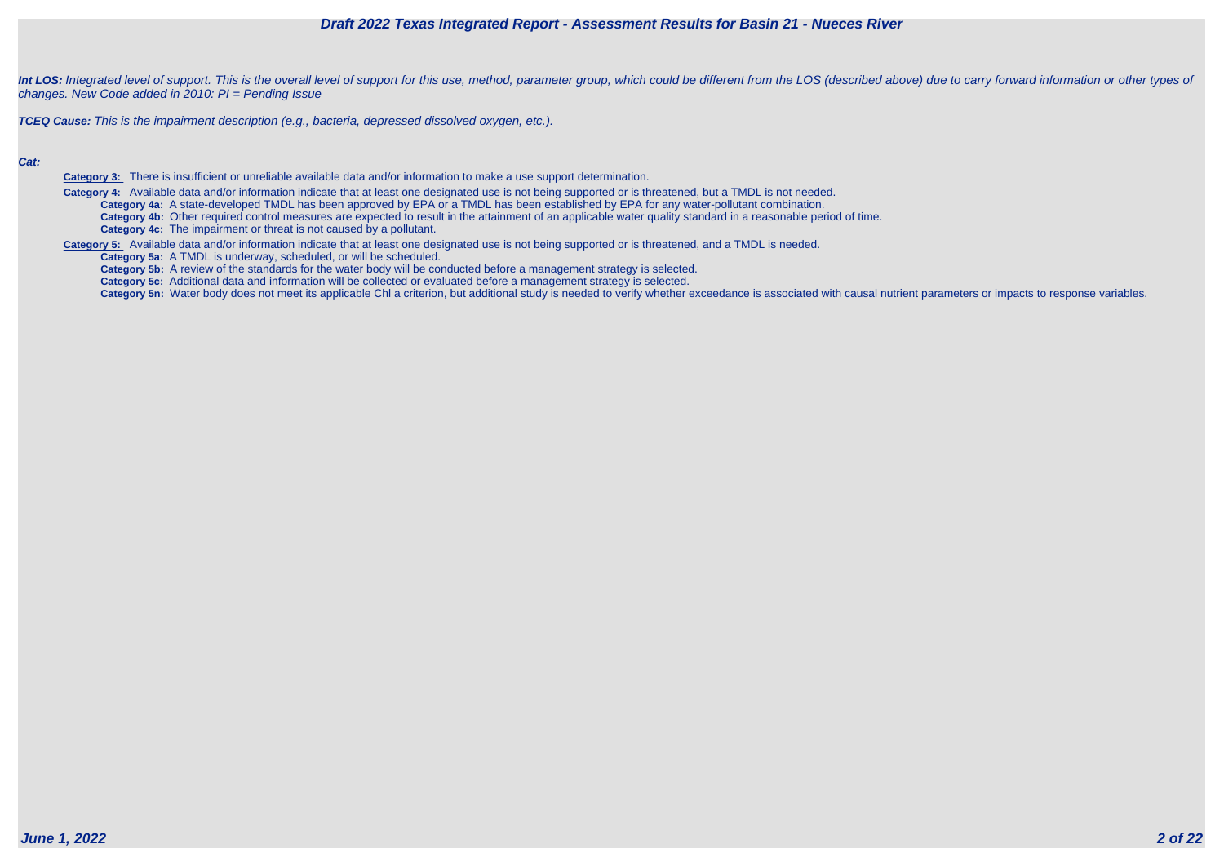

Int LOS: Integrated level of support. This is the overall level of support for this use, method, parameter group, which could be different from the LOS (described above) due to carry forward information or other types of changes. New Code added in 2010: PI = Pending Issue

**TCEQ Cause:** This is the impairment description (e.g., bacteria, depressed dissolved oxygen, etc.).

#### **Cat:**

**Category 3:** There is insufficient or unreliable available data and/or information to make a use support determination.

 **Category 4:** Available data and/or information indicate that at least one designated use is not being supported or is threatened, but a TMDL is not needed. **Category 4a:** A state-developed TMDL has been approved by EPA or a TMDL has been established by EPA for any water-pollutant combination. **Category 4b:** Other required control measures are expected to result in the attainment of an applicable water quality standard in a reasonable period of time. **Category 4c:** The impairment or threat is not caused by a pollutant.

**Category 5:** Available data and/or information indicate that at least one designated use is not being supported or is threatened, and a TMDL is needed.

**Category 5a:** A TMDL is underway, scheduled, or will be scheduled.

**Category 5b:** A review of the standards for the water body will be conducted before a management strategy is selected.

**Category 5c:** Additional data and information will be collected or evaluated before a management strategy is selected.

Category 5n: Water body does not meet its applicable Chl a criterion, but additional study is needed to verify whether exceedance is associated with causal nutrient parameters or impacts to response variables.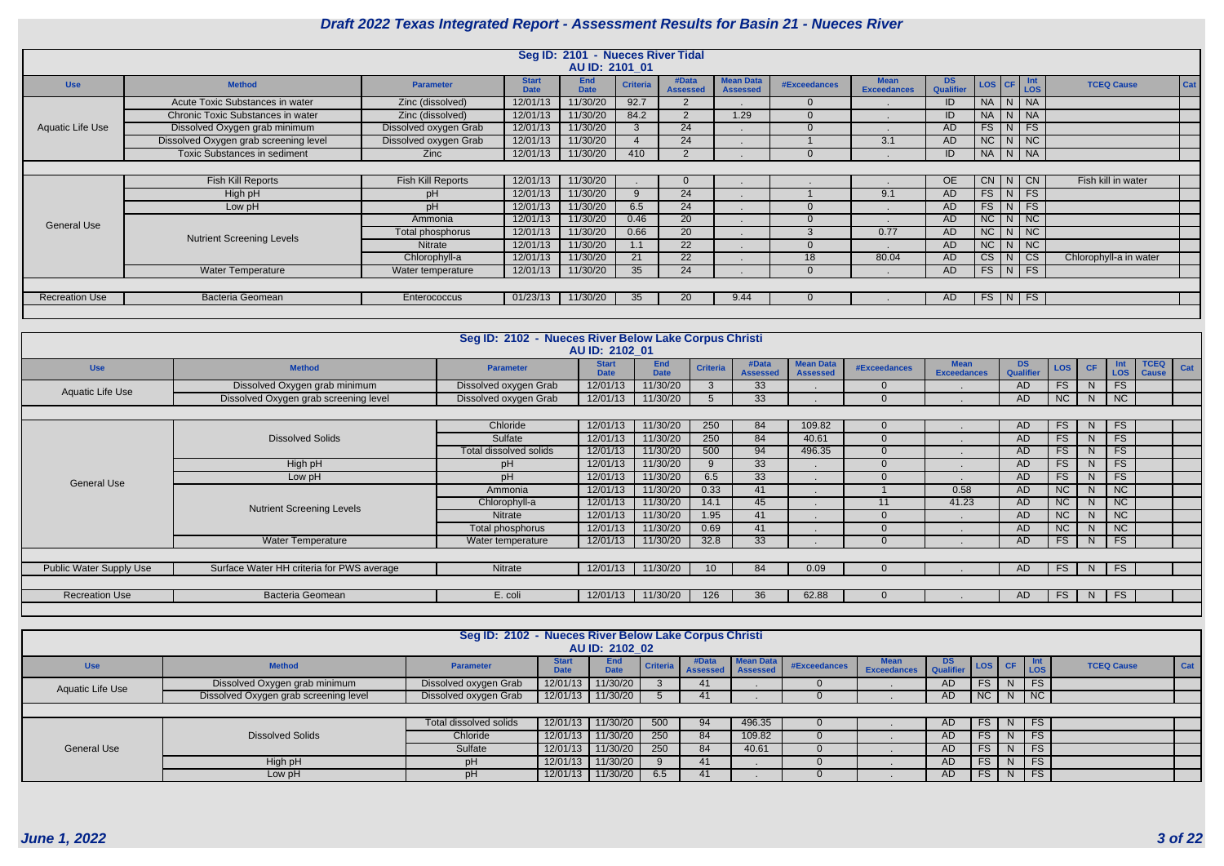|                       |                                       |                       |                             | Seg ID: 2101 - Nueces River Tidal |                 |                          |                                     |                     |                                   |                  |                              |                     |                            |                          |
|-----------------------|---------------------------------------|-----------------------|-----------------------------|-----------------------------------|-----------------|--------------------------|-------------------------------------|---------------------|-----------------------------------|------------------|------------------------------|---------------------|----------------------------|--------------------------|
|                       |                                       |                       |                             | AU ID: 2101 01                    |                 |                          |                                     |                     |                                   |                  |                              |                     |                            |                          |
| <b>Use</b>            | <b>Method</b>                         | <b>Parameter</b>      | <b>Start</b><br><b>Date</b> | <b>End</b><br><b>Date</b>         | <b>Criteria</b> | #Data<br><b>Assessed</b> | <b>Mean Data</b><br><b>Assessed</b> | <b>#Exceedances</b> | <b>Mean</b><br><b>Exceedances</b> | DS.<br>Qualifier | $\textsf{LOS}$ $\textsf{CF}$ |                     | $\vert$ Int<br>$\vert$ LOS | Cat<br><b>TCEQ Cause</b> |
|                       | Acute Toxic Substances in water       | Zinc (dissolved)      | 12/01/13                    | 11/30/20                          | 92.7            | 2                        |                                     |                     |                                   | ID.              | NA N NA                      |                     |                            |                          |
|                       | Chronic Toxic Substances in water     | Zinc (dissolved)      | 12/01/13                    | 11/30/20                          | 84.2            | 2                        | 1.29                                |                     |                                   | ID               | <b>NA</b>                    | <sub>N</sub>        | <b>NA</b>                  |                          |
| Aquatic Life Use      | Dissolved Oxygen grab minimum         | Dissolved oxygen Grab | 12/01/13                    | 11/30/20                          |                 | 24                       |                                     |                     |                                   | AD               | FS                           | N                   | FS                         |                          |
|                       | Dissolved Oxygen grab screening level | Dissolved oxygen Grab | 12/01/13                    | 11/30/20                          |                 | 24                       |                                     |                     | 3.1                               | AD.              | NC                           | N                   | NC                         |                          |
|                       | <b>Toxic Substances in sediment</b>   | <b>Zinc</b>           | 12/01/13                    | 11/30/20                          | 410             | 2                        |                                     |                     |                                   | ID               | NA N NA                      |                     |                            |                          |
|                       |                                       |                       |                             |                                   |                 |                          |                                     |                     |                                   |                  |                              |                     |                            |                          |
|                       | <b>Fish Kill Reports</b>              | Fish Kill Reports     | 12/01/13                    | 11/30/20                          |                 | $\Omega$                 |                                     |                     |                                   | <b>OE</b>        | CN                           | N                   | CN                         | Fish kill in water       |
|                       | High pH                               | pΗ                    | 12/01/13                    | 11/30/20                          | 9               | 24                       |                                     |                     | 9.1                               | AD.              | FS                           | $\lfloor N \rfloor$ | <b>FS</b>                  |                          |
|                       | Low pH                                | pH                    | 12/01/13                    | 11/30/20                          | 6.5             | 24                       |                                     |                     |                                   | AD.              | FS                           | N                   | FS                         |                          |
| <b>General Use</b>    |                                       | Ammonia               | 12/01/13                    | 11/30/20                          | 0.46            | 20                       |                                     |                     |                                   | AD               | NC                           | N                   | NC                         |                          |
|                       | <b>Nutrient Screening Levels</b>      | Total phosphorus      | 12/01/13                    | 11/30/20                          | 0.66            | 20                       |                                     |                     | 0.77                              | AD               | NC                           | 'N I                | NC                         |                          |
|                       |                                       | Nitrate               | 12/01/13                    | 11/30/20                          |                 | 22                       |                                     |                     |                                   | AD               | NC                           | N                   | NC                         |                          |
|                       |                                       | Chlorophyll-a         | 12/01/13                    | 11/30/20                          | 21              | 22                       |                                     | 18                  | 80.04                             | AD               | CS                           | N                   | CS                         | Chlorophyll-a in water   |
|                       | <b>Water Temperature</b>              | Water temperature     | 12/01/13                    | 11/30/20                          | 35              | 24                       |                                     |                     |                                   | AD.              | $FS$ $N$                     |                     | FS                         |                          |
|                       |                                       |                       |                             |                                   |                 |                          |                                     |                     |                                   |                  |                              |                     |                            |                          |
| <b>Recreation Use</b> | Bacteria Geomean                      | Enterococcus          | 01/23/13                    | 11/30/20                          | 35              | 20                       | 9.44                                |                     |                                   | AD               | FS N FS                      |                     |                            |                          |
|                       |                                       |                       |                             |                                   |                 |                          |                                     |                     |                                   |                  |                              |                     |                            |                          |

|                         |                                           | Seg ID: 2102 - Nueces River Below Lake Corpus Christi |                             |                           |                 |                          |                                     |                     |                                   |                        |            |              |                          |                             |     |
|-------------------------|-------------------------------------------|-------------------------------------------------------|-----------------------------|---------------------------|-----------------|--------------------------|-------------------------------------|---------------------|-----------------------------------|------------------------|------------|--------------|--------------------------|-----------------------------|-----|
|                         |                                           |                                                       | AU ID: 2102 01              |                           |                 |                          |                                     |                     |                                   |                        |            |              |                          |                             |     |
| <b>Use</b>              | <b>Method</b>                             | <b>Parameter</b>                                      | <b>Start</b><br><b>Date</b> | <b>End</b><br><b>Date</b> | <b>Criteria</b> | #Data<br><b>Assessed</b> | <b>Mean Data</b><br><b>Assessed</b> | <b>#Exceedances</b> | <b>Mean</b><br><b>Exceedances</b> | <b>DS</b><br>Qualifier | <b>LOS</b> | <b>CF</b>    | <b>Int</b><br><b>LOS</b> | <b>TCEQ</b><br><b>Cause</b> | Cat |
| Aquatic Life Use        | Dissolved Oxygen grab minimum             | Dissolved oxygen Grab                                 | 12/01/13                    | 11/30/20                  | -3              | 33 <sup>°</sup>          |                                     |                     |                                   | AD.                    | FS         | <sub>N</sub> | <b>FS</b>                |                             |     |
|                         | Dissolved Oxygen grab screening level     | Dissolved oxygen Grab                                 | 12/01/13                    | 11/30/20                  | $\overline{5}$  | 33                       |                                     |                     |                                   | AD                     | NC         | N            | NC                       |                             |     |
|                         |                                           |                                                       |                             |                           |                 |                          |                                     |                     |                                   |                        |            |              |                          |                             |     |
|                         |                                           | Chloride                                              | 12/01/13                    | 11/30/20                  | 250             | 84                       | 109.82                              |                     |                                   | AD                     | FS         | N            | FS                       |                             |     |
|                         | <b>Dissolved Solids</b>                   | Sulfate                                               | 12/01/13                    | 11/30/20                  | 250             | 84                       | 40.61                               |                     |                                   | <b>AD</b>              | FS         | <sup>N</sup> | FS                       |                             |     |
|                         |                                           | Total dissolved solids                                | 12/01/13                    | 11/30/20                  | 500             | 94                       | 496.35                              |                     |                                   | <b>AD</b>              | FS.        |              | <b>FS</b>                |                             |     |
|                         | High pH                                   | pH                                                    | 12/01/13                    | 11/30/20                  | 9               | 33                       |                                     |                     |                                   | <b>AD</b>              | FS.        | N.           | FS                       |                             |     |
| <b>General Use</b>      | Low pH                                    | pH                                                    | 12/01/13                    | 11/30/20                  | 6.5             | 33 <sup>°</sup>          |                                     |                     |                                   | <b>AD</b>              | FS         | N            | <b>FS</b>                |                             |     |
|                         |                                           | Ammonia                                               | 12/01/13                    | 11/30/20                  | 0.33            | 41                       |                                     |                     | 0.58                              | <b>AD</b>              | NC         |              | NC                       |                             |     |
|                         | <b>Nutrient Screening Levels</b>          | Chlorophyll-a                                         | 12/01/13                    | 11/30/20                  | 14.1            | 45                       |                                     | 11                  | 41.23                             | <b>AD</b>              | NC         | <sup>N</sup> | <b>NC</b>                |                             |     |
|                         |                                           | <b>Nitrate</b>                                        | 12/01/13                    | 11/30/20                  | 1.95            | 41                       |                                     |                     |                                   | <b>AD</b>              | NC         |              | NC                       |                             |     |
|                         |                                           | Total phosphorus                                      | 12/01/13                    | 11/30/20                  | 0.69            | 41                       |                                     |                     |                                   | <b>AD</b>              | NC         |              | NC                       |                             |     |
|                         | <b>Water Temperature</b>                  | Water temperature                                     | 12/01/13                    | 11/30/20                  | 32.8            | 33                       |                                     |                     |                                   | AD                     | FS         | N            | FS                       |                             |     |
|                         |                                           |                                                       |                             |                           |                 |                          |                                     |                     |                                   |                        |            |              |                          |                             |     |
| Public Water Supply Use | Surface Water HH criteria for PWS average | Nitrate                                               | 12/01/13                    | 11/30/20                  | 10              | 84                       | 0.09                                |                     |                                   | AD                     | <b>FS</b>  | N            | <b>FS</b>                |                             |     |
|                         |                                           |                                                       |                             |                           |                 |                          |                                     |                     |                                   |                        |            |              |                          |                             |     |
| <b>Recreation Use</b>   | Bacteria Geomean                          | E. coli                                               | 12/01/13                    | 11/30/20                  | 126             | 36                       | 62.88                               | 0                   |                                   | AD.                    | FS         | N            | <b>FS</b>                |                             |     |
|                         |                                           |                                                       |                             |                           |                 |                          |                                     |                     |                                   |                        |            |              |                          |                             |     |

|                    |                                                                                                                                                                                                                                                                                                             | Seg ID: 2102 - Nueces River Below Lake Corpus Christi |                             | AU ID: 2102 02            |          |                          |                                     |              |                    |                        |                              |                |                             |                   |     |
|--------------------|-------------------------------------------------------------------------------------------------------------------------------------------------------------------------------------------------------------------------------------------------------------------------------------------------------------|-------------------------------------------------------|-----------------------------|---------------------------|----------|--------------------------|-------------------------------------|--------------|--------------------|------------------------|------------------------------|----------------|-----------------------------|-------------------|-----|
| <b>Use</b>         | <b>Method</b>                                                                                                                                                                                                                                                                                               | <b>Parameter</b>                                      | <b>Start</b><br><b>Date</b> | <b>End</b><br><b>Date</b> | Criteria | #Data<br><b>Assessed</b> | <b>Mean Data</b><br><b>Assessed</b> | #Exceedances | <b>Exceedances</b> | <b>DS</b><br>Qualifier | $r$ LOS CF $\frac{Int}{LOS}$ |                |                             | <b>TCEQ Cause</b> | Cat |
|                    | $\overline{\phantom{a}}$ FS<br>11/30/20<br>Dissolved Oxygen grab minimum<br>12/01/13<br>FS  <br>Dissolved oxygen Grab<br>N<br>AD<br>41<br>Aquatic Life Use<br>$\overline{\phantom{a}}$ NC<br>Dissolved Oxygen grab screening level<br>11/30/20<br>N<br>Dissolved oxygen Grab<br>12/01/13<br>NC<br>41<br>AD. |                                                       |                             |                           |          |                          |                                     |              |                    |                        |                              |                |                             |                   |     |
|                    |                                                                                                                                                                                                                                                                                                             |                                                       |                             |                           |          |                          |                                     |              |                    |                        |                              |                |                             |                   |     |
|                    |                                                                                                                                                                                                                                                                                                             |                                                       |                             |                           |          |                          |                                     |              |                    |                        |                              |                |                             |                   |     |
|                    |                                                                                                                                                                                                                                                                                                             | Total dissolved solids                                | 12/01/13                    | 11/30/20                  | 500      | 94                       | 496.35                              |              |                    | AD.                    | FS I                         |                | $N$ FS                      |                   |     |
|                    | <b>Dissolved Solids</b>                                                                                                                                                                                                                                                                                     | Chloride                                              | 12/01/13                    | 1/30/20                   | 250      | 84                       | 109.82                              |              |                    | AD.                    | FS I                         | N <sub>1</sub> | I FS                        |                   |     |
| <b>General Use</b> |                                                                                                                                                                                                                                                                                                             | Sulfate                                               | 12/01/13                    | 11/30/20                  | 250      | 84                       | 40.61                               |              |                    | <b>AD</b>              | FS                           | <sub>N</sub>   | $\overline{\phantom{a}}$ FS |                   |     |
|                    | High pH                                                                                                                                                                                                                                                                                                     | рH                                                    | 12/01/13                    | 11/30/20                  |          | 41                       |                                     |              |                    | <b>AD</b>              | FS                           | N              | $\overline{\phantom{a}}$ FS |                   |     |
|                    | Low pH                                                                                                                                                                                                                                                                                                      | pH                                                    | 12/01/13                    | 1/30/20                   | 6.5      | 41                       |                                     |              |                    | AD.                    | FS                           |                | $N$ FS                      |                   |     |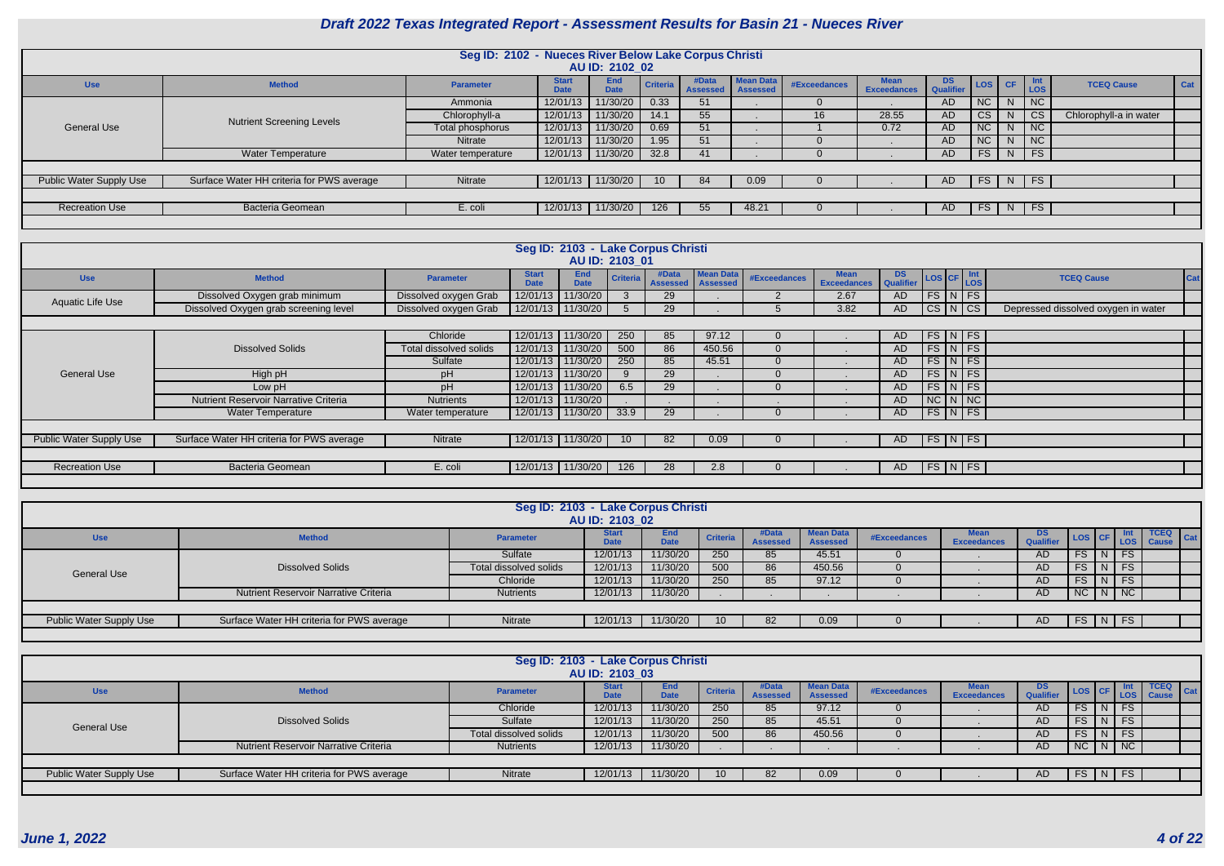|                         |                                           | Seg ID: 2102 - Nueces River Below Lake Corpus Christi |                             |                           |                 |                          |                                     |              |                                   |                  |                 |                |                             |                        |            |
|-------------------------|-------------------------------------------|-------------------------------------------------------|-----------------------------|---------------------------|-----------------|--------------------------|-------------------------------------|--------------|-----------------------------------|------------------|-----------------|----------------|-----------------------------|------------------------|------------|
|                         |                                           |                                                       |                             | AU ID: 2102 02            |                 |                          |                                     |              |                                   |                  |                 |                |                             |                        |            |
| <b>Use</b>              | <b>Method</b>                             | <b>Parameter</b>                                      | <b>Start</b><br><b>Date</b> | <b>End</b><br><b>Date</b> | Criteria        | #Data<br><b>Assessed</b> | <b>Mean Data</b><br><b>Assessed</b> | #Exceedances | <b>Mean</b><br><b>Exceedances</b> | DS.<br>Qualifier | LOS CF          |                | $ $ Int<br>Los              | <b>TCEQ Cause</b>      | <b>Cat</b> |
|                         |                                           | Ammonia                                               | 12/01/13                    | 1/30/20                   | 0.33            | 51                       |                                     |              |                                   | AD               | NC <sub>1</sub> | <sub>N</sub>   | $\overline{\phantom{a}}$ NC |                        |            |
|                         | <b>Nutrient Screening Levels</b>          | Chlorophyll-a                                         | 12/01/13                    | 11/30/20                  | 14.1            | 55                       |                                     | 16           | 28.55                             | AD               | CS .            | N              | $  \mathsf{CS}  $           | Chlorophyll-a in water |            |
| <b>General Use</b>      |                                           | Total phosphorus                                      | 12/01/13                    | 1/30/20                   | 0.69            | 51                       |                                     |              | 0.72                              | AD               | NC              | N <sub>1</sub> | $\overline{\phantom{a}}$ NC |                        |            |
|                         |                                           | <b>Nitrate</b>                                        | 12/01/13                    | 1/30/20                   | 1.95            | 51                       |                                     |              |                                   | AD               | NC <sub>1</sub> | N              | $\overline{\phantom{a}}$ NC |                        |            |
|                         | <b>Water Temperature</b>                  | Water temperature                                     | 12/01/13                    | 1/30/20                   | 32.8            | 41                       |                                     |              |                                   | AD.              | FS              |                | $N$ FS                      |                        |            |
|                         |                                           |                                                       |                             |                           |                 |                          |                                     |              |                                   |                  |                 |                |                             |                        |            |
| Public Water Supply Use | Surface Water HH criteria for PWS average | Nitrate                                               | 12/01/13                    | 11/30/20                  | 10 <sup>°</sup> | 84                       | 0.09                                | $\Omega$     |                                   | AD.              |                 |                | $FS$   N   FS               |                        |            |
|                         |                                           |                                                       |                             |                           |                 |                          |                                     |              |                                   |                  |                 |                |                             |                        |            |
| <b>Recreation Use</b>   | <b>Bacteria Geomean</b>                   | E. coli                                               | 12/01/13                    | 11/30/20                  | 126             | 55                       | 48.21                               |              |                                   | AD.              | FS              |                | N   FS                      |                        |            |
|                         |                                           |                                                       |                             |                           |                 |                          |                                     |              |                                   |                  |                 |                |                             |                        |            |

|                         |                                              |                        |                             | Seg ID: 2103 - Lake Corpus Christi<br>AU ID: 2103 01 |                 |                          |                                     |              |                                   |                         |                    |                                     |     |
|-------------------------|----------------------------------------------|------------------------|-----------------------------|------------------------------------------------------|-----------------|--------------------------|-------------------------------------|--------------|-----------------------------------|-------------------------|--------------------|-------------------------------------|-----|
| <b>Use</b>              | <b>Method</b>                                | <b>Parameter</b>       | <b>Start</b><br><b>Date</b> | <b>End</b><br><b>Date</b>                            | <b>Criteria</b> | #Data<br><b>Assessed</b> | <b>Mean Data</b><br><b>Assessed</b> | #Exceedances | <b>Mean</b><br><b>Exceedances</b> | DS Qualifier LOS CF LOS |                    | <b>TCEQ Cause</b>                   | Cat |
| Aquatic Life Use        | Dissolved Oxygen grab minimum                | Dissolved oxygen Grab  |                             | 12/01/13 11/30/20                                    | 3               | 29                       |                                     |              | 2.67                              | AD                      | $FS\ NFS$          |                                     |     |
|                         | Dissolved Oxygen grab screening level        | Dissolved oxygen Grab  |                             | 12/01/13 11/30/20                                    | 5               | 29                       |                                     |              | 3.82                              | AD                      | CS N CS            | Depressed dissolved oxygen in water |     |
|                         |                                              |                        |                             |                                                      |                 |                          |                                     |              |                                   |                         |                    |                                     |     |
|                         |                                              | Chloride               | 12/01/13 11/30/20           |                                                      | 250             | 85                       | 97.12                               |              |                                   | AD                      | $FS\ NFS$          |                                     |     |
|                         | <b>Dissolved Solids</b>                      | Total dissolved solids | 12/01/13                    | 11/30/20                                             | 500             | 86                       | 450.56                              |              |                                   | AD                      | $FS\mid N \mid FS$ |                                     |     |
|                         |                                              | Sulfate                | 12/01/13                    | 11/30/20                                             | 250             | 85                       | 45.51                               | 0            |                                   | AD.                     | $FS\mid N \mid FS$ |                                     |     |
| General Use             | High pH                                      | pH                     | 12/01/13                    | 11/30/20                                             | 9               | 29                       |                                     |              |                                   | <b>AD</b>               | $FS\mid N \mid FS$ |                                     |     |
|                         | Low pH                                       | рH                     | 12/01/13                    | 11/30/20                                             | 6.5             | 29                       |                                     |              |                                   | <b>AD</b>               | $FS\mid N \mid FS$ |                                     |     |
|                         | <b>Nutrient Reservoir Narrative Criteria</b> | <b>Nutrients</b>       |                             | 12/01/13   11/30/20                                  |                 |                          |                                     |              |                                   | AD.                     | $NC\ N\ N$         |                                     |     |
|                         | <b>Water Temperature</b>                     | Water temperature      |                             | 12/01/13 11/30/20                                    | 33.9            | 29                       |                                     |              |                                   | AD                      | FS N FS            |                                     |     |
|                         |                                              |                        |                             |                                                      |                 |                          |                                     |              |                                   |                         |                    |                                     |     |
| Public Water Supply Use | Surface Water HH criteria for PWS average    | Nitrate                | 12/01/13 11/30/20           |                                                      | 10 <sup>1</sup> | 82                       | 0.09                                |              |                                   | AD                      | FS N FS            |                                     |     |
|                         |                                              |                        |                             |                                                      |                 |                          |                                     |              |                                   |                         |                    |                                     |     |
| <b>Recreation Use</b>   | <b>Bacteria Geomean</b>                      | E. coli                | 12/01/13 11/30/20           |                                                      | 126             | 28                       | 2.8                                 |              |                                   | AD.                     | FS N FS            |                                     |     |
|                         |                                              |                        |                             |                                                      |                 |                          |                                     |              |                                   |                         |                    |                                     |     |

|                         |                                              | Seg ID: 2103 - Lake Corpus Christi | AU ID: 2103 02              |                    |                 |                          |                              |                     |                                   |                         |                                                                                                                                               |        |           |                      |                    |
|-------------------------|----------------------------------------------|------------------------------------|-----------------------------|--------------------|-----------------|--------------------------|------------------------------|---------------------|-----------------------------------|-------------------------|-----------------------------------------------------------------------------------------------------------------------------------------------|--------|-----------|----------------------|--------------------|
| <b>Use</b>              | <b>Method</b>                                | <b>Parameter</b>                   | <b>Start</b><br><b>Date</b> | End<br><b>Date</b> | <b>Criteria</b> | #Data<br><b>Assessed</b> | <b>Mean Data</b><br>Assessed | <b>#Exceedances</b> | <b>Mear</b><br><b>Exceedances</b> | DS.<br><b>Qualifier</b> | $\left  \begin{array}{c} \text{LOS} \\ \text{LOS} \end{array} \right $ $\left  \begin{array}{c} \text{LOS} \\ \text{LOS} \end{array} \right $ |        |           | <b>TCEQ</b><br>Cause | $\blacksquare$ Cat |
|                         |                                              | Sulfate                            | 12/01/13                    | 11/30/20           | 250             | 85                       | 45.51                        |                     |                                   | AD                      | FS                                                                                                                                            | N I    | <b>FS</b> |                      |                    |
| <b>General Use</b>      | <b>Dissolved Solids</b>                      | Total dissolved solids             | 12/01/13                    | 11/30/20           | 500             | 86                       | 450.56                       |                     |                                   | AD                      | FS                                                                                                                                            | N      | FS        |                      |                    |
|                         |                                              | Chloride                           | 12/01/13                    | 11/30/20           | 250             | 85                       | 97.12                        |                     |                                   | <b>AD</b>               | FS.                                                                                                                                           | $N$ FS |           |                      |                    |
|                         | <b>Nutrient Reservoir Narrative Criteria</b> | <b>Nutrients</b>                   | 12/01/13                    | 11/30/20           |                 |                          |                              |                     |                                   | AD.                     | $NC$ $N$ $NC$                                                                                                                                 |        |           |                      |                    |
|                         |                                              |                                    |                             |                    |                 |                          |                              |                     |                                   |                         |                                                                                                                                               |        |           |                      |                    |
| Public Water Supply Use | Surface Water HH criteria for PWS average    | Nitrate                            | 12/01/13                    | 11/30/20           |                 | 82                       | 0.09                         |                     |                                   | AD.                     | $FS$ $N$ $FS$                                                                                                                                 |        |           |                      |                    |
|                         |                                              |                                    |                             |                    |                 |                          |                              |                     |                                   |                         |                                                                                                                                               |        |           |                      |                    |

|                         |                                              | Seg ID: 2103 - Lake Corpus Christi | AU ID: 2103 03              |                    |                 |                          |                                     |              |                                   |                        |         |                             |                             |     |
|-------------------------|----------------------------------------------|------------------------------------|-----------------------------|--------------------|-----------------|--------------------------|-------------------------------------|--------------|-----------------------------------|------------------------|---------|-----------------------------|-----------------------------|-----|
| <b>Use</b>              | <b>Method</b>                                | <b>Parameter</b>                   | <b>Start</b><br><b>Date</b> | End<br><b>Date</b> | <b>Criteria</b> | #Data<br><b>Assessed</b> | <b>Mean Data</b><br><b>Assessed</b> | #Exceedances | <b>Mean</b><br><b>Exceedances</b> | DS<br><b>Qualifier</b> | LOS CF  | Los                         | <b>TCEQ</b><br><b>Cause</b> | Cat |
|                         |                                              | Chloride                           | 12/01/13                    | 11/30/20           | 250             | 85                       | 97.12                               |              |                                   | AD.                    | FS.     | <b>FS</b>                   |                             |     |
| <b>General Use</b>      | <b>Dissolved Solids</b>                      | Sulfate                            | 12/01/13                    | 11/30/20           | 250             | 85                       | 45.51                               |              |                                   | AD.                    | FS.     | <b>FS</b>                   |                             |     |
|                         |                                              | Total dissolved solids             | 12/01/13                    | 11/30/20           | 500             | 86                       | 450.56                              |              |                                   | AD.                    | FS.     | <b>FS</b>                   |                             |     |
|                         | <b>Nutrient Reservoir Narrative Criteria</b> | Nutrients                          | 12/01/13                    | 11/30/20           |                 |                          |                                     |              |                                   | AD.                    | NC<br>N | $\overline{\phantom{a}}$ NC |                             |     |
|                         |                                              |                                    |                             |                    |                 |                          |                                     |              |                                   |                        |         |                             |                             |     |
| Public Water Supply Use | Surface Water HH criteria for PWS average    | Nitrate                            | 12/01/13                    | 11/30/20           |                 |                          | 0.09                                |              |                                   | AD                     | FS I    | $N$ FS                      |                             |     |
|                         |                                              |                                    |                             |                    |                 |                          |                                     |              |                                   |                        |         |                             |                             |     |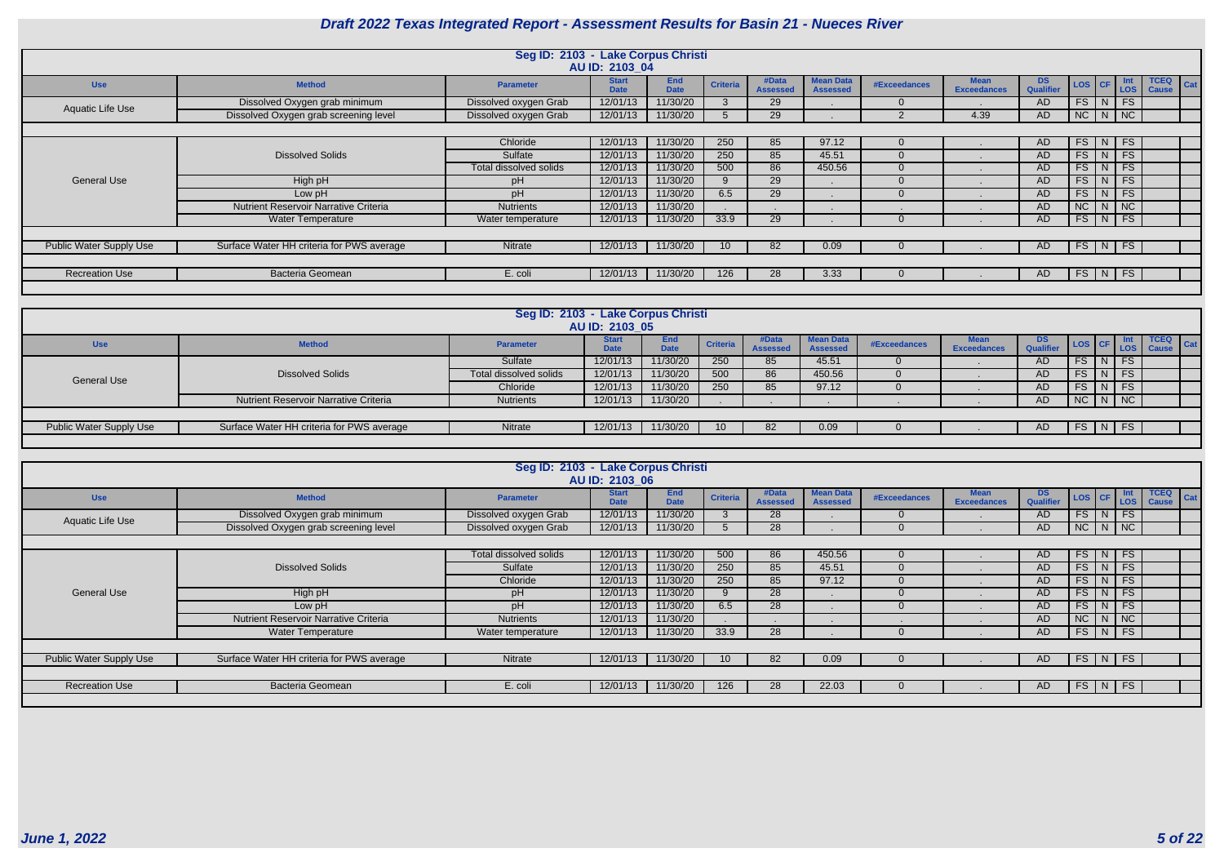|                                |                                              | Seg ID: 2103 - Lake Corpus Christi | AU ID: 2103 04              |                           |                 |                          |                                     |              |                                   |                        |                                                                                               |   |                             |                             |     |
|--------------------------------|----------------------------------------------|------------------------------------|-----------------------------|---------------------------|-----------------|--------------------------|-------------------------------------|--------------|-----------------------------------|------------------------|-----------------------------------------------------------------------------------------------|---|-----------------------------|-----------------------------|-----|
| <b>Use</b>                     | <b>Method</b>                                | <b>Parameter</b>                   | <b>Start</b><br><b>Date</b> | <b>End</b><br><b>Date</b> | <b>Criteria</b> | #Data<br><b>Assessed</b> | <b>Mean Data</b><br><b>Assessed</b> | #Exceedances | <b>Mean</b><br><b>Exceedances</b> | DS<br><b>Qualifier</b> | $\begin{array}{ c c c c c } \hline \text{LoS} & \text{CF} & \text{Int} \\ \hline \end{array}$ |   |                             | <b>TCEQ</b><br><b>Cause</b> | Cat |
| <b>Aquatic Life Use</b>        | Dissolved Oxygen grab minimum                | Dissolved oxygen Grab              | 12/01/13                    | 11/30/20                  |                 | 29                       |                                     |              |                                   | AD.                    | FS                                                                                            | N | FS                          |                             |     |
|                                | Dissolved Oxygen grab screening level        | Dissolved oxygen Grab              | 12/01/13                    | 11/30/20                  |                 | 29                       |                                     |              | 4.39                              | <b>AD</b>              | $NC$   $N$                                                                                    |   | $\overline{\phantom{a}}$ NC |                             |     |
|                                |                                              |                                    |                             |                           |                 |                          |                                     |              |                                   |                        |                                                                                               |   |                             |                             |     |
|                                |                                              | Chloride                           | 12/01/13                    | 1/30/20                   | 250             | 85                       | 97.12                               |              |                                   | AD                     | FS                                                                                            | N | FS                          |                             |     |
|                                | <b>Dissolved Solids</b>                      | Sulfate                            | 12/01/13                    | 1/30/20                   | 250             | 85                       | 45.51                               |              |                                   | <b>AD</b>              | FS                                                                                            |   | FS                          |                             |     |
|                                |                                              | Total dissolved solids             | 12/01/13                    | 1/30/20                   | 500             | 86                       | 450.56                              |              |                                   | <b>AD</b>              | FS                                                                                            | N | <b>FS</b>                   |                             |     |
| <b>General Use</b>             | High pH                                      | pH                                 | 12/01/13                    | 11/30/20                  | 9               | 29                       |                                     |              |                                   | <b>AD</b>              | FS                                                                                            | N | FS                          |                             |     |
|                                | Low pH                                       | pH                                 | 12/01/13                    | 11/30/20                  | 6.5             | 29                       |                                     |              |                                   | AD.                    | FS                                                                                            | N | FS                          |                             |     |
|                                | <b>Nutrient Reservoir Narrative Criteria</b> | <b>Nutrients</b>                   | 12/01/13                    | 11/30/20                  |                 |                          |                                     |              |                                   | AD                     | NC                                                                                            | N | $\overline{\phantom{a}}$ NC |                             |     |
|                                | <b>Water Temperature</b>                     | Water temperature                  | 12/01/13                    | 11/30/20                  | 33.9            | 29                       |                                     |              |                                   | <b>AD</b>              | $FS$ $N$                                                                                      |   | FS                          |                             |     |
|                                |                                              |                                    |                             |                           |                 |                          |                                     |              |                                   |                        |                                                                                               |   |                             |                             |     |
| <b>Public Water Supply Use</b> | Surface Water HH criteria for PWS average    | Nitrate                            | 12/01/13                    | 11/30/20                  |                 | 82                       | 0.09                                |              |                                   | AD                     | $FS$ N                                                                                        |   | <b>FS</b>                   |                             |     |
|                                |                                              |                                    |                             |                           |                 |                          |                                     |              |                                   |                        |                                                                                               |   |                             |                             |     |
| <b>Recreation Use</b>          | <b>Bacteria Geomean</b>                      | E. coli                            | 12/01/13                    | 11/30/20                  | 126             | 28                       | 3.33                                |              |                                   | AD.                    | FS N                                                                                          |   | <b>FS</b>                   |                             |     |
|                                |                                              |                                    |                             |                           |                 |                          |                                     |              |                                   |                        |                                                                                               |   |                             |                             |     |

|                         |                                           | Seg ID: 2103 - Lake Corpus Christi | AU ID: 2103 05              |                           |                 |                          |                                     |              |                                   |                        |               |           |                            |                             |
|-------------------------|-------------------------------------------|------------------------------------|-----------------------------|---------------------------|-----------------|--------------------------|-------------------------------------|--------------|-----------------------------------|------------------------|---------------|-----------|----------------------------|-----------------------------|
| <b>Use</b>              | <b>Method</b>                             | <b>Parameter</b>                   | <b>Start</b><br><b>Date</b> | <b>End</b><br><b>Date</b> | <b>Criteria</b> | #Data<br><b>Assessed</b> | <b>Mean Data</b><br><b>Assessed</b> | #Exceedances | <b>Mean</b><br><b>Exceedances</b> | DS<br><b>Qualifier</b> |               |           | TCEQ  <br>LOS CF LOS Cause | $\mathsf{T}_{\mathsf{Cat}}$ |
|                         |                                           | Sulfate                            | 12/01/13                    | 11/30/20                  | 250             | 85                       | 45.51                               |              |                                   | AD.                    | FS.           | FS.       |                            |                             |
| <b>General Use</b>      | <b>Dissolved Solids</b>                   | Total dissolved solids             | 12/01/13                    | 11/30/20                  | 500             | 86                       | 450.56                              |              |                                   | AD                     | FS            | <b>FS</b> |                            |                             |
|                         |                                           | Chloride                           | 12/01/13                    | 11/30/20                  | 250             | 85                       | 97.12                               |              |                                   | AD                     | FS \          | FS .<br>N |                            |                             |
|                         | Nutrient Reservoir Narrative Criteria     | <b>Nutrients</b>                   | 12/01/13                    | 11/30/20                  |                 |                          |                                     |              |                                   | AD                     | $NC$ $N$ $NC$ |           |                            |                             |
|                         |                                           |                                    |                             |                           |                 |                          |                                     |              |                                   |                        |               |           |                            |                             |
| Public Water Supply Use | Surface Water HH criteria for PWS average | Nitrate                            | 12/01/13                    | 11/30/20                  |                 | 82                       | 0.09                                |              |                                   | AD                     | $FS$ $N$ $FS$ |           |                            |                             |
|                         |                                           |                                    |                             |                           |                 |                          |                                     |              |                                   |                        |               |           |                            |                             |

|                                |                                              | Seg ID: 2103 - Lake Corpus Christi | AU ID: 2103 06              |                           |                 |                          |                                     |              |                                   |                               |           |                               |                                    |
|--------------------------------|----------------------------------------------|------------------------------------|-----------------------------|---------------------------|-----------------|--------------------------|-------------------------------------|--------------|-----------------------------------|-------------------------------|-----------|-------------------------------|------------------------------------|
| <b>Use</b>                     | <b>Method</b>                                | <b>Parameter</b>                   | <b>Start</b><br><b>Date</b> | <b>End</b><br><b>Date</b> | <b>Criteria</b> | #Data<br><b>Assessed</b> | <b>Mean Data</b><br><b>Assessed</b> | #Exceedances | <b>Mean</b><br><b>Exceedances</b> | <b>DS</b><br><b>Qualifier</b> | LOS CF    | <b>Int</b><br>$-1$ LOS $\Box$ | <b>TCEQ</b><br>Cat<br><b>Cause</b> |
| Aquatic Life Use               | Dissolved Oxygen grab minimum                | Dissolved oxygen Grab              | 12/01/13                    | 11/30/20                  |                 | 28                       |                                     |              |                                   | <b>AD</b>                     |           | $FS$ N FS                     |                                    |
|                                | Dissolved Oxygen grab screening level        | Dissolved oxygen Grab              | 12/01/13                    | 11/30/20                  |                 | 28                       |                                     |              |                                   | <b>AD</b>                     |           | $NC$ $N$ $NC$                 |                                    |
|                                |                                              |                                    |                             |                           |                 |                          |                                     |              |                                   |                               |           |                               |                                    |
|                                |                                              | Total dissolved solids             | 12/01/13                    | 11/30/20                  | 500             | 86                       | 450.56                              |              |                                   | <b>AD</b>                     |           | $FS$ N FS                     |                                    |
|                                | <b>Dissolved Solids</b>                      | Sulfate                            | 12/01/13                    | 11/30/20                  | 250             | 85                       | 45.51                               |              |                                   | AD                            |           | $FS$ $N$ $FS$                 |                                    |
|                                |                                              | Chloride                           | 12/01/13                    | 11/30/20                  | 250             | 85                       | 97.12                               |              |                                   | <b>AD</b>                     |           | $FS$ $N$ $FS$                 |                                    |
| General Use                    | High pH                                      | pH                                 | 12/01/13                    | 11/30/20                  |                 | 28                       |                                     |              |                                   | <b>AD</b>                     |           | FS N FS                       |                                    |
|                                | Low pH                                       | pH                                 | 12/01/13                    | 11/30/20                  | 6.5             | 28                       |                                     |              |                                   | <b>AD</b>                     |           | $FS$ $N$ $FS$                 |                                    |
|                                | <b>Nutrient Reservoir Narrative Criteria</b> | <b>Nutrients</b>                   | 12/01/13                    | 11/30/20                  |                 |                          |                                     |              |                                   | <b>AD</b>                     |           | $NC$ $N$ $NC$                 |                                    |
|                                | Water Temperature                            | Water temperature                  | 12/01/13                    | 11/30/20                  | 33.9            | 28                       |                                     |              |                                   | AD                            | <b>FS</b> | $\vert N \vert$ FS            |                                    |
|                                |                                              |                                    |                             |                           |                 |                          |                                     |              |                                   |                               |           |                               |                                    |
| <b>Public Water Supply Use</b> | Surface Water HH criteria for PWS average    | Nitrate                            | 12/01/13                    | 11/30/20                  | 10              | 82                       | 0.09                                |              |                                   | AD.                           |           | $FS$ $N$ $FS$                 |                                    |
|                                |                                              |                                    |                             |                           |                 |                          |                                     |              |                                   |                               |           |                               |                                    |
| <b>Recreation Use</b>          | Bacteria Geomean                             | E. coli                            | 12/01/13                    | 11/30/20                  | 126             | 28                       | 22.03                               |              |                                   | AD.                           |           | FS   N   FS                   |                                    |
|                                |                                              |                                    |                             |                           |                 |                          |                                     |              |                                   |                               |           |                               |                                    |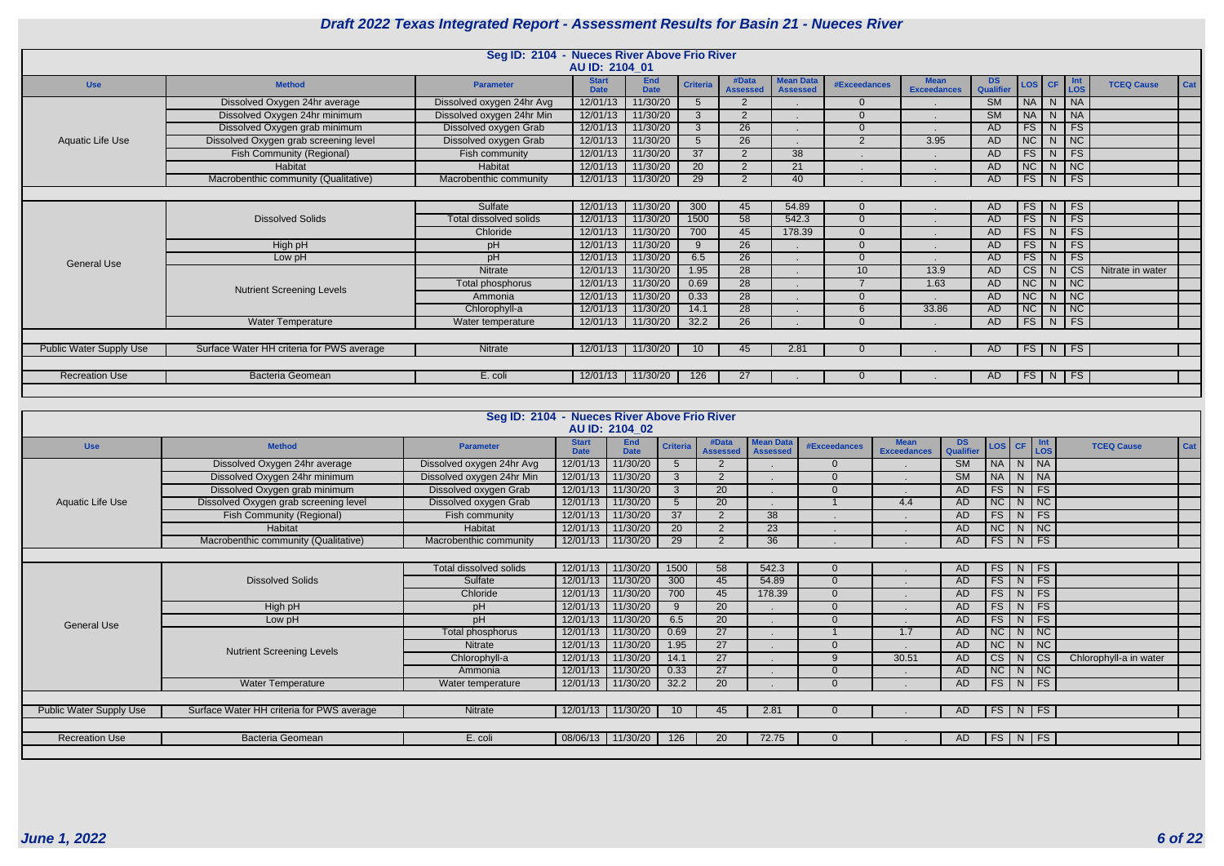|                         |                                           | Seg ID: 2104 - Nueces River Above Frio River |                             |                           |                 |                          |                                     |                     |                                   |                        |                              |                                          |                          |
|-------------------------|-------------------------------------------|----------------------------------------------|-----------------------------|---------------------------|-----------------|--------------------------|-------------------------------------|---------------------|-----------------------------------|------------------------|------------------------------|------------------------------------------|--------------------------|
|                         |                                           |                                              | AU ID: 2104 01              |                           |                 |                          |                                     |                     |                                   |                        |                              |                                          |                          |
| <b>Use</b>              | <b>Method</b>                             | <b>Parameter</b>                             | <b>Start</b><br><b>Date</b> | <b>End</b><br><b>Date</b> | <b>Criteria</b> | #Data<br><b>Assessed</b> | <b>Mean Data</b><br><b>Assessed</b> | <b>#Exceedances</b> | <b>Mean</b><br><b>Exceedances</b> | DS.<br>Qualifier       | $\textsf{LOS}$ $\textsf{CF}$ | Int<br>LOS                               | Cat<br><b>TCEQ Cause</b> |
|                         | Dissolved Oxygen 24hr average             | Dissolved oxygen 24hr Avg                    | 12/01/13                    | 11/30/20                  |                 | 2                        |                                     | $\Omega$            |                                   | $\overline{\text{SM}}$ | $\mid N \mid$<br><b>NA</b>   | NA                                       |                          |
|                         | Dissolved Oxygen 24hr minimum             | Dissolved oxygen 24hr Min                    | 12/01/13                    | 11/30/20                  | $\mathcal{S}$   | 2                        |                                     | $\Omega$            |                                   | $\overline{\text{SM}}$ | <b>NA</b>                    | N<br>NA                                  |                          |
|                         | Dissolved Oxygen grab minimum             | Dissolved oxygen Grab                        | 12/01/13                    | 11/30/20                  | $\mathbf{R}$    | $\overline{26}$          |                                     | $\Omega$            |                                   | <b>AD</b>              | FS                           | FS<br>N <sub>1</sub>                     |                          |
| Aquatic Life Use        | Dissolved Oxygen grab screening level     | Dissolved oxygen Grab                        | 12/01/13                    | 11/30/20                  | $5^{\circ}$     | 26                       |                                     | $\overline{2}$      | 3.95                              | <b>AD</b>              | NC                           | NC<br>N                                  |                          |
|                         | <b>Fish Community (Regional)</b>          | Fish community                               | 12/01/13                    | 11/30/20                  | 37              | 0                        | 38                                  |                     |                                   | <b>AD</b>              | FS.<br>N <sub>1</sub>        | FS                                       |                          |
|                         | Habitat                                   | Habitat                                      | 12/01/13                    | 11/30/20                  | <b>20</b>       | $\Omega$                 | 21                                  |                     |                                   | <b>AD</b>              | $\overline{\text{NC}}$       | NC<br>N                                  |                          |
|                         | Macrobenthic community (Qualitative)      | Macrobenthic community                       | 12/01/13                    | 11/30/20                  | 29              | 0                        | 40                                  |                     |                                   | <b>AD</b>              | FS                           | FS<br>N                                  |                          |
|                         |                                           |                                              |                             |                           |                 |                          |                                     |                     |                                   |                        |                              |                                          |                          |
|                         |                                           | Sulfate                                      | 12/01/13                    | 11/30/20                  | 300             | 45                       | 54.89                               | $\Omega$            |                                   | <b>AD</b>              | FS                           | <b>FS</b><br>N                           |                          |
|                         | <b>Dissolved Solids</b>                   | Total dissolved solids                       | 12/01/13                    | 11/30/20                  | 1500            | 58                       | 542.3                               | $\Omega$            |                                   | <b>AD</b>              | $FS$ $N$                     | FS                                       |                          |
|                         |                                           | Chloride                                     | 12/01/13                    | 11/30/20                  | 700             | 45                       | 178.39                              | $\Omega$            |                                   | AD                     | FS                           | FS<br>N                                  |                          |
|                         | High pH                                   | pH                                           | 12/01/13                    | 11/30/20                  | 9               | $\overline{26}$          | $\sim$                              | $\Omega$            |                                   | <b>AD</b>              | FS                           | FS<br>N                                  |                          |
| <b>General Use</b>      | Low pH                                    | pH                                           | 12/01/13                    | 11/30/20                  | 6.5             | 26                       |                                     | $\Omega$            |                                   | <b>AD</b>              | <b>FS</b>                    | FS<br>N <sub>1</sub>                     |                          |
|                         |                                           | Nitrate                                      | 12/01/13                    | 11/30/20                  | 1.95            | $\overline{28}$          |                                     | 10                  | 13.9                              | <b>AD</b>              | $\overline{\text{CS}}$       | $\overline{\text{cs}}$<br>N <sub>1</sub> | Nitrate in water         |
|                         | <b>Nutrient Screening Levels</b>          | Total phosphorus                             | 12/01/13                    | 11/30/20                  | 0.69            | 28                       | $\mathbf{r}$                        |                     | 1.63                              | <b>AD</b>              | NC                           | $N$ NC                                   |                          |
|                         |                                           | Ammonia                                      | 12/01/13                    | 11/30/20                  | 0.33            | $\overline{28}$          |                                     | $\Omega$            |                                   | <b>AD</b>              | $\overline{\text{NC}}$       | NC<br>N                                  |                          |
|                         |                                           | Chlorophyll-a                                | 12/01/13                    | 11/30/20                  | 14.1            | 28                       |                                     | 6                   | 33.86                             | <b>AD</b>              | NC                           | NC<br>N                                  |                          |
|                         | <b>Water Temperature</b>                  | Water temperature                            | 12/01/13                    | 11/30/20                  | 32.2            | 26                       |                                     | $\Omega$            |                                   | AD                     | FS                           | FS<br>N                                  |                          |
|                         |                                           |                                              |                             |                           |                 |                          |                                     |                     |                                   |                        |                              |                                          |                          |
| Public Water Supply Use | Surface Water HH criteria for PWS average | Nitrate                                      | 12/01/13                    | 11/30/20                  | 10              | 45                       | 2.81                                |                     |                                   | AD                     | $FS$   N                     | FS                                       |                          |
|                         |                                           |                                              |                             |                           |                 |                          |                                     |                     |                                   |                        |                              |                                          |                          |
| <b>Recreation Use</b>   | <b>Bacteria Geomean</b>                   | E. coli                                      | 12/01/13                    | 11/30/20                  | 126             | 27                       |                                     |                     |                                   | AD.                    | $FS \mid N$                  | FS                                       |                          |
|                         |                                           |                                              |                             |                           |                 |                          |                                     |                     |                                   |                        |                              |                                          |                          |

|                                |                                           | Seg ID: 2104 - Nueces River Above Frio River |                             | AU ID: 2104 02     |                 |                          |                                     |                     |                                   |                        |                              |             |                        |     |
|--------------------------------|-------------------------------------------|----------------------------------------------|-----------------------------|--------------------|-----------------|--------------------------|-------------------------------------|---------------------|-----------------------------------|------------------------|------------------------------|-------------|------------------------|-----|
| <b>Use</b>                     | <b>Method</b>                             | <b>Parameter</b>                             | <b>Start</b><br><b>Date</b> | End<br><b>Date</b> | <b>Criteria</b> | #Data<br><b>Assessed</b> | <b>Mean Data</b><br><b>Assessed</b> | <b>#Exceedances</b> | <b>Mean</b><br><b>Exceedances</b> | DS<br>Qualifier        | $\textsf{LoS}$ $\textsf{CF}$ | $\vert$ Int | <b>TCEQ Cause</b>      | Cat |
|                                | Dissolved Oxygen 24hr average             | Dissolved oxygen 24hr Avg                    | 12/01/13                    | 11/30/20           | 5               | $\overline{2}$           |                                     | $\Omega$            |                                   | $\overline{\text{SM}}$ | <b>NA</b>                    | N NA        |                        |     |
|                                | Dissolved Oxygen 24hr minimum             | Dissolved oxygen 24hr Min                    | 12/01/13                    | 11/30/20           | $\mathbf{3}$    | 2                        |                                     | $\Omega$            |                                   | $\overline{\text{SM}}$ | <b>NA</b>                    | $N$   NA    |                        |     |
|                                | Dissolved Oxygen grab minimum             | Dissolved oxygen Grab                        | 12/01/13                    | 11/30/20           | 3               | 20                       |                                     | $\Omega$            |                                   | AD                     | FS                           | $N$ FS      |                        |     |
| Aquatic Life Use               | Dissolved Oxygen grab screening level     | Dissolved oxygen Grab                        | 12/01/13                    | 11/30/20           | 5               | 20                       |                                     |                     | 4.4                               | AD                     | <b>NC</b>                    | $N$ $NC$    |                        |     |
|                                | Fish Community (Regional)                 | Fish community                               | 12/01/13                    | 11/30/20           | $\overline{37}$ | 2                        | $\overline{38}$                     |                     |                                   | AD                     | FS                           | $N$ FS      |                        |     |
|                                | Habitat                                   | Habitat                                      | 12/01/13                    | 11/30/20           | $\overline{20}$ | $\overline{2}$           | 23                                  |                     |                                   | AD                     | NC                           | $N$   NC    |                        |     |
|                                | Macrobenthic community (Qualitative)      | Macrobenthic community                       | 12/01/13                    | 11/30/20           | 29              | $\overline{2}$           | $\overline{36}$                     |                     |                                   | AD                     | FS                           | $N$ FS      |                        |     |
|                                |                                           |                                              |                             |                    |                 |                          |                                     |                     |                                   |                        |                              |             |                        |     |
|                                |                                           | Total dissolved solids                       | 12/01/13                    | 11/30/20           | 1500            | 58                       | 542.3                               | $\Omega$            |                                   | AD                     | FS                           | $N$ FS      |                        |     |
|                                | <b>Dissolved Solids</b>                   | Sulfate                                      | 12/01/13                    | 11/30/20           | 300             | 45                       | 54.89                               | $\overline{0}$      |                                   | AD                     | FS                           | $N$ FS      |                        |     |
|                                |                                           | Chloride                                     | 12/01/13                    | 11/30/20           | 700             | 45                       | 178.39                              | $\Omega$            |                                   | AD                     | FS                           | $N$ FS      |                        |     |
|                                | High pH                                   | pH                                           | 12/01/13                    | 11/30/20           | 9               | 20                       |                                     | $\Omega$            |                                   | AD                     | FS                           | $N$ FS      |                        |     |
| <b>General Use</b>             | Low pH                                    | pH                                           | 12/01/13                    | 11/30/20           | 6.5             | $\overline{20}$          |                                     | $\Omega$            |                                   | AD                     | FS                           | $N$ FS      |                        |     |
|                                |                                           | Total phosphorus                             | 12/01/13                    | 11/30/20           | 0.69            | $\overline{27}$          |                                     |                     | 1.7                               | AD                     | NC                           | $N$ NC      |                        |     |
|                                | <b>Nutrient Screening Levels</b>          | <b>Nitrate</b>                               | 12/01/13                    | 11/30/20           | 1.95            | 27                       |                                     | $\Omega$            |                                   | AD                     | <b>NC</b>                    | $N$   NC    |                        |     |
|                                |                                           | Chlorophyll-a                                | 12/01/13                    | 11/30/20           | 14.1            | $\overline{27}$          |                                     | 9                   | 30.51                             | AD                     | CS                           | $N$ $CS$    | Chlorophyll-a in water |     |
|                                |                                           | Ammonia                                      | 12/01/13                    | 11/30/20           | 0.33            | $\overline{27}$          |                                     | $\Omega$            |                                   | AD                     | NC                           | $N$ NC      |                        |     |
|                                | Water Temperature                         | Water temperature                            | 12/01/13                    | 11/30/20           | 32.2            | 20                       |                                     | $\Omega$            |                                   | AD                     | FS                           | $N$ FS      |                        |     |
|                                |                                           |                                              |                             |                    |                 |                          |                                     |                     |                                   |                        |                              |             |                        |     |
| <b>Public Water Supply Use</b> | Surface Water HH criteria for PWS average | Nitrate                                      |                             | 12/01/13 11/30/20  | 10              | 45                       | 2.81                                | $\Omega$            |                                   | AD                     | $FS$ N FS                    |             |                        |     |
|                                |                                           |                                              |                             |                    |                 |                          |                                     |                     |                                   |                        |                              |             |                        |     |
| <b>Recreation Use</b>          | <b>Bacteria Geomean</b>                   | E. coli                                      |                             | 08/06/13 11/30/20  | 126             | 20                       | 72.75                               | $\Omega$            |                                   | AD                     | FS                           | $N$ FS      |                        |     |
|                                |                                           |                                              |                             |                    |                 |                          |                                     |                     |                                   |                        |                              |             |                        |     |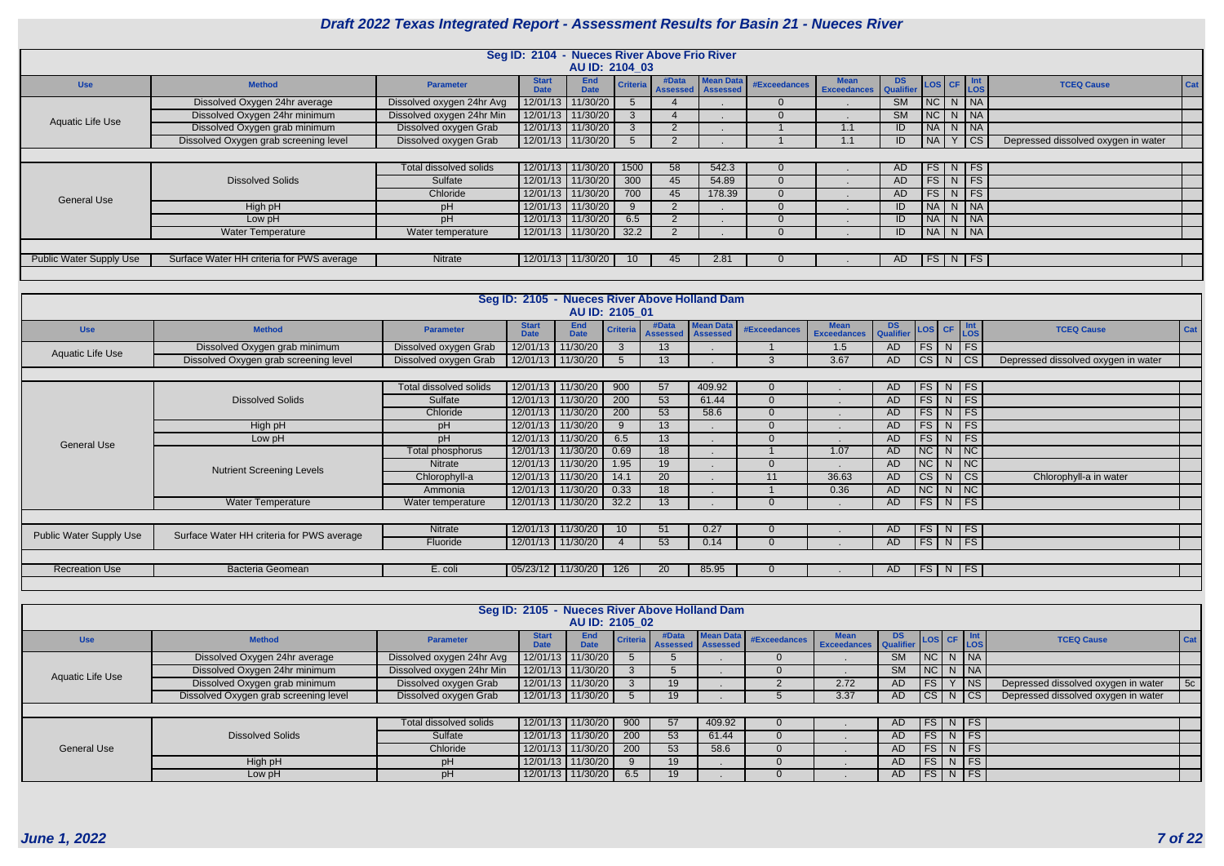|                                |                                           |                           | Seg ID: 2104 - Nueces River Above Frio River |                           |                 |                                   |                  |              |                                   |                 |           |   |                                                                                                                                     |                                     |     |
|--------------------------------|-------------------------------------------|---------------------------|----------------------------------------------|---------------------------|-----------------|-----------------------------------|------------------|--------------|-----------------------------------|-----------------|-----------|---|-------------------------------------------------------------------------------------------------------------------------------------|-------------------------------------|-----|
|                                |                                           |                           |                                              | AU ID: 2104 03            |                 |                                   |                  |              |                                   |                 |           |   |                                                                                                                                     |                                     |     |
| <b>Use</b>                     | <b>Method</b>                             | <b>Parameter</b>          | <b>Start</b><br><b>Date</b>                  | <b>End</b><br><b>Date</b> | <b>Criteria</b> | #Data<br><b>Assessed</b> Assessed | <b>Mean Data</b> | #Exceedances | <b>Mean</b><br><b>Exceedances</b> | DS<br>Qualifier |           |   | $\begin{array}{ c c c c c }\n\hline\n\hline\n\text{LoS} & \text{CF} & \text{Int} \\ \hline\n\text{LoS} & & \text{LoS}\n\end{array}$ | <b>TCEQ Cause</b>                   | Cat |
|                                | Dissolved Oxygen 24hr average             | Dissolved oxygen 24hr Avg | 12/01/13                                     | 11/30/20                  |                 |                                   |                  | $\Omega$     |                                   | <b>SM</b>       |           |   | NCN <sub>N</sub>                                                                                                                    |                                     |     |
| Aquatic Life Use               | Dissolved Oxygen 24hr minimum             | Dissolved oxygen 24hr Min |                                              | 12/01/13 11/30/20         |                 |                                   |                  | $\Omega$     |                                   | <b>SM</b>       |           |   | NC N NA                                                                                                                             |                                     |     |
|                                | Dissolved Oxygen grab minimum             | Dissolved oxygen Grab     |                                              | 12/01/13 11/30/20         |                 | $\overline{2}$                    |                  |              | 1.1                               |                 | <b>NA</b> |   | $\begin{array}{ c c c c c }\hline \text{N} & \text{NA} \\\hline \end{array}$                                                        |                                     |     |
|                                | Dissolved Oxygen grab screening level     | Dissolved oxygen Grab     |                                              | 12/01/13 11/30/20         |                 |                                   |                  |              | 1.1                               |                 | <b>NA</b> | Y | $  \csc$                                                                                                                            | Depressed dissolved oxygen in water |     |
|                                |                                           |                           |                                              |                           |                 |                                   |                  |              |                                   |                 |           |   |                                                                                                                                     |                                     |     |
|                                |                                           | Total dissolved solids    |                                              | 12/01/13 11/30/20         | 1500            | 58                                | 542.3            | $\Omega$     |                                   | AD.             |           |   | FS N FS                                                                                                                             |                                     |     |
|                                | <b>Dissolved Solids</b>                   | Sulfate                   |                                              | 12/01/13 11/30/20         | 300             | 45                                | 54.89            | $\Omega$     |                                   | AD.             | <b>FS</b> |   | $N$ FS                                                                                                                              |                                     |     |
| <b>General Use</b>             |                                           | Chloride                  | 12/01/13                                     | 11/30/20                  | 700             | 45                                | 178.39           | $\Omega$     |                                   | AD              |           |   | $FS$ N FS                                                                                                                           |                                     |     |
|                                | High pH                                   | pH                        | 12/01/13                                     | 11/30/20                  |                 | 2                                 |                  | $\Omega$     |                                   | ΙD              |           |   | NA N NA                                                                                                                             |                                     |     |
|                                | Low pH                                    | pH                        |                                              | 12/01/13 11/30/20         | 6.5             |                                   |                  | $\Omega$     |                                   |                 | 1 N A     |   | $N$ NA                                                                                                                              |                                     |     |
|                                | <b>Water Temperature</b>                  | Water temperature         |                                              | $12/01/13$ 11/30/20       | 32.2            | $\mathcal{P}$                     |                  |              |                                   | ID              |           |   | NA N NA                                                                                                                             |                                     |     |
|                                |                                           |                           |                                              |                           |                 |                                   |                  |              |                                   |                 |           |   |                                                                                                                                     |                                     |     |
| <b>Public Water Supply Use</b> | Surface Water HH criteria for PWS average | Nitrate                   |                                              | 12/01/13 11/30/20         | 10 <sup>1</sup> | 45                                | 2.81             | $\Omega$     |                                   | AD.             |           |   | FS N FS                                                                                                                             |                                     |     |
|                                |                                           |                           |                                              |                           |                 |                                   |                  |              |                                   |                 |           |   |                                                                                                                                     |                                     |     |

|                                |                                           |                        | Seg ID: 2105 - Nueces River Above Holland Dam |                           |                 |                          |                                     |                     |                                   |               |          |                 |                                     |     |
|--------------------------------|-------------------------------------------|------------------------|-----------------------------------------------|---------------------------|-----------------|--------------------------|-------------------------------------|---------------------|-----------------------------------|---------------|----------|-----------------|-------------------------------------|-----|
|                                |                                           |                        |                                               |                           | AU ID: 2105 01  |                          |                                     |                     |                                   |               |          |                 |                                     |     |
| <b>Use</b>                     | <b>Method</b>                             | <b>Parameter</b>       | <b>Start</b><br><b>Date</b>                   | <b>End</b><br><b>Date</b> | <b>Criteria</b> | #Data<br><b>Assessed</b> | <b>Mean Data</b><br><b>Assessed</b> | <b>#Exceedances</b> | <b>Mean</b><br><b>Exceedances</b> | DS LOS CF Int |          |                 | <b>TCEQ Cause</b>                   | Cat |
| Aquatic Life Use               | Dissolved Oxygen grab minimum             | Dissolved oxygen Grab  | 12/01/13                                      | 11/30/20                  |                 | 13                       |                                     |                     | 1.5                               | AD            |          | $FS$ N FS       |                                     |     |
|                                | Dissolved Oxygen grab screening level     | Dissolved oxygen Grab  | 12/01/13                                      | 11/30/20                  | 5               | 13                       |                                     | 3                   | 3.67                              | AD            |          | $ CS $ N $ CS $ | Depressed dissolved oxygen in water |     |
|                                |                                           |                        |                                               |                           |                 |                          |                                     |                     |                                   |               |          |                 |                                     |     |
|                                |                                           | Total dissolved solids | 12/01/13                                      | 11/30/20                  | 900             | 57                       | 409.92                              | $\overline{0}$      |                                   | AD.           |          | FS N FS         |                                     |     |
|                                | <b>Dissolved Solids</b>                   | Sulfate                | 12/01/13                                      | 11/30/20                  | 200             | 53                       | 61.44                               | $\overline{0}$      |                                   | AD            |          | FS N FS         |                                     |     |
|                                |                                           | Chloride               | 12/01/13                                      | 11/30/20                  | 200             | 53                       | 58.6                                | $\Omega$            |                                   | AD.           |          | FS N FS         |                                     |     |
|                                | High pH                                   | pH                     | 12/01/13                                      | 11/30/20                  | 9               | 13                       |                                     | $\overline{0}$      |                                   | AD.           |          | $FS$ N FS       |                                     |     |
| <b>General Use</b>             | Low pH                                    | pH                     | 12/01/13                                      | 11/30/20                  | 6.5             | 13                       |                                     | $\overline{0}$      |                                   | AD            | $FS$ $N$ | FS              |                                     |     |
|                                |                                           | Total phosphorus       | 12/01/13                                      | 11/30/20                  | 0.69            | 18                       |                                     |                     | 1.07                              | AD            |          | $NC$ $N$ $NC$   |                                     |     |
|                                | <b>Nutrient Screening Levels</b>          | Nitrate                | 12/01/13                                      | 11/30/20                  | 1.95            | 19                       |                                     | $\overline{0}$      |                                   | AD            |          | NC N NC         |                                     |     |
|                                |                                           | Chlorophyll-a          | 12/01/13                                      | 11/30/20                  | 14.1            | 20                       |                                     | 11                  | 36.63                             | AD            |          | $CS$ N $ CS $   | Chlorophyll-a in water              |     |
|                                |                                           | Ammonia                | 12/01/13                                      | 11/30/20                  | 0.33            | 18                       |                                     |                     | 0.36                              | AD            |          | $NC$ $N$ $NC$   |                                     |     |
|                                | <b>Water Temperature</b>                  | Water temperature      | 12/01/13                                      | 11/30/20                  | 32.2            | 13                       |                                     | $\Omega$            |                                   | AD            |          | FS   N   FS     |                                     |     |
|                                |                                           |                        |                                               |                           |                 |                          |                                     |                     |                                   |               |          |                 |                                     |     |
| <b>Public Water Supply Use</b> | Surface Water HH criteria for PWS average | Nitrate                | 12/01/13                                      | 11/30/20                  | 10 <sup>1</sup> | 51                       | 0.27                                | $\overline{0}$      |                                   | AD.           |          | $FS$ N FS       |                                     |     |
|                                |                                           | Fluoride               |                                               | 12/01/13 11/30/20         |                 | 53                       | 0.14                                | $\Omega$            |                                   | AD.           |          | FS   N   FS     |                                     |     |
|                                |                                           |                        |                                               |                           |                 |                          |                                     |                     |                                   |               |          |                 |                                     |     |
| <b>Recreation Use</b>          | <b>Bacteria Geomean</b>                   | E. coli                |                                               | 05/23/12 11/30/20         | 126             | 20                       | 85.95                               | $\overline{0}$      |                                   | AD            |          | FS N FS         |                                     |     |
|                                |                                           |                        |                                               |                           |                 |                          |                                     |                     |                                   |               |          |                 |                                     |     |

|                    |                                       |                           | Seg ID: 2105 - Nueces River Above Holland Dam | AU ID: 2105 02            |     |       |                                                |              |                    |           |           |          |                                     |            |
|--------------------|---------------------------------------|---------------------------|-----------------------------------------------|---------------------------|-----|-------|------------------------------------------------|--------------|--------------------|-----------|-----------|----------|-------------------------------------|------------|
| <b>Use</b>         | <b>Method</b>                         | <b>Parameter</b>          | <b>Start</b><br>Date                          | <b>End</b><br><b>Date</b> |     | #Data | <b>Mean Data</b><br>Criteria Assessed Assessed | #Exceedances | Mean DS LOS CF Int |           |           |          | <b>TCEQ Cause</b>                   | <b>Cat</b> |
|                    | Dissolved Oxygen 24hr average         | Dissolved oxygen 24hr Avg |                                               | 12/01/13 11/30/20         |     |       |                                                |              |                    | <b>SM</b> | NC        | $N$ $NA$ |                                     |            |
| Aquatic Life Use   | Dissolved Oxygen 24hr minimum         | Dissolved oxygen 24hr Min |                                               | 12/01/13 11/30/20         |     |       |                                                |              |                    | <b>SM</b> | NC        | $N$   NA |                                     |            |
|                    | Dissolved Oxygen grab minimum         | Dissolved oxygen Grab     |                                               | 12/01/13 11/30/20         |     | 19    |                                                |              | 2.72               | AD        | <b>FS</b> | $ $ NS   | Depressed dissolved oxygen in water | 5c         |
|                    | Dissolved Oxygen grab screening level | Dissolved oxygen Grab     | 12/01/13 11/30/20                             |                           |     | 19    |                                                |              | 3.37               | AD        | cs        | N CS     | Depressed dissolved oxygen in water |            |
|                    |                                       |                           |                                               |                           |     |       |                                                |              |                    |           |           |          |                                     |            |
|                    |                                       | Total dissolved solids    | 12/01/13 11/30/20                             |                           | 900 | 57    | 409.92                                         |              |                    | AD        | <b>FS</b> | $N$   FS |                                     |            |
|                    | <b>Dissolved Solids</b>               | Sulfate                   |                                               | 12/01/13 11/30/20         | 200 | 53    | 61.44                                          |              |                    | AD.       | FS        | $N$ FS   |                                     |            |
| <b>General Use</b> |                                       | Chloride                  |                                               | 12/01/13 11/30/20         | 200 | 53    | 58.6                                           |              |                    | AD        | <b>FS</b> | $N$ FS   |                                     |            |
|                    | High pH                               |                           |                                               | 12/01/13 11/30/20         |     | 19    |                                                |              |                    | AD        | FS        | $N$ FS   |                                     |            |
|                    | Low pH                                |                           |                                               | 12/01/13 11/30/20         | 6.5 | 19    |                                                |              |                    | AD        |           | FS N FS  |                                     |            |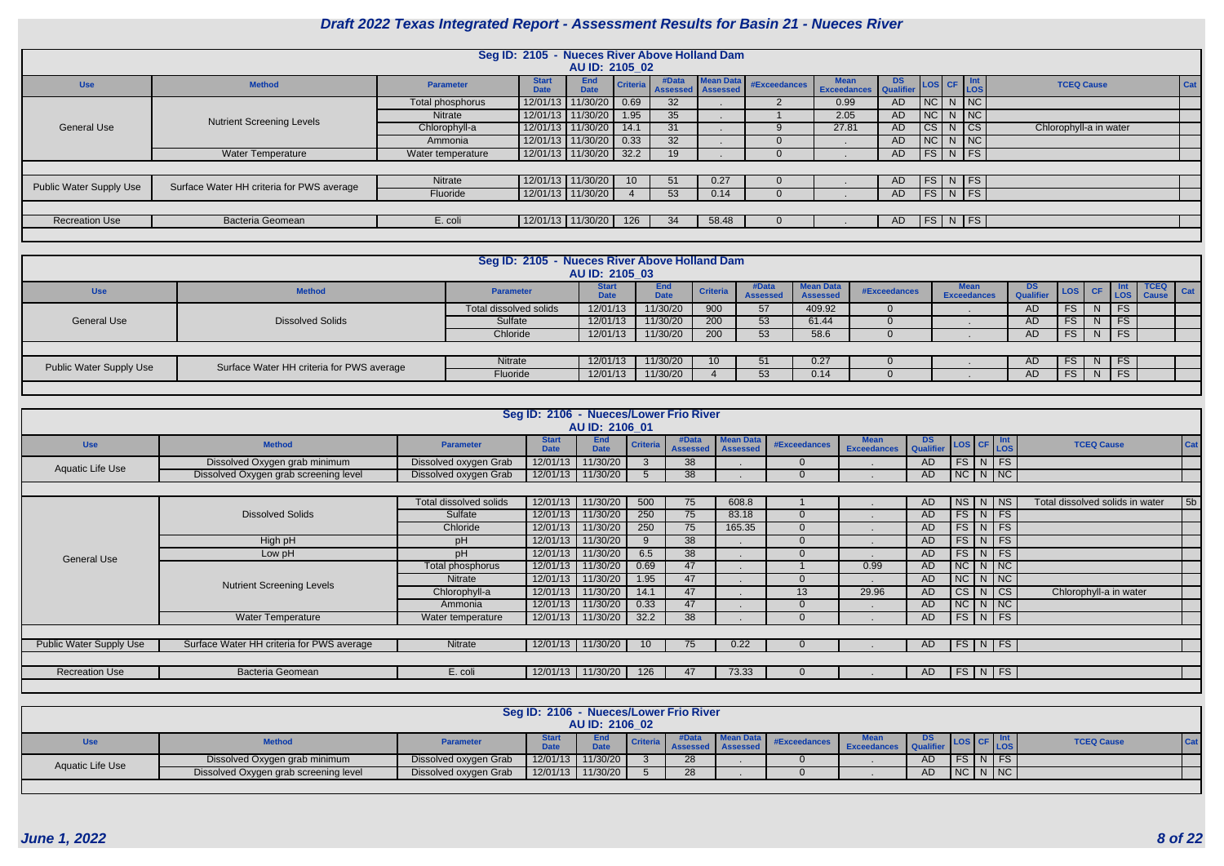| <b>DS</b><br>Qualifier | <b>LOS</b>             | <b>CF</b> | Int<br><b>LOS</b>        | <b>TCEQ Cause</b>      | Cat |
|------------------------|------------------------|-----------|--------------------------|------------------------|-----|
| <b>AD</b>              | <b>NC</b>              | N         | <b>NC</b>                |                        |     |
| <b>AD</b>              | <b>NC</b>              | N         | <b>NC</b>                |                        |     |
| <b>AD</b>              | <b>CS</b>              | N         | $\overline{\text{CS}}$   | Chlorophyll-a in water |     |
| <b>AD</b>              | $\overline{\text{NC}}$ | N         | NC                       |                        |     |
| <b>AD</b>              | <b>FS</b>              | N         | FS                       |                        |     |
|                        |                        |           |                          |                        |     |
| <b>AD</b>              | FS                     | N         | FS                       |                        |     |
| <b>AD</b>              | <b>FS</b>              | N         | $\overline{\mathsf{FS}}$ |                        |     |
|                        |                        |           |                          |                        |     |
| <b>AD</b>              | <b>FS</b>              | N         | <b>FS</b>                |                        |     |
|                        |                        |           |                          |                        |     |

|                         |                                           |                   | Seg ID: 2105 - Nueces River Above Holland Dam |                     |                 |                            |           |              |                                             |     |    |               |                        |
|-------------------------|-------------------------------------------|-------------------|-----------------------------------------------|---------------------|-----------------|----------------------------|-----------|--------------|---------------------------------------------|-----|----|---------------|------------------------|
|                         |                                           |                   |                                               | AU ID: 2105 02      |                 |                            |           |              |                                             |     |    |               |                        |
| <b>Use</b>              | <b>Method</b>                             | <b>Parameter</b>  | <b>Start</b><br><b>Date</b>                   | End<br><b>Date</b>  | <b>Criteria</b> | #Data<br>Assessed Assessed | Mean Data | #Exceedances | <b>Mean</b><br><b>Exceedances</b> Qualifier | DS  |    | LOS CF Int    | <b>TCEQ Cause</b>      |
|                         |                                           | Total phosphorus  | 12/01/13                                      | 11/30/20            | 0.69            | 32                         |           |              | 0.99                                        | AD  |    | $NC$ $N$ $NC$ |                        |
|                         | <b>Nutrient Screening Levels</b>          | Nitrate           | 12/01/13                                      | 11/30/20            | 1.95            | 35 <sup>5</sup>            |           |              | 2.05                                        | AD  | NC | $N$ NC        |                        |
| General Use             |                                           | Chlorophyll-a     |                                               | 12/01/13 11/30/20   | 14.1            | 31                         |           |              | 27.81                                       | AD  | CS | N CS          | Chlorophyll-a in water |
|                         |                                           | Ammonia           |                                               | 12/01/13 11/30/20   | 0.33            | 32 <sup>2</sup>            |           |              |                                             | AD. | NC | $N$ NC        |                        |
|                         | <b>Water Temperature</b>                  | Water temperature |                                               | 12/01/13   11/30/20 | 32.2            | 19                         |           |              |                                             | AD. |    | FS N FS       |                        |
|                         |                                           |                   |                                               |                     |                 |                            |           |              |                                             |     |    |               |                        |
| Public Water Supply Use | Surface Water HH criteria for PWS average | Nitrate           |                                               | 12/01/13 11/30/20   | 10 <sup>°</sup> | 51                         | 0.27      |              |                                             | AD  |    | $FS$ N FS     |                        |
|                         |                                           | Fluoride          |                                               | 12/01/13 11/30/20   |                 | 53                         | 0.14      |              |                                             | AD. |    | FS N FS       |                        |
|                         |                                           |                   |                                               |                     |                 |                            |           |              |                                             |     |    |               |                        |
| <b>Recreation Use</b>   | <b>Bacteria Geomean</b>                   | E. coli           |                                               | 12/01/13   11/30/20 | 126             | 34                         | 58.48     |              |                                             | AD  |    | FS   N   FS   |                        |
|                         |                                           |                   |                                               |                     |                 |                            |           |              |                                             |     |    |               |                        |

|                                |                                           | Seg ID: 2105 - Nueces River Above Holland Dam | AU ID: 2105 03 |                           |                 |                          |                                     |              |                    |                         |           |                             |                            |                              |
|--------------------------------|-------------------------------------------|-----------------------------------------------|----------------|---------------------------|-----------------|--------------------------|-------------------------------------|--------------|--------------------|-------------------------|-----------|-----------------------------|----------------------------|------------------------------|
| <b>Use</b>                     | <b>Method</b>                             | <b>Parameter</b>                              | Start          | <b>End</b><br><b>Date</b> | <b>Criteria</b> | #Data<br><b>Assessed</b> | <b>Mean Data</b><br><b>Assessed</b> | #Exceedances | <b>Exceedances</b> | DS.<br><b>Qualifier</b> | LOS CF    |                             | <b>TCEQ</b><br>LOS   Cause | $\overline{\phantom{a}}$ Cat |
|                                |                                           | Total dissolved solids                        | 12/01/13       | 11/30/20                  | 900             | 57                       | 409.92                              |              |                    | AD                      | FS        | FS.                         |                            |                              |
| <b>General Use</b>             | <b>Dissolved Solids</b>                   | Sulfate                                       | 12/01/13       | 11/30/20                  | 200             | 53                       | 61.44                               |              |                    | AD.                     | <b>FS</b> |                             |                            |                              |
|                                |                                           | Chloride                                      | 12/01/13       | 11/30/20                  | 200             | 53                       | 58.6                                |              |                    | <b>AD</b>               | FS.       | $\overline{\phantom{a}}$ FS |                            |                              |
|                                |                                           |                                               |                |                           |                 |                          |                                     |              |                    |                         |           |                             |                            |                              |
| <b>Public Water Supply Use</b> | Surface Water HH criteria for PWS average | Nitrate                                       | 12/01/13       | 11/30/20                  |                 |                          | 0.27                                |              |                    | AD.                     | FS.       | N IFS I                     |                            |                              |
|                                |                                           | Fluoride                                      | 12/01/13       | 11/30/20                  |                 | 53                       | 0.14                                |              |                    | AD                      | FS        | <b>FS</b>                   |                            |                              |
|                                |                                           |                                               |                |                           |                 |                          |                                     |              |                    |                         |           |                             |                            |                              |

|                         |                                           |                               | Seg ID: 2106 - Nueces/Lower Frio River |                           |                 |                          |                                     |                |                                   |                         |           |                    |                                 |     |
|-------------------------|-------------------------------------------|-------------------------------|----------------------------------------|---------------------------|-----------------|--------------------------|-------------------------------------|----------------|-----------------------------------|-------------------------|-----------|--------------------|---------------------------------|-----|
|                         |                                           |                               |                                        | AU ID: 2106 01            |                 |                          |                                     |                |                                   |                         |           |                    |                                 |     |
| <b>Use</b>              | <b>Method</b>                             | <b>Parameter</b>              | <b>Start</b><br><b>Date</b>            | <b>End</b><br><b>Date</b> | <b>Criteria</b> | #Data<br><b>Assessed</b> | <b>Mean Data</b><br><b>Assessed</b> | #Exceedances   | <b>Mean</b><br><b>Exceedances</b> | DS Qualifier LOS CF LOS |           |                    | <b>TCEQ Cause</b>               | Cat |
| Aquatic Life Use        | Dissolved Oxygen grab minimum             | Dissolved oxygen Grab         | 12/01/13                               | 11/30/20                  | 3               | 38                       |                                     |                |                                   | <b>AD</b>               |           | $FS\mid N \mid FS$ |                                 |     |
|                         | Dissolved Oxygen grab screening level     | Dissolved oxygen Grab         | 12/01/13                               | 11/30/20                  | 5               | 38                       |                                     |                |                                   | <b>AD</b>               |           | NCNNC              |                                 |     |
|                         |                                           |                               |                                        |                           |                 |                          |                                     |                |                                   |                         |           |                    |                                 |     |
|                         |                                           | <b>Total dissolved solids</b> | 12/01/13                               | 11/30/20                  | 500             | 75                       | 608.8                               |                |                                   | AD.                     |           | NS   N   NS        | Total dissolved solids in water | 5b  |
|                         | <b>Dissolved Solids</b>                   | Sulfate                       | 12/01/13                               | 11/30/20                  | 250             | 75                       | 83.18                               | $\overline{0}$ |                                   | <b>AD</b>               |           | $FS\mid N \mid FS$ |                                 |     |
|                         |                                           | Chloride                      | 12/01/13                               | 11/30/20                  | 250             | 75                       | 165.35                              |                |                                   | <b>AD</b>               |           | $FS\mid N \mid FS$ |                                 |     |
|                         | High pH                                   | pH                            |                                        | 12/01/13 11/30/20         | 9               | $\overline{38}$          |                                     |                |                                   | <b>AD</b>               |           | $FS$ N FS          |                                 |     |
| <b>General Use</b>      | Low pH                                    | pH                            | 12/01/13                               | 11/30/20                  | 6.5             | 38                       |                                     |                |                                   | <b>AD</b>               |           | $FS\mid N \mid FS$ |                                 |     |
|                         |                                           | Total phosphorus              | 12/01/13                               | 11/30/20                  | 0.69            | 47                       |                                     |                | 0.99                              | AD                      |           | NC N NC            |                                 |     |
|                         | <b>Nutrient Screening Levels</b>          | Nitrate                       | 12/01/13                               | 11/30/20                  | 1.95            | 47                       |                                     |                |                                   | <b>AD</b>               | NCNNC     |                    |                                 |     |
|                         |                                           | Chlorophyll-a                 | 12/01/13                               | 11/30/20                  | 14.1            | 47                       |                                     | 13             | 29.96                             | <b>AD</b>               |           | CS N CS            | Chlorophyll-a in water          |     |
|                         |                                           | Ammonia                       |                                        | 12/01/13 11/30/20         | 0.33            | 47                       |                                     |                |                                   | <b>AD</b>               | NCNNC     |                    |                                 |     |
|                         | <b>Water Temperature</b>                  | Water temperature             |                                        | 12/01/13 11/30/20         | 32.2            | 38                       |                                     |                |                                   | <b>AD</b>               |           | $FS\mid N \mid FS$ |                                 |     |
|                         |                                           |                               |                                        |                           |                 |                          |                                     |                |                                   |                         |           |                    |                                 |     |
| Public Water Supply Use | Surface Water HH criteria for PWS average | Nitrate                       |                                        | 12/01/13 11/30/20         |                 | 75                       | 0.22                                |                |                                   | AD.                     | $FS$ N FS |                    |                                 |     |
|                         |                                           |                               |                                        |                           |                 |                          |                                     |                |                                   |                         |           |                    |                                 |     |
| <b>Recreation Use</b>   | <b>Bacteria Geomean</b>                   | E. coli                       | 12/01/13                               | 11/30/20                  | 126             | 47                       | 73.33                               | $\Omega$       |                                   | AD.                     |           | $FS$ N FS          |                                 |     |
|                         |                                           |                               |                                        |                           |                 |                          |                                     |                |                                   |                         |           |                    |                                 |     |

|                  |                                       |                       | Seg ID: 2106 - Nueces/Lower Frio River | AU ID: 2106 02            |                    |       |                  |              |                                   |    |             |                            |                   |  |
|------------------|---------------------------------------|-----------------------|----------------------------------------|---------------------------|--------------------|-------|------------------|--------------|-----------------------------------|----|-------------|----------------------------|-------------------|--|
| <b>Jse</b>       | <b>Method</b>                         | <b>Parameter</b>      | <b>Start</b><br><b>Date</b>            | <b>End</b><br><b>Date</b> | <b>Criteria</b> 1. | #Data | <b>Mean Data</b> | #Exceedances | <b>Mean</b><br><b>Exceedances</b> |    |             | $-$ CF $\vert$ LOS $\vert$ | <b>TCEQ Cause</b> |  |
| Aquatic Life Use | Dissolved Oxygen grab minimum         | Dissolved oxygen Grab | 12/01/13 11/30/20                      |                           |                    | 28    |                  |              |                                   | AD | FSN         | FS                         |                   |  |
|                  | Dissolved Oxygen grab screening level | Dissolved oxygen Grab | 12/01/13                               | 11/30/20                  |                    | 28    |                  |              |                                   | AD | $NC$ N $NC$ |                            |                   |  |
|                  |                                       |                       |                                        |                           |                    |       |                  |              |                                   |    |             |                            |                   |  |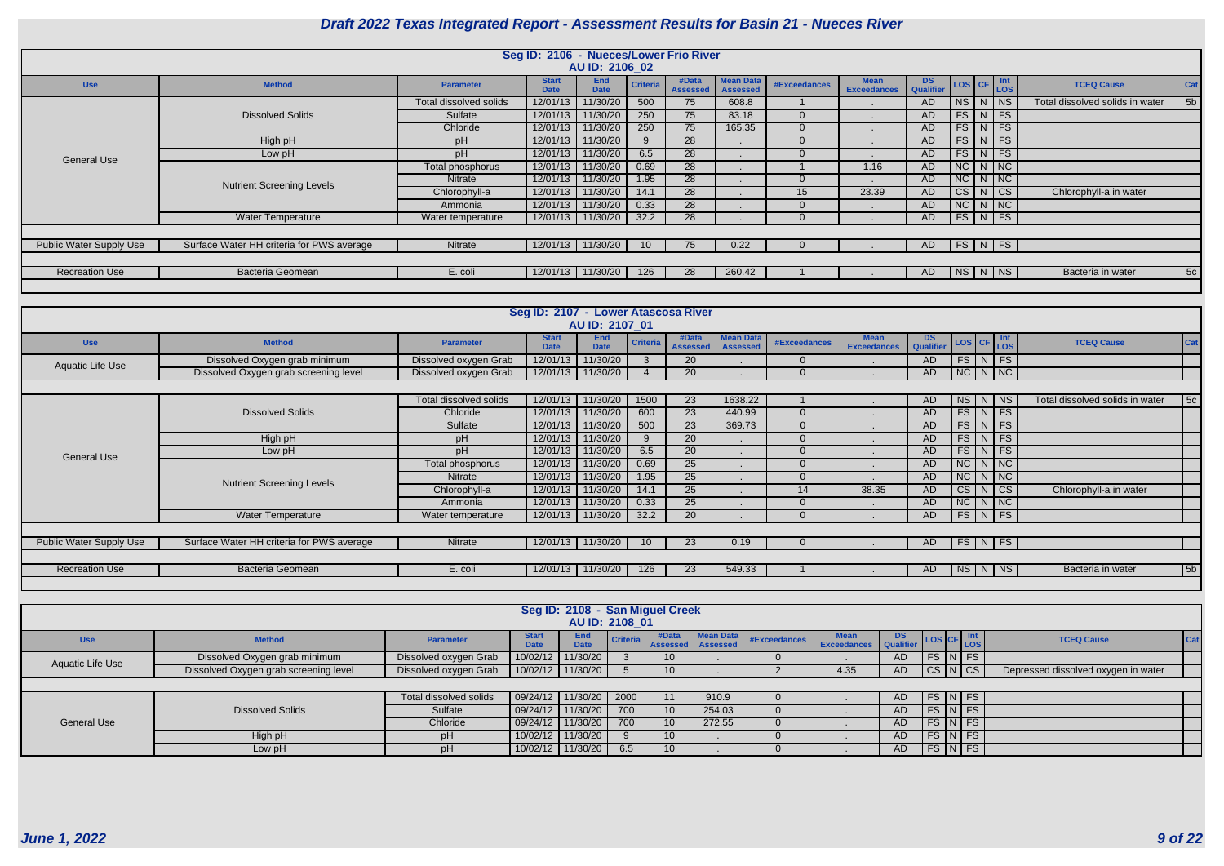|                                |                                           |                        | Seg ID: 2106 - Nueces/Lower Frio River | AU ID: 2106 02            |                 |                          |                                     |              |                                   |               |                         |                    |                                 |                |
|--------------------------------|-------------------------------------------|------------------------|----------------------------------------|---------------------------|-----------------|--------------------------|-------------------------------------|--------------|-----------------------------------|---------------|-------------------------|--------------------|---------------------------------|----------------|
| <b>Use</b>                     | <b>Method</b>                             | <b>Parameter</b>       | <b>Start</b><br><b>Date</b>            | <b>End</b><br><b>Date</b> | <b>Criteria</b> | #Data<br><b>Assessed</b> | <b>Mean Data</b><br><b>Assessed</b> | #Exceedances | <b>Mean</b><br><b>Exceedances</b> | DS LOS CF Int |                         |                    | <b>TCEQ Cause</b>               | <b>Cat</b>     |
|                                |                                           | Total dissolved solids | 12/01/13                               | 11/30/20                  | 500             | 75                       | 608.8                               |              | . .                               | <b>AD</b>     | $N$ S $N$ $N$           |                    | Total dissolved solids in water | 5 <sub>b</sub> |
|                                | <b>Dissolved Solids</b>                   | Sulfate                | 12/01/13                               | 11/30/20                  | 250             | 75                       | 83.18                               | U            |                                   | <b>AD</b>     | $FS\mid N \mid FS$      |                    |                                 |                |
|                                |                                           | Chloride               | 12/01/13                               | 11/30/20                  | 250             | 75                       | 165.35                              |              |                                   | <b>AD</b>     | $FS$ N FS               |                    |                                 |                |
|                                | High pH                                   | pH                     | 12/01/13                               | 11/30/20                  |                 | 28                       |                                     |              |                                   | <b>AD</b>     | FS                      | $\vert N \vert$ FS |                                 |                |
| <b>General Use</b>             | Low pH                                    | pH                     | 12/01/13                               | 11/30/20                  | 6.5             | 28                       |                                     |              |                                   | <b>AD</b>     | FS                      | $\vert N \vert$ FS |                                 |                |
|                                |                                           | Total phosphorus       | 12/01/13                               | 11/30/20                  | 0.69            | 28                       |                                     |              | 1.16                              | <b>AD</b>     | NCNNC                   |                    |                                 |                |
|                                | <b>Nutrient Screening Levels</b>          | Nitrate                | 12/01/13                               | 11/30/20                  | 1.95            | 28                       |                                     |              |                                   | <b>AD</b>     | NCNNC                   |                    |                                 |                |
|                                |                                           | Chlorophyll-a          | 12/01/13                               | 11/30/20                  | 14.1            | 28                       |                                     | 15           | 23.39                             | <b>AD</b>     | CS N CS                 |                    | Chlorophyll-a in water          |                |
|                                |                                           | Ammonia                | 12/01/13                               | 11/30/20                  | 0.33            | 28                       |                                     |              |                                   | <b>AD</b>     | NC N NC                 |                    |                                 |                |
|                                | <b>Water Temperature</b>                  | Water temperature      |                                        | 12/01/13 11/30/20         | 32.2            | 28                       |                                     |              |                                   | <b>AD</b>     | $FS\mid N \mid FS \mid$ |                    |                                 |                |
|                                |                                           |                        |                                        |                           |                 |                          |                                     |              |                                   |               |                         |                    |                                 |                |
| <b>Public Water Supply Use</b> | Surface Water HH criteria for PWS average | Nitrate                | 12/01/13 11/30/20                      |                           | $\sqrt{10}$     | 75                       | 0.22                                |              |                                   | AD            | FS N FS                 |                    |                                 |                |
|                                |                                           |                        |                                        |                           |                 |                          |                                     |              |                                   |               |                         |                    |                                 |                |
| <b>Recreation Use</b>          | Bacteria Geomean                          | E. coli                | 12/01/13 11/30/20                      |                           | 126             | 28                       | 260.42                              |              |                                   | AD            | NS N NS                 |                    | Bacteria in water               | 5c             |
|                                |                                           |                        |                                        |                           |                 |                          |                                     |              |                                   |               |                         |                    |                                 |                |

|                                |                                           |                               | Seg ID: 2107 - Lower Atascosa River | AU ID: 2107 01            |                 |                          |                                     |                     |                                   |                 |           |                         |                                 |                |
|--------------------------------|-------------------------------------------|-------------------------------|-------------------------------------|---------------------------|-----------------|--------------------------|-------------------------------------|---------------------|-----------------------------------|-----------------|-----------|-------------------------|---------------------------------|----------------|
| <b>Use</b>                     | <b>Method</b>                             | <b>Parameter</b>              | <b>Start</b><br><b>Date</b>         | <b>End</b><br><b>Date</b> | <b>Criteri</b>  | #Data<br><b>Assessed</b> | <b>Mean Data</b><br><b>Assessed</b> | <b>#Exceedances</b> | <b>Mean</b><br><b>Exceedances</b> | DS<br>Qualifier |           | LOS CF Int              | <b>TCEQ Cause</b>               | Cat            |
| Aquatic Life Use               | Dissolved Oxygen grab minimum             | Dissolved oxygen Grab         | 12/01/13                            | 11/30/20                  |                 | 20                       |                                     | $\Omega$            |                                   | <b>AD</b>       |           | $FS$ $N$ $FS$           |                                 |                |
|                                | Dissolved Oxygen grab screening level     | Dissolved oxygen Grab         | 12/01/13                            | 11/30/20                  |                 | 20                       |                                     | $\Omega$            |                                   | AD              |           | $NC$ $N$ $NC$           |                                 |                |
|                                |                                           |                               |                                     |                           |                 |                          |                                     |                     |                                   |                 |           |                         |                                 |                |
|                                |                                           | <b>Total dissolved solids</b> | 12/01/13                            | 11/30/20                  | 1500            | 23                       | 1638.22                             |                     |                                   | AD              |           | NS N                    | Total dissolved solids in water | 5c             |
|                                | <b>Dissolved Solids</b>                   | Chloride                      | 12/01/13                            | 11/30/20                  | 600             | 23                       | 440.99                              | $\mathbf{0}$        |                                   | <b>AD</b>       |           | FS N FS                 |                                 |                |
|                                |                                           | Sulfate                       | 12/01/13                            | 11/30/20                  | 500             | $\overline{23}$          | 369.73                              | $\overline{0}$      |                                   | <b>AD</b>       |           | $FS$ N FS               |                                 |                |
|                                | High pH                                   | pH                            | 12/01/13                            | 11/30/20                  |                 | 20                       |                                     | $\Omega$            |                                   | <b>AD</b>       |           | $FS$ N FS               |                                 |                |
| <b>General Use</b>             | Low pH                                    | <b>DH</b>                     | 12/01/13                            | 11/30/20                  | 6.5             | 20                       |                                     | $\overline{0}$      |                                   | <b>AD</b>       |           | $FS\mid N \mid FS$      |                                 |                |
|                                |                                           | Total phosphorus              | 12/01/13                            | 11/30/20                  | 0.69            | 25                       |                                     | $\Omega$            |                                   | <b>AD</b>       |           | $NC$ $N$ $NC$           |                                 |                |
|                                | <b>Nutrient Screening Levels</b>          | <b>Nitrate</b>                | 12/01/13                            | 11/30/20                  | 1.95            | 25                       |                                     | $\overline{0}$      |                                   | AD              |           | $NC \mid N \mid NC$     |                                 |                |
|                                |                                           | Chlorophyll-a                 | 12/01/13                            | 11/30/20                  | 14.1            | 25                       |                                     | 14                  | 38.35                             | <b>AD</b>       | $CS$ $N$  | $\overline{c}$          | Chlorophyll-a in water          |                |
|                                |                                           | Ammonia                       | 12/01/13                            | 11/30/20                  | 0.33            | 25                       |                                     | $\Omega$            |                                   | AD              |           | $NC$ $N$ $NC$           |                                 |                |
|                                | <b>Water Temperature</b>                  | Water temperature             | 12/01/13                            | 11/30/20                  | 32.2            | 20                       |                                     | $\Omega$            |                                   | AD.             |           | $FS\mid N \mid FS \mid$ |                                 |                |
|                                |                                           |                               |                                     |                           |                 |                          |                                     |                     |                                   |                 |           |                         |                                 |                |
| <b>Public Water Supply Use</b> | Surface Water HH criteria for PWS average | Nitrate                       | 12/01/13                            | 11/30/20                  | 10 <sup>°</sup> | 23                       | 0.19                                |                     |                                   | AD              |           | $FS$ N FS               |                                 |                |
|                                |                                           |                               |                                     |                           |                 |                          |                                     |                     |                                   |                 |           |                         |                                 |                |
| <b>Recreation Use</b>          | <b>Bacteria Geomean</b>                   | E. coli                       | 12/01/13                            | 11/30/20                  | 126             | 23                       | 549.33                              |                     |                                   | AD.             | $N$ S $N$ | $ $ NS                  | Bacteria in water               | 5 <sub>b</sub> |
|                                |                                           |                               |                                     |                           |                 |                          |                                     |                     |                                   |                 |           |                         |                                 |                |

|                    |                                       |                               |                             | Seg ID: 2108 - San Miguel Creek<br>AU ID: 2108 01 |      |                 |                                                |              |                                   |               |           |                                     |            |
|--------------------|---------------------------------------|-------------------------------|-----------------------------|---------------------------------------------------|------|-----------------|------------------------------------------------|--------------|-----------------------------------|---------------|-----------|-------------------------------------|------------|
| <b>Use</b>         | <b>Method</b>                         | <b>Parameter</b>              | <b>Start</b><br><b>Date</b> | End<br><b>Date</b>                                |      | #Data           | <b>Mean Data</b><br>Criteria Assessed Assessed | #Exceedances | <b>Mean</b><br><b>Exceedances</b> | DS LOS CF LOS |           | <b>TCEQ Cause</b>                   | <b>Cat</b> |
| Aquatic Life Use   | Dissolved Oxygen grab minimum         | Dissolved oxygen Grab         | 10/02/12                    | 11/30/20                                          |      | 10 <sup>1</sup> |                                                |              |                                   | AD            | FS N FS   |                                     |            |
|                    | Dissolved Oxygen grab screening level | Dissolved oxygen Grab         |                             | 10/02/12 11/30/20                                 |      |                 |                                                |              | 4.35                              | AD            | CS N CS   | Depressed dissolved oxygen in water |            |
|                    |                                       |                               |                             |                                                   |      |                 |                                                |              |                                   |               |           |                                     |            |
|                    |                                       | <b>Total dissolved solids</b> | 09/24/12                    | 11/30/20                                          | 2000 | 11              | 910.9                                          |              |                                   | AD.           | FS N FS   |                                     |            |
|                    | <b>Dissolved Solids</b>               | Sulfate                       | 09/24/12                    | 11/30/20                                          | 700  | 10 <sup>1</sup> | 254.03                                         |              |                                   | AD.           | $FS\ NFS$ |                                     |            |
| <b>General Use</b> |                                       | Chloride                      | 09/24/12                    | 11/30/20                                          | 700  | 10              | 272.55                                         |              |                                   | AD.           | $FS\ NFS$ |                                     |            |
|                    | High pH                               |                               | 10/02/12                    | 11/30/20                                          |      | 10-             |                                                |              |                                   | AD.           | FS N FS   |                                     |            |
|                    | Low pH                                |                               | 10/02/12                    | 11/30/20                                          | 6.5  |                 |                                                |              |                                   | AD.           | FS N FS   |                                     |            |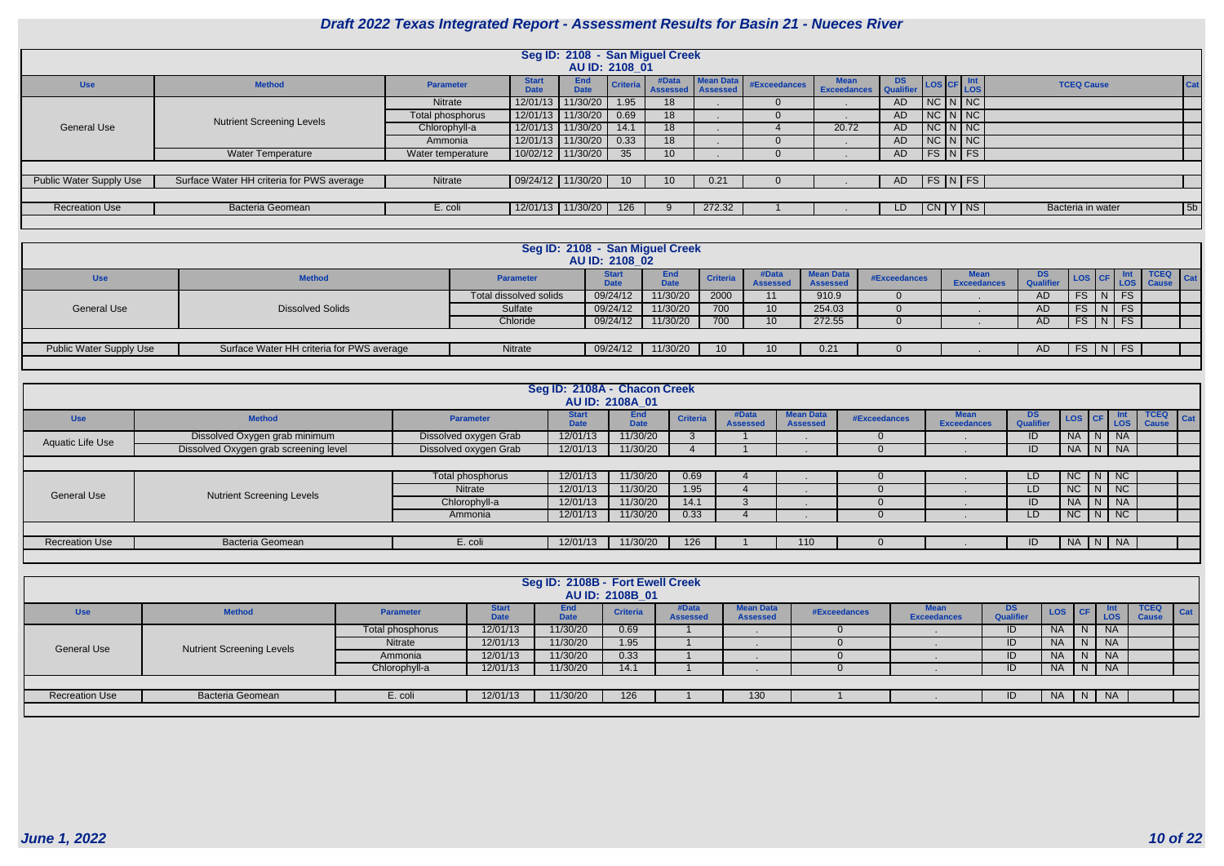| <b>DS</b><br><b>Qualifier</b> | <b>LOS</b> | <b>CF</b>    | Int<br><b>LOS</b> | <b>TCEQ Cause</b> | Cat            |
|-------------------------------|------------|--------------|-------------------|-------------------|----------------|
| <b>AD</b>                     | <b>NC</b>  | N            | <b>NC</b>         |                   |                |
| <b>AD</b>                     | <b>NC</b>  | N            | <b>NC</b>         |                   |                |
| <b>AD</b>                     | <b>NC</b>  | N            | <b>NC</b>         |                   |                |
| <b>AD</b>                     | <b>NC</b>  | N            | <b>NC</b>         |                   |                |
| <b>AD</b>                     | <b>FS</b>  | N            | <b>FS</b>         |                   |                |
|                               |            |              |                   |                   |                |
| <b>AD</b>                     | <b>FS</b>  | <sup>N</sup> | <b>FS</b>         |                   |                |
|                               |            |              |                   |                   |                |
| LD                            | CN.        |              | <b>NS</b>         | Bacteria in water | 5 <sub>b</sub> |
|                               |            |              |                   |                   |                |

|                                |                                           |                   |                             | Seg ID: 2108 - San Miguel Creek |                 |                 |                                              |              |                                   |               |  |                            |                   |                |
|--------------------------------|-------------------------------------------|-------------------|-----------------------------|---------------------------------|-----------------|-----------------|----------------------------------------------|--------------|-----------------------------------|---------------|--|----------------------------|-------------------|----------------|
|                                |                                           |                   |                             | AU ID: 2108 01                  |                 |                 |                                              |              |                                   |               |  |                            |                   |                |
| <b>Use</b>                     | <b>Method</b>                             | Parameter         | <b>Start</b><br><b>Date</b> | <b>End</b><br><b>Date</b>       | <b>Criteria</b> | #Data           | <b>Mean Data</b><br><b>Assessed Assessed</b> | #Exceedances | <b>Mean</b><br><b>Exceedances</b> | DS LOS CF Int |  |                            | <b>TCEQ Cause</b> |                |
|                                |                                           | Nitrate           | 12/01/13                    | 11/30/20                        | 1.95            | 18              |                                              |              |                                   | AD            |  | $NC$ $N$ $NC$              |                   |                |
|                                | <b>Nutrient Screening Levels</b>          | Total phosphorus  | 12/01/13                    | 11/30/20                        | 0.69            | 18              |                                              |              |                                   | AD            |  | $NC$ $N$ $NC$              |                   |                |
| <b>General Use</b>             |                                           | Chlorophyll-a     | 12/01/13                    | 11/30/20                        | 14.1            | 18              |                                              |              | 20.72                             | AD            |  | $NC$ $N$ $NC$              |                   |                |
|                                |                                           | Ammonia           | 12/01/13                    | 11/30/20                        | 0.33            | 18              |                                              |              |                                   | AD            |  | $NC$ $N$ $NC$              |                   |                |
|                                | <b>Water Temperature</b>                  | Water temperature |                             | 10/02/12 11/30/20               | 35              | 10 <sup>°</sup> |                                              |              |                                   | AD            |  | $FS\vert N \vert FS \vert$ |                   |                |
|                                |                                           |                   |                             |                                 |                 |                 |                                              |              |                                   |               |  |                            |                   |                |
| <b>Public Water Supply Use</b> | Surface Water HH criteria for PWS average | Nitrate           | $\vert$ 09/24/12   11/30/20 |                                 | 10 <sup>°</sup> | 10 <sup>°</sup> | 0.21                                         |              |                                   | AD            |  | $FS\vert N \vert FS \vert$ |                   |                |
|                                |                                           |                   |                             |                                 |                 |                 |                                              |              |                                   |               |  |                            |                   |                |
| <b>Recreation Use</b>          | <b>Bacteria Geomean</b>                   | E. coli           |                             | 12/01/13   11/30/20             | 126             | -9              | 272.32                                       |              |                                   | LD.           |  | CN Y NS                    | Bacteria in water | 5 <sub>b</sub> |
|                                |                                           |                   |                             |                                 |                 |                 |                                              |              |                                   |               |  |                            |                   |                |

|                                |                                           | Seg ID: 2108 - San Miguel Creek | AU ID: 2108 02              |                    |                 |                          |                                     |              |                    |           |                        |  |                              |  |
|--------------------------------|-------------------------------------------|---------------------------------|-----------------------------|--------------------|-----------------|--------------------------|-------------------------------------|--------------|--------------------|-----------|------------------------|--|------------------------------|--|
| <b>Use</b>                     | <b>Method</b>                             | <b>Parameter</b>                | <b>Start</b><br><b>Date</b> | End<br><b>Date</b> | <b>Criteria</b> | #Data<br><b>Assessed</b> | <b>Mean Data</b><br><b>Assessed</b> | #Exceedances | <b>Exceedances</b> | DS        | <b>LOS CF LOS LAND</b> |  | $TCEQ$ $Cat$<br><b>Cause</b> |  |
|                                |                                           | Total dissolved solids          | 09/24/12                    | 11/30/20           | 2000            | 11                       | 910.9                               |              |                    | AD.       | $FS$ $\vert N \vert$   |  |                              |  |
| <b>General Use</b>             | <b>Dissolved Solids</b>                   | Sulfate                         | 09/24/12                    | 11/30/20           | 700             | 10                       | 254.03                              |              |                    | <b>AD</b> | $FS \mid N \mid FS$    |  |                              |  |
|                                |                                           | Chloride                        | 09/24/12                    | 11/30/20           | 700             |                          | 272.55                              |              |                    | AD        | $FS$ $N$ $FS$          |  |                              |  |
|                                |                                           |                                 |                             |                    |                 |                          |                                     |              |                    |           |                        |  |                              |  |
| <b>Public Water Supply Use</b> | Surface Water HH criteria for PWS average | Nitrate                         | 09/24/12                    | 11/30/20           |                 |                          | 0.21                                |              |                    | AD.       | $FS$ $N$ $FS$          |  |                              |  |
|                                |                                           |                                 |                             |                    |                 |                          |                                     |              |                    |           |                        |  |                              |  |

|                       |                                       |                       | Seg ID: 2108A - Chacon Creek | AU ID: 2108A 01           |                 |                          |                              |              |                                    |                               |                                                            |                              |                                           |
|-----------------------|---------------------------------------|-----------------------|------------------------------|---------------------------|-----------------|--------------------------|------------------------------|--------------|------------------------------------|-------------------------------|------------------------------------------------------------|------------------------------|-------------------------------------------|
| <b>Use</b>            | <b>Method</b>                         | <b>Parameter</b>      | <b>Start</b><br>Date         | <b>End</b><br><b>Date</b> | <b>Criteria</b> | #Data<br><b>Assessed</b> | Mean Data<br><b>Assessed</b> | #Exceedances | <b>l</b> ean<br><b>Exceedances</b> | <b>DS</b><br><b>Qualifier</b> | $\left  \text{Los} \right $ CF $\left  \text{Los} \right $ |                              | <b>TCEQ</b><br><b>Cat</b><br><b>Cause</b> |
| Aquatic Life Use      | Dissolved Oxygen grab minimum         | Dissolved oxygen Grab | 12/01/13                     | 11/30/20                  |                 |                          |                              |              |                                    | ID                            | <b>NA</b>                                                  | <b>NA</b>                    |                                           |
|                       | Dissolved Oxygen grab screening level | Dissolved oxygen Grab | 12/01/13                     | 11/30/20                  |                 |                          |                              |              |                                    | ID                            | NA                                                         | <b>NA</b><br>$\overline{N}$  |                                           |
|                       |                                       |                       |                              |                           |                 |                          |                              |              |                                    |                               |                                                            |                              |                                           |
|                       |                                       | Total phosphorus      | 12/01/13                     | 11/30/20                  | 0.69            |                          |                              |              |                                    | LD                            | NC                                                         | $\vert$ N $\vert$ NC $\vert$ |                                           |
| General Use           | <b>Nutrient Screening Levels</b>      | Nitrate               | 12/01/13                     | 11/30/20                  | 1.95            |                          |                              |              |                                    | LD                            | NC                                                         | NC<br><sub>N</sub>           |                                           |
|                       |                                       | Chlorophyll-a         | 12/01/13                     | 11/30/20                  | 14.1            |                          |                              |              |                                    | שו                            | <b>NA</b>                                                  | <b>NA</b><br>IN I            |                                           |
|                       |                                       | Ammonia               | 12/01/13                     | 11/30/20                  | 0.33            |                          |                              |              |                                    | LD.                           | NC                                                         | $N$ $NC$                     |                                           |
|                       |                                       |                       |                              |                           |                 |                          |                              |              |                                    |                               |                                                            |                              |                                           |
| <b>Recreation Use</b> | <b>Bacteria Geomean</b>               | E. coli               | 12/01/13                     | 11/30/20                  | 126             |                          | 110                          |              |                                    |                               | NA I                                                       | <b>NA</b><br>  N             |                                           |
|                       |                                       |                       |                              |                           |                 |                          |                              |              |                                    |                               |                                                            |                              |                                           |

|                       |                                  |                  |                             | Seg ID: 2108B - Fort Ewell Creek |                 |                          |                                     |              |                                       |                         |           |   |                          |                             |             |
|-----------------------|----------------------------------|------------------|-----------------------------|----------------------------------|-----------------|--------------------------|-------------------------------------|--------------|---------------------------------------|-------------------------|-----------|---|--------------------------|-----------------------------|-------------|
|                       |                                  |                  |                             |                                  | AU ID: 2108B 01 |                          |                                     |              |                                       |                         |           |   |                          |                             |             |
| <b>Use</b>            | <b>Method</b>                    | <b>Parameter</b> | <b>Start</b><br><b>Date</b> | <b>End</b><br><b>Date</b>        | <b>Criteria</b> | #Data<br><b>Assessed</b> | <b>Mean Data</b><br><b>Assessed</b> | #Exceedances | M <sub>PA</sub><br><b>Exceedances</b> | DS.<br><b>Qualifier</b> | LOS CF    |   | <b>Int</b><br><b>LOS</b> | <b>TCEQ</b><br><b>Cause</b> | $\vert$ Cat |
|                       |                                  | Total phosphorus | 12/01/13                    | 11/30/20                         | 0.69            |                          |                                     |              |                                       | ID                      | <b>NA</b> | N | <b>NA</b>                |                             |             |
| <b>General Use</b>    | <b>Nutrient Screening Levels</b> | Nitrate          | 12/01/13                    | 11/30/20                         | 1.95            |                          |                                     |              |                                       | ID                      | <b>NA</b> | N | <b>NA</b>                |                             |             |
|                       |                                  | Ammonia          | 12/01/13                    | 11/30/20                         | 0.33            |                          |                                     |              |                                       | ID                      | <b>NA</b> | N | <b>NA</b>                |                             |             |
|                       |                                  | Chlorophyll-a    | 12/01/13                    | 11/30/20                         | 14.1            |                          |                                     |              |                                       | ID                      | <b>NA</b> | N | <b>NA</b>                |                             |             |
|                       |                                  |                  |                             |                                  |                 |                          |                                     |              |                                       |                         |           |   |                          |                             |             |
| <b>Recreation Use</b> | <b>Bacteria Geomean</b>          | E. coli          | 12/01/13                    | 11/30/20                         | 126             |                          | 130                                 |              |                                       | ID                      | <b>NA</b> | N | <b>NA</b>                |                             |             |
|                       |                                  |                  |                             |                                  |                 |                          |                                     |              |                                       |                         |           |   |                          |                             |             |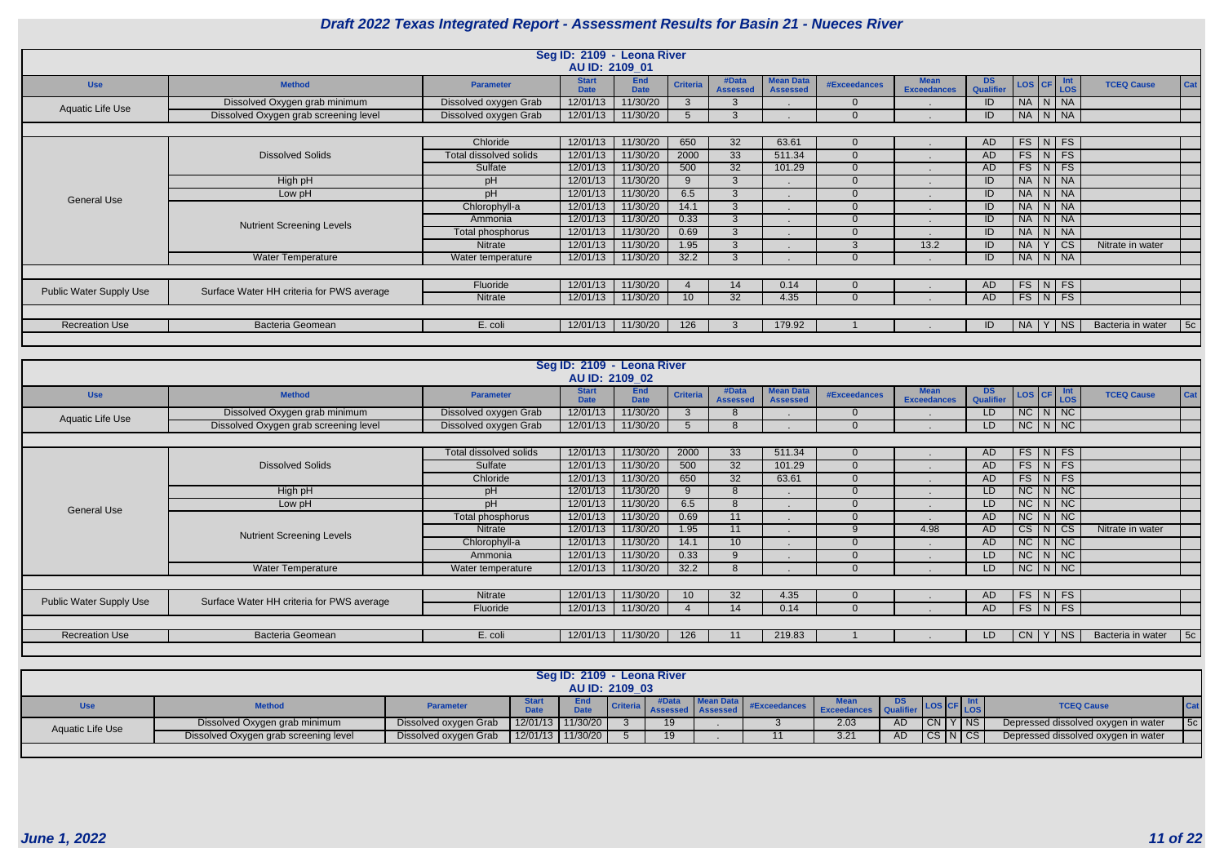|                                |                                           |                        | Seg ID: 2109 - Leona River  |                           |                 |                          |                                     |                |                                   |                        |                                                                                                |                    |          |                   |            |
|--------------------------------|-------------------------------------------|------------------------|-----------------------------|---------------------------|-----------------|--------------------------|-------------------------------------|----------------|-----------------------------------|------------------------|------------------------------------------------------------------------------------------------|--------------------|----------|-------------------|------------|
|                                |                                           |                        | AU ID: 2109 01              |                           |                 |                          |                                     |                |                                   |                        |                                                                                                |                    |          |                   |            |
| <b>Use</b>                     | <b>Method</b>                             | <b>Parameter</b>       | <b>Start</b><br><b>Date</b> | <b>End</b><br><b>Date</b> | <b>Criteria</b> | #Data<br><b>Assessed</b> | <b>Mean Data</b><br><b>Assessed</b> | #Exceedances   | <b>Mean</b><br><b>Exceedances</b> | <b>DS</b><br>Qualifier | $\begin{array}{ c c c c c } \hline \text{LoS} & \text{CFT} & \text{Int} \\ \hline \end{array}$ |                    |          | <b>TCEQ Cause</b> | <b>Cat</b> |
| <b>Aquatic Life Use</b>        | Dissolved Oxygen grab minimum             | Dissolved oxygen Grab  | 12/01/13                    | 11/30/20                  | $\mathbf{3}$    | 3                        |                                     | $\Omega$       |                                   | ID                     | NA   N   NA                                                                                    |                    |          |                   |            |
|                                | Dissolved Oxygen grab screening level     | Dissolved oxygen Grab  | 12/01/13                    | 11/30/20                  | 5               | 3                        |                                     | $\Omega$       |                                   | ID                     | NA N NA                                                                                        |                    |          |                   |            |
|                                |                                           |                        |                             |                           |                 |                          |                                     |                |                                   |                        |                                                                                                |                    |          |                   |            |
|                                |                                           | Chloride               | 12/01/13                    | 11/30/20                  | 650             | 32                       | 63.61                               | $\overline{0}$ |                                   | AD.                    |                                                                                                | $FS$ $N$ $FS$      |          |                   |            |
|                                | <b>Dissolved Solids</b>                   | Total dissolved solids | 12/01/13                    | 11/30/20                  | 2000            | 33                       | 511.34                              | $\Omega$       |                                   | AD                     |                                                                                                | $FS$ $N$ $FS$      |          |                   |            |
|                                |                                           | Sulfate                | 12/01/13                    | 11/30/20                  | 500             | 32                       | 101.29                              | $\Omega$       |                                   | AD.                    |                                                                                                | $FS\mid N \mid FS$ |          |                   |            |
|                                | High pH                                   | pH                     | 12/01/13                    | 11/30/20                  | 9               | $\mathbf{3}$             |                                     | $\Omega$       |                                   | ID                     | NA N NA                                                                                        |                    |          |                   |            |
| <b>General Use</b>             | Low pH                                    | pH                     | 12/01/13                    | 11/30/20                  | 6.5             | 3                        |                                     | $\Omega$       |                                   | ID                     | NA N NA                                                                                        |                    |          |                   |            |
|                                |                                           | Chlorophyll-a          | 12/01/13                    | 11/30/20                  | 14.1            | 3                        |                                     | $\Omega$       |                                   | ID                     |                                                                                                | NA N NA            |          |                   |            |
|                                | <b>Nutrient Screening Levels</b>          | Ammonia                | 12/01/13                    | 11/30/20                  | 0.33            | $\mathbf{3}$             |                                     | $\Omega$       |                                   | ID                     | NA N NA                                                                                        |                    |          |                   |            |
|                                |                                           | Total phosphorus       | 12/01/13                    | 11/30/20                  | 0.69            | 3                        |                                     | $\Omega$       |                                   | ID                     | NA N NA                                                                                        |                    |          |                   |            |
|                                |                                           | Nitrate                | 12/01/13                    | 11/30/20                  | 1.95            | 3                        |                                     | 3              | 13.2                              | ID                     | <b>NA</b>                                                                                      |                    | $Y$ $CS$ | Nitrate in water  |            |
|                                | Water Temperature                         | Water temperature      | 12/01/13                    | 11/30/20                  | 32.2            | 3                        |                                     | $\Omega$       |                                   | ID                     | NA   N   NA                                                                                    |                    |          |                   |            |
|                                |                                           |                        |                             |                           |                 |                          |                                     |                |                                   |                        |                                                                                                |                    |          |                   |            |
| <b>Public Water Supply Use</b> | Surface Water HH criteria for PWS average | Fluoride               | 12/01/13                    | 11/30/20                  |                 | 14                       | 0.14                                | $\Omega$       |                                   | AD.                    | $FS$ N FS                                                                                      |                    |          |                   |            |
|                                |                                           | Nitrate                | 12/01/13                    | 11/30/20                  | 10 <sup>°</sup> | 32                       | 4.35                                | $\overline{0}$ |                                   | AD                     | $FS\vert N \vert FS$                                                                           |                    |          |                   |            |
|                                |                                           |                        |                             |                           |                 |                          |                                     |                |                                   |                        |                                                                                                |                    |          |                   |            |
| <b>Recreation Use</b>          | <b>Bacteria Geomean</b>                   | E. coli                | 12/01/13                    | 11/30/20                  | 126             | 3                        | 179.92                              |                |                                   | ID                     | NA Y NS                                                                                        |                    |          | Bacteria in water | $\vert$ 5c |
|                                |                                           |                        |                             |                           |                 |                          |                                     |                |                                   |                        |                                                                                                |                    |          |                   |            |

|                         |                                           |                        | Seg ID: 2109 - Leona River  |                    |                 |                          |                                     |                |                                   |                 |    |                      |                   |             |
|-------------------------|-------------------------------------------|------------------------|-----------------------------|--------------------|-----------------|--------------------------|-------------------------------------|----------------|-----------------------------------|-----------------|----|----------------------|-------------------|-------------|
|                         |                                           |                        | AU ID: 2109 02              |                    |                 |                          |                                     |                |                                   |                 |    |                      |                   |             |
| <b>Use</b>              | <b>Method</b>                             | Parameter              | <b>Start</b><br><b>Date</b> | End<br><b>Date</b> | <b>Criteria</b> | #Data<br><b>Assessed</b> | <b>Mean Data</b><br><b>Assessed</b> | #Exceedances   | <b>Mean</b><br><b>Exceedances</b> | DS<br>Qualifier |    | LOS CF Int           | <b>TCEQ Cause</b> | Cat         |
| Aquatic Life Use        | Dissolved Oxygen grab minimum             | Dissolved oxygen Grab  | 12/01/13                    | 11/30/20           | 3               | 8                        |                                     | $\Omega$       |                                   | LD              |    | $NC$ $N$ $NC$        |                   |             |
|                         | Dissolved Oxygen grab screening level     | Dissolved oxygen Grab  | 12/01/13                    | 11/30/20           | $\overline{5}$  | 8                        |                                     | $\Omega$       |                                   | LD              |    | $NC$ $N$ $NC$        |                   |             |
|                         |                                           |                        |                             |                    |                 |                          |                                     |                |                                   |                 |    |                      |                   |             |
|                         |                                           | Total dissolved solids | 12/01/13                    | 11/30/20           | 2000            | 33                       | 511.34                              | $\Omega$       |                                   | AD              |    | $FS$ $N$ $FS$        |                   |             |
|                         | <b>Dissolved Solids</b>                   | Sulfate                | 12/01/13                    | 11/30/20           | 500             | 32 <sup>2</sup>          | 101.29                              | $\Omega$       |                                   | AD              |    | FS N FS              |                   |             |
|                         |                                           | Chloride               | 12/01/13                    | 11/30/20           | 650             | 32                       | 63.61                               | $\Omega$       |                                   | AD              |    | $FS\mid N \mid FS$   |                   |             |
|                         | High pH                                   | pH                     | 12/01/13                    | 11/30/20           | 9               | 8                        |                                     | $\Omega$       |                                   | LD              |    | $NC$ $N$ $NC$        |                   |             |
| <b>General Use</b>      | Low pH                                    | pH                     | 12/01/13                    | 11/30/20           | 6.5             | 8                        |                                     | $\Omega$       |                                   | <b>LD</b>       |    | NC N NC              |                   |             |
|                         |                                           | Total phosphorus       | 12/01/13                    | 11/30/20           | 0.69            | 11                       |                                     | $\Omega$       |                                   | AD              |    | $NC$ $N$ $NC$        |                   |             |
|                         | <b>Nutrient Screening Levels</b>          | Nitrate                | 12/01/13                    | 11/30/20           | 1.95            | 11                       |                                     | $\mathbf{Q}$   | 4.98                              | AD              | CS | NCS                  | Nitrate in water  |             |
|                         |                                           | Chlorophyll-a          | 12/01/13                    | 11/30/20           | 14.1            | 10 <sup>°</sup>          |                                     | $\Omega$       |                                   | AD              |    | $NC$ $N$ $NC$        |                   |             |
|                         |                                           | Ammonia                | 12/01/13                    | 11/30/20           | 0.33            | 9                        |                                     | $\Omega$       |                                   | LD              |    | $NC$ $N$ $NC$        |                   |             |
|                         | <b>Water Temperature</b>                  | Water temperature      | 12/01/13                    | 11/30/20           | 32.2            | 8                        |                                     | $\Omega$       |                                   | LD              |    | $NC$ $N$ $NC$        |                   |             |
|                         |                                           |                        |                             |                    |                 |                          |                                     |                |                                   |                 |    |                      |                   |             |
| Public Water Supply Use | Surface Water HH criteria for PWS average | Nitrate                | 12/01/13                    | 11/30/20           | 10 <sup>°</sup> | 32                       | 4.35                                | $\Omega$       |                                   | AD.             |    | $FS$ $N$ $FS$        |                   |             |
|                         |                                           | Fluoride               | 12/01/13                    | 11/30/20           |                 | 14                       | 0.14                                | $\overline{0}$ |                                   | AD              |    | $FS\vert N \vert FS$ |                   |             |
|                         |                                           |                        |                             |                    |                 |                          |                                     |                |                                   |                 |    |                      |                   |             |
| <b>Recreation Use</b>   | Bacteria Geomean                          | E. coli                | 12/01/13                    | 11/30/20           | 126             | 11                       | 219.83                              |                |                                   | LD              | CN | N <sub>S</sub>       | Bacteria in water | $\sqrt{5c}$ |
|                         |                                           |                        |                             |                    |                 |                          |                                     |                |                                   |                 |    |                      |                   |             |

|                  |                                       |                       |              | Seg ID: 2109 - Leona River |          |                 |  |                   |           |         |                                     |    |
|------------------|---------------------------------------|-----------------------|--------------|----------------------------|----------|-----------------|--|-------------------|-----------|---------|-------------------------------------|----|
|                  |                                       |                       |              | AU ID: 2109 03             |          |                 |  |                   |           |         |                                     |    |
|                  |                                       |                       |              |                            |          |                 |  |                   |           |         |                                     |    |
|                  | <b>Method</b>                         | <b>Parameter</b>      | <b>Start</b> | <b>End</b>                 | Criteria |                 |  |                   |           |         | <b>TCEQ Cause</b>                   |    |
|                  |                                       |                       | <b>Date</b>  | <b>Date</b>                |          |                 |  | <b>Exceedance</b> |           |         |                                     |    |
|                  | Dissolved Oxygen grab minimum         | Dissolved oxygen Grab | $12/01/13$   | 11/30/20                   |          | $\overline{10}$ |  | 2.03              | <b>AD</b> | CN Y NS | Depressed dissolved oxygen in water | 50 |
| Aquatic Life Use | Dissolved Oxygen grab screening level | Dissolved oxygen Grab | 12/01/13     | 11/30/20                   |          |                 |  | 3.21              | AD.       | CS N CS | Depressed dissolved oxygen in water |    |
|                  |                                       |                       |              |                            |          |                 |  |                   |           |         |                                     |    |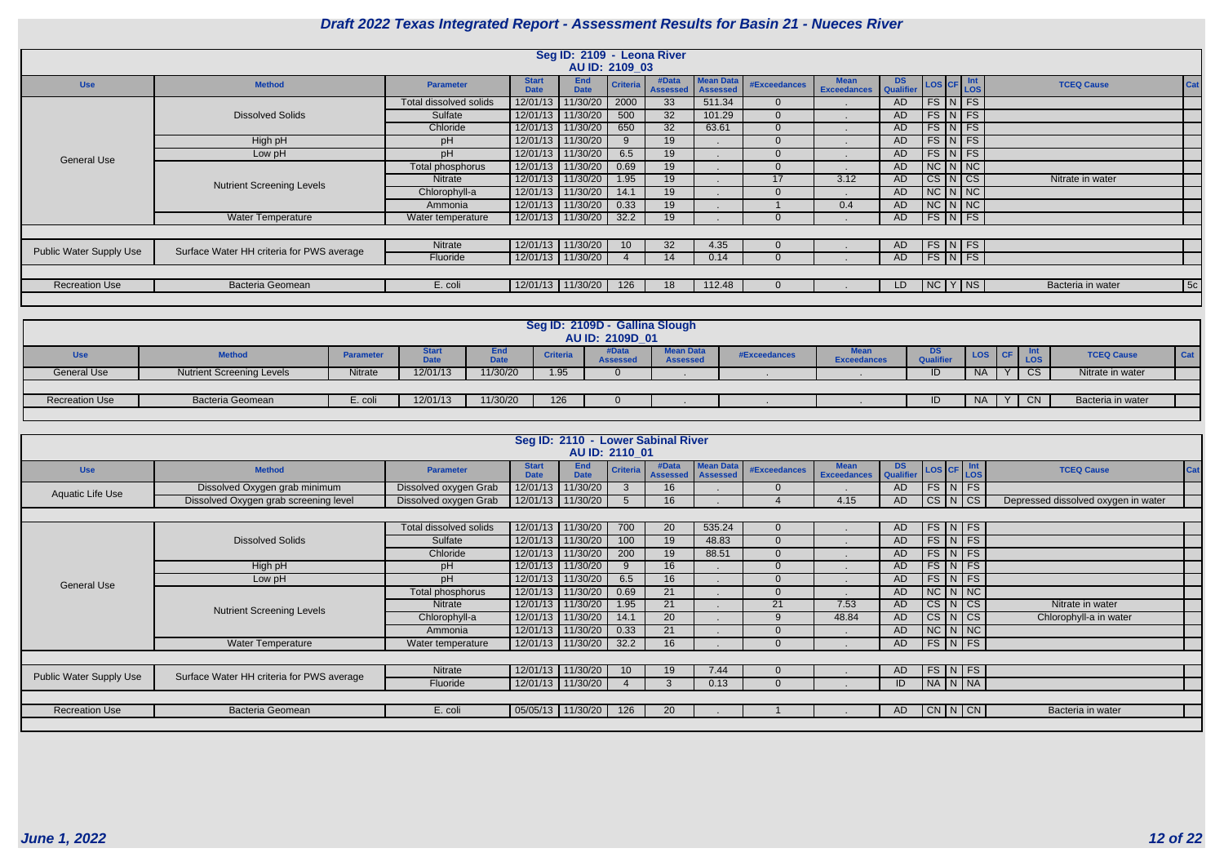| <b>DS</b><br><b>Qualifier</b> | LOS CF    |   | Int<br><b>LOS</b> | <b>TCEQ Cause</b> | Cat |
|-------------------------------|-----------|---|-------------------|-------------------|-----|
| <b>AD</b>                     | <b>FS</b> | N | <b>FS</b>         |                   |     |
| <b>AD</b>                     | <b>FS</b> | N | <b>FS</b>         |                   |     |
| <b>AD</b>                     | <b>FS</b> | N | <b>FS</b>         |                   |     |
| <b>AD</b>                     | <b>FS</b> | N | <b>FS</b>         |                   |     |
| <b>AD</b>                     | <b>FS</b> | N | <b>FS</b>         |                   |     |
| <b>AD</b>                     | <b>NC</b> | N | <b>NC</b>         |                   |     |
| <b>AD</b>                     | <b>CS</b> | N | <b>CS</b>         | Nitrate in water  |     |
| <b>AD</b>                     | <b>NC</b> | N | <b>NC</b>         |                   |     |
| <b>AD</b>                     | <b>NC</b> | N | <b>NC</b>         |                   |     |
| <b>AD</b>                     | FS.       | N | <b>FS</b>         |                   |     |
|                               |           |   |                   |                   |     |
| <b>AD</b>                     | <b>FS</b> | N | <b>FS</b>         |                   |     |
| <b>AD</b>                     | <b>FS</b> | N | <b>FS</b>         |                   |     |
|                               |           |   |                   |                   |     |
| LD                            | <b>NC</b> | Y | <b>NS</b>         | Bacteria in water | 5c  |
|                               |           |   |                   |                   |     |

|                                |                                           |                        |                             | Seg ID: 2109 - Leona River<br>AU ID: 2109 03 |                 |                              |                  |                     |                            |                        |                      |                      |                   |            |
|--------------------------------|-------------------------------------------|------------------------|-----------------------------|----------------------------------------------|-----------------|------------------------------|------------------|---------------------|----------------------------|------------------------|----------------------|----------------------|-------------------|------------|
| <b>Use</b>                     | <b>Method</b>                             | <b>Parameter</b>       | <b>Start</b><br><b>Date</b> | <b>End</b><br><b>Date</b>                    | <b>Criteria</b> | #Data<br>Assessed   Assessed | <b>Mean Data</b> | <b>#Exceedances</b> | <b>Mean</b><br>Exceedances | <b>DS</b><br>Qualifier |                      | LOS CF Int           | <b>TCEQ Cause</b> |            |
|                                |                                           | Total dissolved solids | 12/01/13                    | 11/30/20                                     | 2000            | 33                           | 511.34           | $\Omega$            |                            | AD                     |                      | $FS\vert N \vert FS$ |                   |            |
|                                | <b>Dissolved Solids</b>                   | Sulfate                | 12/01/13                    | 11/30/20                                     | 500             | 32                           | 101.29           | $\Omega$            |                            | AD.                    | $FS\vert N \vert FS$ |                      |                   |            |
|                                |                                           | Chloride               | 12/01/13                    | 11/30/20                                     | 650             | 32                           | 63.61            | 0                   |                            | AD.                    |                      | $FS\vert N \vert FS$ |                   |            |
|                                | High pH                                   | pH                     | 12/01/13                    | 11/30/20                                     |                 | 19                           |                  |                     |                            | AD.                    |                      | $FS\vert N \vert FS$ |                   |            |
| <b>General Use</b>             | Low pH                                    | pH                     | 12/01/13                    | 11/30/20                                     | 6.5             | 19                           |                  |                     |                            | AD                     |                      | $FS\overline{N}FS$   |                   |            |
|                                |                                           | Total phosphorus       | 12/01/13                    | 11/30/20                                     | 0.69            | 19                           |                  | $\Omega$            |                            | AD                     |                      | $NC$ $N$ $NC$        |                   |            |
|                                | <b>Nutrient Screening Levels</b>          | Nitrate                | 12/01/13                    | 11/30/20                                     | 1.95            | 19                           |                  | 17                  | 3.12                       | AD                     |                      | CS N CS              | Nitrate in water  |            |
|                                |                                           | Chlorophyll-a          | 12/01/13                    | 11/30/20                                     | 14.1            | 19                           |                  |                     |                            | AD                     |                      | $NC$ $N$ $NC$        |                   |            |
|                                |                                           | Ammonia                | 12/01/13                    | 11/30/20                                     | 0.33            | 19                           |                  |                     | 0.4                        | AD                     |                      | $NC$ $N$ $NC$        |                   |            |
|                                | <b>Water Temperature</b>                  | Water temperature      | 12/01/13                    | 11/30/20                                     | 32.2            | 19                           |                  |                     |                            | AD                     |                      | $FS\vert N \vert FS$ |                   |            |
|                                |                                           |                        |                             |                                              |                 |                              |                  |                     |                            |                        |                      |                      |                   |            |
|                                |                                           | Nitrate                | 12/01/13                    | 11/30/20                                     | 10 <sup>1</sup> | 32                           | 4.35             |                     |                            | AD                     |                      | $FS\overline{N}$ FS  |                   |            |
| <b>Public Water Supply Use</b> | Surface Water HH criteria for PWS average | Fluoride               |                             | 12/01/13 11/30/20                            |                 | 14                           | 0.14             | $\Omega$            |                            | AD                     |                      | $FS\vert N\vert FS$  |                   |            |
|                                |                                           |                        |                             |                                              |                 |                              |                  |                     |                            |                        |                      |                      |                   |            |
| <b>Recreation Use</b>          | <b>Bacteria Geomean</b>                   | E. coli                |                             | 12/01/13 11/30/20                            | 126             | 18                           | 112.48           |                     |                            | LD                     |                      | NCYNS                | Bacteria in water | $\vert$ 5c |
|                                |                                           |                        |                             |                                              |                 |                              |                  |                     |                            |                        |                      |                      |                   |            |

|                       |                                  |                  |                                            |                    |                 | Seg ID: 2109D - Gallina Slough<br>AU ID: 2109D_01 |                                     |              |                    |                        |           |                          |                   |            |
|-----------------------|----------------------------------|------------------|--------------------------------------------|--------------------|-----------------|---------------------------------------------------|-------------------------------------|--------------|--------------------|------------------------|-----------|--------------------------|-------------------|------------|
| <b>Use</b>            | <b>Method</b>                    | <b>Parameter</b> | <b>Start</b><br><b>D.L.</b><br><b>Date</b> | End<br><b>Date</b> | <b>Criteria</b> | #Data<br><b>Assesse</b>                           | <b>Mean Data</b><br><b>Assessed</b> | #Exceedances | <b>Exceedances</b> | DS<br><b>Qualifier</b> | LOS CF    | <b>Int</b><br><b>LOS</b> | <b>TCEQ Cause</b> | <b>Cat</b> |
| General Use           | <b>Nutrient Screening Levels</b> | Nitrate          | 12/01/13                                   | 11/30/20           | 1.95            |                                                   |                                     |              |                    | ID.                    | NA.       | CS                       | Nitrate in water  |            |
|                       |                                  |                  |                                            |                    |                 |                                                   |                                     |              |                    |                        |           |                          |                   |            |
| <b>Recreation Use</b> | <b>Bacteria Geomean</b>          | E. coli          | 12/01/13                                   | 11/30/20           | 126             |                                                   |                                     |              |                    | ID                     | <b>NA</b> | <b>CN</b>                | Bacteria in water |            |
|                       |                                  |                  |                                            |                    |                 |                                                   |                                     |              |                    |                        |           |                          |                   |            |

|                                |                                           |                        |                             | AU ID: 2110 01            |                 | Seg ID: 2110 - Lower Sabinal River |                              |              |                                   |                        |                      |  |                                     |     |
|--------------------------------|-------------------------------------------|------------------------|-----------------------------|---------------------------|-----------------|------------------------------------|------------------------------|--------------|-----------------------------------|------------------------|----------------------|--|-------------------------------------|-----|
| <b>Use</b>                     | <b>Method</b>                             | <b>Parameter</b>       | <b>Start</b><br><b>Date</b> | <b>End</b><br><b>Date</b> | <b>Criteria</b> | #Data<br><b>Assessed</b>           | <b>Mean Data</b><br>Assessed | #Exceedances | <b>Mean</b><br><b>Exceedances</b> | <b>DS</b><br>Qualifier | LOS CF Int           |  | <b>TCEQ Cause</b>                   | Cat |
| Aquatic Life Use               | Dissolved Oxygen grab minimum             | Dissolved oxygen Grab  | 12/01/13                    | 11/30/20                  | 3               | 16                                 |                              |              |                                   | <b>AD</b>              | FS N FS              |  |                                     |     |
|                                | Dissolved Oxygen grab screening level     | Dissolved oxygen Grab  |                             | 12/01/13 11/30/20         | 5               | 16                                 |                              |              | 4.15                              | AD                     | $CS\vert N\vert CS$  |  | Depressed dissolved oxygen in water |     |
|                                |                                           |                        |                             |                           |                 |                                    |                              |              |                                   |                        |                      |  |                                     |     |
|                                |                                           | Total dissolved solids |                             | 12/01/13 11/30/20         | 700             | 20                                 | 535.24                       | $\Omega$     |                                   | AD                     | $FS$ $N$ $FS$        |  |                                     |     |
|                                | <b>Dissolved Solids</b>                   | Sulfate                | 12/01/13                    | 11/30/20                  | 100             | 19                                 | 48.83                        | $\Omega$     |                                   | <b>AD</b>              | $FS\vert N \vert FS$ |  |                                     |     |
|                                |                                           | Chloride               | 12/01/13                    | 11/30/20                  | 200             | 19                                 | 88.51                        | 0            |                                   | AD                     | $FS\vert N \vert FS$ |  |                                     |     |
|                                | High pH                                   | pH                     |                             | 12/01/13 11/30/20         | 9               | 16                                 |                              | <sup>n</sup> |                                   | <b>AD</b>              | $FS\vert N \vert FS$ |  |                                     |     |
| <b>General Use</b>             | Low pH                                    | pH                     | 12/01/13                    | 11/30/20                  | 6.5             | 16                                 |                              | 0            |                                   | <b>AD</b>              | $FS\mid N \mid FS$   |  |                                     |     |
|                                |                                           | Total phosphorus       | 12/01/13                    | 11/30/20                  | 0.69            | 21                                 |                              |              |                                   | AD                     | $NC$ $N$ $NC$        |  |                                     |     |
|                                | <b>Nutrient Screening Levels</b>          | <b>Nitrate</b>         |                             | 12/01/13 11/30/20         | 1.95            | 21                                 |                              | 21           | 7.53                              | AD                     | $CS\vert N\vert CS$  |  | Nitrate in water                    |     |
|                                |                                           | Chlorophyll-a          |                             | 12/01/13 11/30/20         | 14.1            | 20                                 |                              | 9            | 48.84                             | <b>AD</b>              | $CS$ $N$ $CS$        |  | Chlorophyll-a in water              |     |
|                                |                                           | Ammonia                |                             | 12/01/13 11/30/20         | 0.33            | 21                                 |                              |              |                                   | <b>AD</b>              | $NC$ $N$ $NC$        |  |                                     |     |
|                                | <b>Water Temperature</b>                  | Water temperature      |                             | 12/01/13 11/30/20         | 32.2            | 16                                 |                              | $\Omega$     |                                   | <b>AD</b>              | $FS\vert N \vert FS$ |  |                                     |     |
|                                |                                           |                        |                             |                           |                 |                                    |                              |              |                                   |                        |                      |  |                                     |     |
| <b>Public Water Supply Use</b> | Surface Water HH criteria for PWS average | Nitrate                |                             | 12/01/13 11/30/20         | 10 <sup>°</sup> | 19                                 | 7.44                         | $\Omega$     |                                   | AD.                    | $FS$ N FS            |  |                                     |     |
|                                |                                           | Fluoride               |                             | 12/01/13 11/30/20         |                 | 3                                  | 0.13                         |              |                                   | ID                     | NA   N   NA          |  |                                     |     |
|                                |                                           |                        |                             |                           |                 |                                    |                              |              |                                   |                        |                      |  |                                     |     |
| <b>Recreation Use</b>          | <b>Bacteria Geomean</b>                   | E. coli                | 05/05/13 11/30/20           |                           | 126             | 20                                 |                              |              |                                   | AD                     | CN N CN              |  | Bacteria in water                   |     |
|                                |                                           |                        |                             |                           |                 |                                    |                              |              |                                   |                        |                      |  |                                     |     |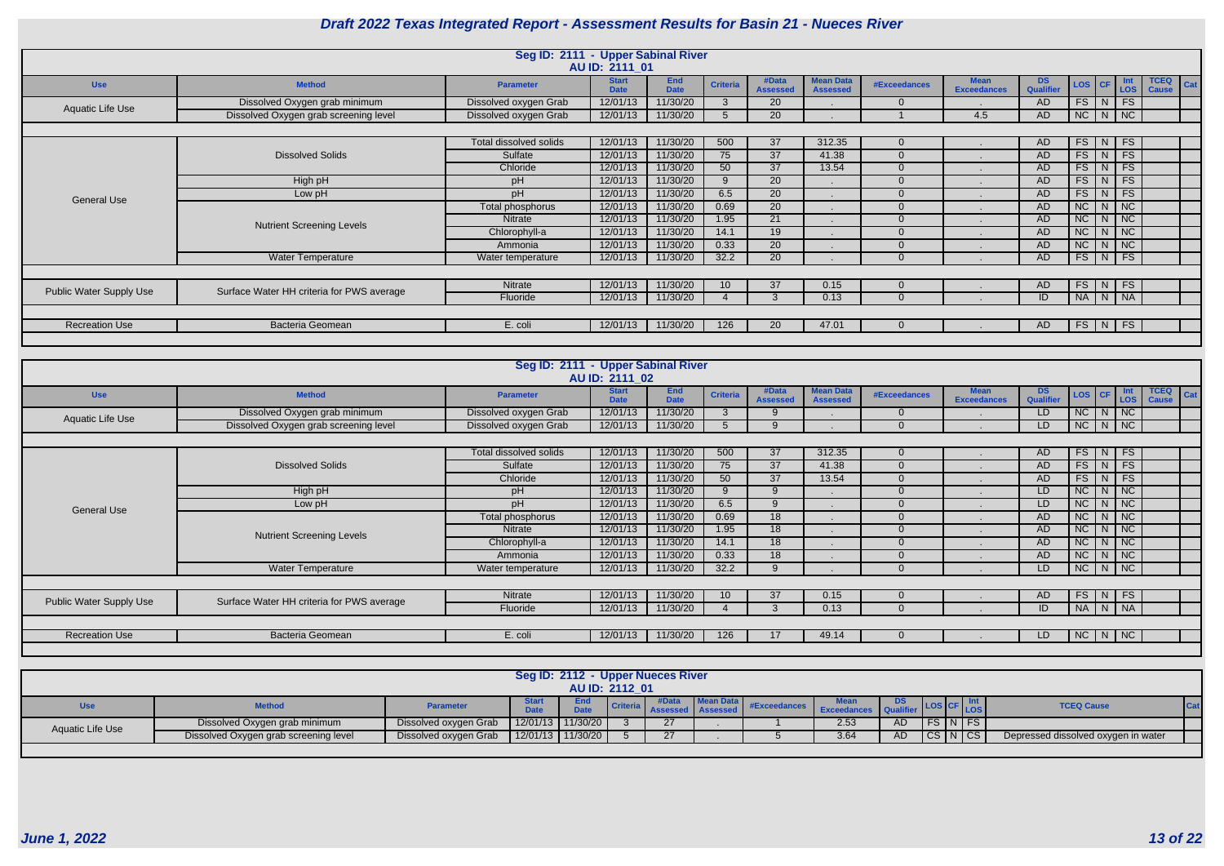|                         |                                           | Seg ID: 2111 - Upper Sabinal River |                             |                           |                 |                          |                                     |              |                                   |                         |               |                               |                                                    |
|-------------------------|-------------------------------------------|------------------------------------|-----------------------------|---------------------------|-----------------|--------------------------|-------------------------------------|--------------|-----------------------------------|-------------------------|---------------|-------------------------------|----------------------------------------------------|
|                         |                                           |                                    | AU ID: 2111 01              |                           |                 |                          |                                     |              |                                   |                         |               |                               |                                                    |
| <b>Use</b>              | <b>Method</b>                             | <b>Parameter</b>                   | <b>Start</b><br><b>Date</b> | <b>End</b><br><b>Date</b> | <b>Criteria</b> | #Data<br><b>Assessed</b> | <b>Mean Data</b><br><b>Assessed</b> | #Exceedances | <b>Mean</b><br><b>Exceedances</b> | DS.<br><b>Qualifier</b> | LOS   CF      | $\left  \begin{array}{c}$ Int | <b>TCEQ</b><br>$\vert$ Cat $\vert$<br><b>Cause</b> |
| Aquatic Life Use        | Dissolved Oxygen grab minimum             | Dissolved oxygen Grab              | 12/01/13                    | 11/30/20                  | $\mathbf{3}$    | 20                       |                                     |              |                                   | <b>AD</b>               | $FS$ $N$      | FS                            |                                                    |
|                         | Dissolved Oxygen grab screening level     | Dissolved oxygen Grab              | 12/01/13                    | 11/30/20                  | 5               | 20                       |                                     |              | 4.5                               | AD                      | $NC$ $N$ $NC$ |                               |                                                    |
|                         |                                           |                                    |                             |                           |                 |                          |                                     |              |                                   |                         |               |                               |                                                    |
|                         |                                           | Total dissolved solids             | 12/01/13                    | 11/30/20                  | 500             | 37                       | 312.35                              |              |                                   | AD                      | $FS$ N FS     |                               |                                                    |
|                         | <b>Dissolved Solids</b>                   | Sulfate                            | 12/01/13                    | 11/30/20                  | 75              | 37                       | 41.38                               | $\Omega$     |                                   | <b>AD</b>               |               | $FS$ $N$ $FS$                 |                                                    |
|                         |                                           | Chloride                           | 12/01/13                    | 11/30/20                  | 50              | 37                       | 13.54                               |              |                                   | <b>AD</b>               | $FS$ $N$ $FS$ |                               |                                                    |
|                         | High pH                                   | pH                                 | 12/01/13                    | 11/30/20                  | 9               | 20                       |                                     | $\Omega$     |                                   | <b>AD</b>               | $FS$ N FS     |                               |                                                    |
| <b>General Use</b>      | Low pH                                    | pH                                 | 12/01/13                    | 11/30/20                  | 6.5             | 20                       |                                     |              |                                   | <b>AD</b>               | $FS$ $N$      | FS                            |                                                    |
|                         |                                           | Total phosphorus                   | 12/01/13                    | 11/30/20                  | 0.69            | 20                       |                                     |              |                                   | <b>AD</b>               |               | $NC$ $N$ $NC$                 |                                                    |
|                         | <b>Nutrient Screening Levels</b>          | <b>Nitrate</b>                     | 12/01/13                    | 11/30/20                  | 1.95            | 21                       |                                     |              |                                   | <b>AD</b>               | $NC$ $N$ $NC$ |                               |                                                    |
|                         |                                           | Chlorophyll-a                      | 12/01/13                    | 11/30/20                  | 14.1            | 19                       |                                     |              |                                   | <b>AD</b>               | $NC$ $N$ $NC$ |                               |                                                    |
|                         |                                           | Ammonia                            | 12/01/13                    | 11/30/20                  | 0.33            | 20                       |                                     |              | . .                               | AD                      |               | $NC \mid N \mid NC$           |                                                    |
|                         | <b>Water Temperature</b>                  | Water temperature                  | 12/01/13                    | 11/30/20                  | 32.2            | 20                       |                                     |              |                                   | <b>AD</b>               |               | $FS$ $N$ $FS$                 |                                                    |
|                         |                                           |                                    |                             |                           |                 |                          |                                     |              |                                   |                         |               |                               |                                                    |
| Public Water Supply Use | Surface Water HH criteria for PWS average | Nitrate                            | 12/01/13                    | 11/30/20                  |                 | 37                       | 0.15                                |              |                                   | AD.                     | $FS$ N FS     |                               |                                                    |
|                         |                                           | Fluoride                           | 12/01/13                    | 11/30/20                  |                 |                          | 0.13                                |              |                                   | ID                      | NA N NA       |                               |                                                    |
|                         |                                           |                                    |                             |                           |                 |                          |                                     |              |                                   |                         |               |                               |                                                    |
| <b>Recreation Use</b>   | Bacteria Geomean                          | E. coli                            | 12/01/13                    | 11/30/20                  | 126             | 20                       | 47.01                               |              |                                   | AD                      | $FS$ N FS     |                               |                                                    |
|                         |                                           |                                    |                             |                           |                 |                          |                                     |              |                                   |                         |               |                               |                                                    |

|                                |                                           | Seg ID: 2111 - Upper Sabinal River | AU ID: 2111 02              |                           |                 |                          |                                     |                     |                                   |                         |          |              |            |                             |     |
|--------------------------------|-------------------------------------------|------------------------------------|-----------------------------|---------------------------|-----------------|--------------------------|-------------------------------------|---------------------|-----------------------------------|-------------------------|----------|--------------|------------|-----------------------------|-----|
| <b>Use</b>                     | <b>Method</b>                             | Parameter                          | <b>Start</b><br><b>Date</b> | <b>End</b><br><b>Date</b> | <b>Criteria</b> | #Data<br><b>Assessed</b> | <b>Mean Data</b><br><b>Assessed</b> | <b>#Exceedances</b> | <b>Mean</b><br><b>Exceedances</b> | DS.<br><b>Qualifier</b> | LOS CF   |              | Int<br>LOS | <b>TCEQ</b><br><b>Cause</b> | Cat |
| Aquatic Life Use               | Dissolved Oxygen grab minimum             | Dissolved oxygen Grab              | 12/01/13                    | 11/30/20                  | 3               |                          |                                     | $\Omega$            |                                   | LD                      | NC       | N            | <b>NC</b>  |                             |     |
|                                | Dissolved Oxygen grab screening level     | Dissolved oxygen Grab              | 12/01/13                    | 11/30/20                  | $\overline{5}$  |                          |                                     |                     |                                   | LD                      | NC       | N            | NC         |                             |     |
|                                |                                           |                                    |                             |                           |                 |                          |                                     |                     |                                   |                         |          |              |            |                             |     |
|                                |                                           | Total dissolved solids             | 12/01/13                    | 11/30/20                  | 500             | 37                       | 312.35                              | $\Omega$            |                                   | <b>AD</b>               | $FS$   N |              | FS         |                             |     |
|                                | <b>Dissolved Solids</b>                   | Sulfate                            | 12/01/13                    | 11/30/20                  | 75              | 37                       | 41.38                               |                     |                                   | <b>AD</b>               | FS       | N            | <b>FS</b>  |                             |     |
|                                |                                           | Chloride                           | 12/01/13                    | 11/30/20                  | 50              | 37                       | 13.54                               |                     |                                   | AD                      | FS       | N            | FS         |                             |     |
|                                | High pH                                   | pH                                 | 12/01/13                    | 11/30/20                  | 9               |                          |                                     |                     |                                   | LD.                     | NC       | N            | NC         |                             |     |
| <b>General Use</b>             | Low pH                                    | pH                                 | 12/01/13                    | 11/30/20                  | 6.5             |                          |                                     |                     |                                   | LD                      | NC       | N            | NC         |                             |     |
|                                |                                           | Total phosphorus                   | 12/01/13                    | 11/30/20                  | 0.69            | 18                       |                                     |                     |                                   | <b>AD</b>               | NC       | $\mathsf{N}$ | NC         |                             |     |
|                                | <b>Nutrient Screening Levels</b>          | <b>Nitrate</b>                     | 12/01/13                    | 11/30/20                  | 1.95            | 18                       |                                     |                     |                                   | AD.                     | NC       | N            | NC         |                             |     |
|                                |                                           | Chlorophyll-a                      | 12/01/13                    | 11/30/20                  | 14.1            | 18                       |                                     |                     |                                   | AD.                     | NC       | N            | NC         |                             |     |
|                                |                                           | Ammonia                            | 12/01/13                    | 11/30/20                  | 0.33            | 18                       |                                     |                     |                                   | <b>AD</b>               | NC       | N            | <b>NC</b>  |                             |     |
|                                | <b>Water Temperature</b>                  | Water temperature                  | 12/01/13                    | 11/30/20                  | 32.2            |                          |                                     |                     |                                   | LD.                     | NC       | N            | NC         |                             |     |
|                                |                                           |                                    |                             |                           |                 |                          |                                     |                     |                                   |                         |          |              |            |                             |     |
| <b>Public Water Supply Use</b> | Surface Water HH criteria for PWS average | Nitrate                            | 12/01/13                    | 11/30/20                  | 10              | 37                       | 0.15                                | $\Omega$            |                                   | AD                      | FS       | N            | FS         |                             |     |
|                                |                                           | Fluoride                           | 12/01/13                    | 11/30/20                  |                 | 3                        | 0.13                                | $\Omega$            |                                   | ID                      | NA N     |              | <b>NA</b>  |                             |     |
|                                |                                           |                                    |                             |                           |                 |                          |                                     |                     |                                   |                         |          |              |            |                             |     |
| <b>Recreation Use</b>          | <b>Bacteria Geomean</b>                   | E. coli                            | 12/01/13                    | 11/30/20                  | 126             |                          | 49.14                               |                     |                                   | LD                      | NC       | N            | N          |                             |     |
|                                |                                           |                                    |                             |                           |                 |                          |                                     |                     |                                   |                         |          |              |            |                             |     |

|                  |                                       |                       |                             | Seg ID: 2112 - Upper Nueces River |                |    |  |                    |     |         |           |                                     |  |
|------------------|---------------------------------------|-----------------------|-----------------------------|-----------------------------------|----------------|----|--|--------------------|-----|---------|-----------|-------------------------------------|--|
|                  |                                       |                       |                             |                                   | AU ID: 2112 01 |    |  |                    |     |         |           |                                     |  |
|                  | <b>Method</b>                         | Parameter             | <b>Start</b><br><b>Date</b> | <b>End</b><br><b>Date</b>         | Criteria       |    |  | <b>Exceedances</b> |     |         |           | <b>TCEQ Cause</b>                   |  |
| Aquatic Life Use | Dissolved Oxygen grab minimum         | Dissolved oxygen Grab | $12/01/13$ 11/30/20         |                                   |                | 27 |  | 2.53               | AD. |         | <b>FS</b> |                                     |  |
|                  | Dissolved Oxygen grab screening level | Dissolved oxygen Grab |                             | $12/01/13$ 11/30/20               |                | 27 |  | 3.64               | AD. | CS N CS |           | Depressed dissolved oxygen in water |  |
|                  |                                       |                       |                             |                                   |                |    |  |                    |     |         |           |                                     |  |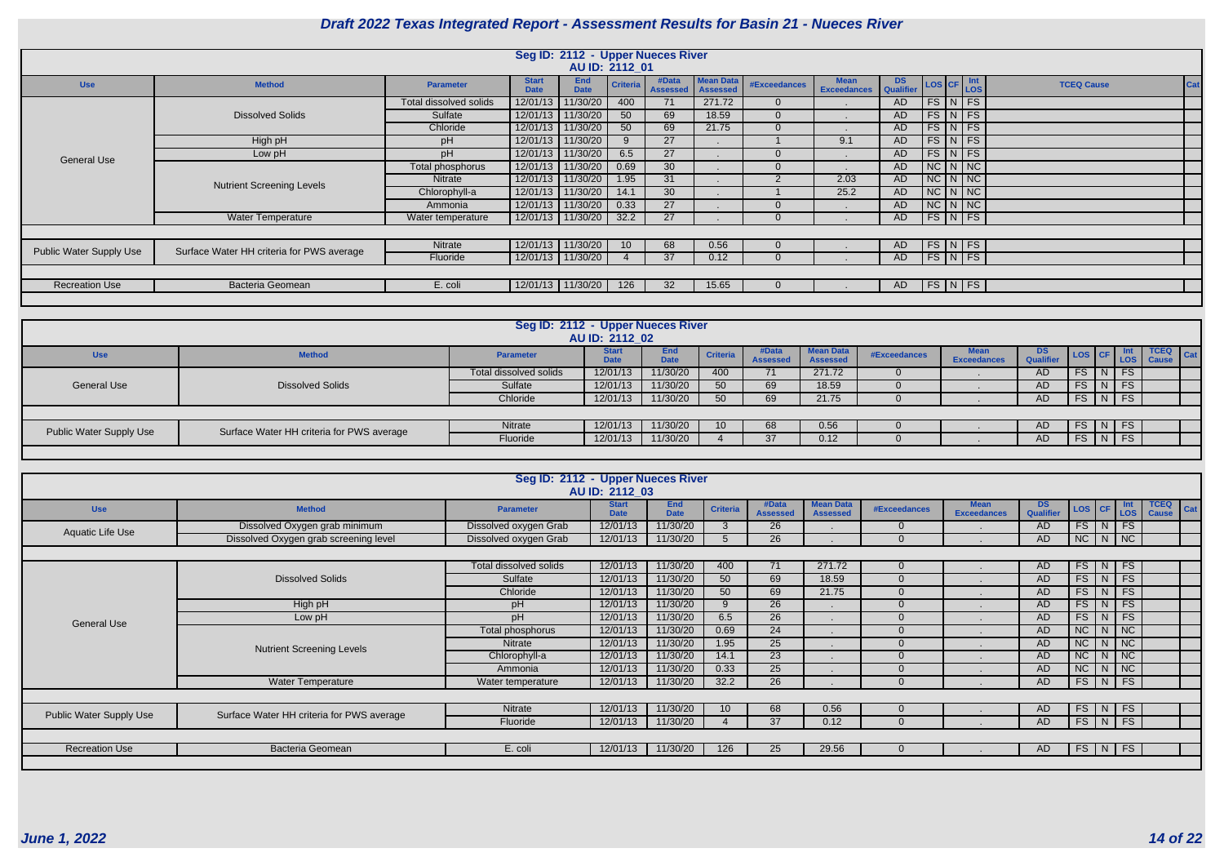| <b>DS</b><br><b>Qualifier</b> | <b>LOS</b> | <b>CF</b> | Int<br><b>LOS</b> | <b>TCEQ Cause</b> | Cat |
|-------------------------------|------------|-----------|-------------------|-------------------|-----|
| <b>AD</b>                     | <b>FS</b>  | N         | <b>FS</b>         |                   |     |
| <b>AD</b>                     | <b>FS</b>  | N         | <b>FS</b>         |                   |     |
| <b>AD</b>                     | <b>FS</b>  | N         | <b>FS</b>         |                   |     |
| <b>AD</b>                     | <b>FS</b>  | N         | <b>FS</b>         |                   |     |
| <b>AD</b>                     | <b>FS</b>  | N         | <b>FS</b>         |                   |     |
| <b>AD</b>                     | <b>NC</b>  | N         | <b>NC</b>         |                   |     |
| <b>AD</b>                     | <b>NC</b>  | N         | <b>NC</b>         |                   |     |
| <b>AD</b>                     | <b>NC</b>  | N         | <b>NC</b>         |                   |     |
| <b>AD</b>                     | <b>NC</b>  | N         | <b>NC</b>         |                   |     |
| <b>AD</b>                     | <b>FS</b>  | N         | FS                |                   |     |
|                               |            |           |                   |                   |     |
| <b>AD</b>                     | <b>FS</b>  | N         | <b>FS</b>         |                   |     |
| <b>AD</b>                     | <b>FS</b>  | N         | <b>FS</b>         |                   |     |
|                               |            |           |                   |                   |     |
| <b>AD</b>                     | <b>FS</b>  | N         | FS                |                   |     |
|                               |            |           |                   |                   |     |

|                                |                                           |                        |                             | Seg ID: 2112 - Upper Nueces River |                 |                          |                                     |                     |                                   |                               |                      |                    |  |
|--------------------------------|-------------------------------------------|------------------------|-----------------------------|-----------------------------------|-----------------|--------------------------|-------------------------------------|---------------------|-----------------------------------|-------------------------------|----------------------|--------------------|--|
|                                |                                           |                        |                             | AU ID: 2112_01                    |                 |                          |                                     |                     |                                   |                               |                      |                    |  |
| <b>Use</b>                     | <b>Method</b>                             | <b>Parameter</b>       | <b>Start</b><br><b>Date</b> | <b>End</b><br><b>Date</b>         | <b>Criteria</b> | #Data<br><b>Assessed</b> | <b>Mean Data</b><br><b>Assessed</b> | <b>#Exceedances</b> | <b>Mean</b><br><b>Exceedances</b> | <b>DS</b><br><b>Qualifier</b> | LOS CF Int           |                    |  |
|                                |                                           | Total dissolved solids | 12/01/13                    | 1/30/20                           | 400             | 71                       | 271.72                              | 0                   |                                   | <b>AD</b>                     |                      | $FS\mid N \mid FS$ |  |
|                                | <b>Dissolved Solids</b>                   | Sulfate                | 12/01/13                    | 11/30/20                          | 50              | 69                       | 18.59                               | $\Omega$            |                                   | <b>AD</b>                     |                      | $FS\mid N \mid FS$ |  |
|                                |                                           | Chloride               | 12/01/13                    | 11/30/20                          | 50              | 69                       | 21.75                               | $\Omega$            |                                   | <b>AD</b>                     |                      | $FS\mid N \mid FS$ |  |
|                                | High pH                                   | pH                     | 12/01/13                    | 11/30/20                          | 9               | 27                       |                                     |                     | 9.1                               | <b>AD</b>                     |                      | $FS$ $N$ $FS$      |  |
| <b>General Use</b>             | Low pH                                    | pН                     | 12/01/13                    | 11/30/20                          | 6.5             | 27                       |                                     |                     |                                   | <b>AD</b>                     |                      | $FS$ N FS          |  |
|                                |                                           | Total phosphorus       | 12/01/13                    | 11/30/20                          | 0.69            | 30                       |                                     | 0                   |                                   | <b>AD</b>                     | $NC$ $N$ $NC$        |                    |  |
|                                | <b>Nutrient Screening Levels</b>          | <b>Nitrate</b>         | 12/01/13                    | 11/30/20                          | 1.95            | 31                       |                                     | 2                   | 2.03                              | <b>AD</b>                     | $NC$ $N$ $NC$        |                    |  |
|                                |                                           | Chlorophyll-a          | 12/01/13                    | 11/30/20                          | 14.1            | 30                       |                                     |                     | 25.2                              | <b>AD</b>                     | $NC$ $N$ $NC$        |                    |  |
|                                |                                           | Ammonia                | 12/01/13                    | 11/30/20                          | 0.33            | 27                       |                                     |                     |                                   | <b>AD</b>                     | $NC$ $N$ $NC$        |                    |  |
|                                | <b>Water Temperature</b>                  | Water temperature      | 12/01/13                    | 11/30/20                          | 32.2            | 27                       |                                     |                     |                                   | <b>AD</b>                     | $FS$ N FS            |                    |  |
|                                |                                           |                        |                             |                                   |                 |                          |                                     |                     |                                   |                               |                      |                    |  |
|                                |                                           | Nitrate                | 12/01/13                    | 11/30/20                          | 10 <sup>°</sup> | 68                       | 0.56                                |                     |                                   | <b>AD</b>                     | $FS$ N FS            |                    |  |
| <b>Public Water Supply Use</b> | Surface Water HH criteria for PWS average | Fluoride               | 12/01/13                    | 11/30/20                          |                 | 37                       | 0.12                                | 0                   |                                   | <b>AD</b>                     | $FS\mid N \mid FS$   |                    |  |
|                                |                                           |                        |                             |                                   |                 |                          |                                     |                     |                                   |                               |                      |                    |  |
| <b>Recreation Use</b>          | Bacteria Geomean                          | E. coli                | 12/01/13                    | 11/30/20                          | 126             | 32                       | 15.65                               |                     |                                   | <b>AD</b>                     | $FS\vert N \vert FS$ |                    |  |
|                                |                                           |                        |                             |                                   |                 |                          |                                     |                     |                                   |                               |                      |                    |  |

|                         |                                           | Seg ID: 2112 - Upper Nueces River | AU ID: 2112 02              |                    |                 |                          |                              |              |                            |                                    |                 |               |                             |
|-------------------------|-------------------------------------------|-----------------------------------|-----------------------------|--------------------|-----------------|--------------------------|------------------------------|--------------|----------------------------|------------------------------------|-----------------|---------------|-----------------------------|
| <b>Use</b>              | <b>Method</b>                             | <b>Parameter</b>                  | <b>Start</b><br><b>Date</b> | End<br><b>Date</b> | <b>Criteria</b> | #Data<br><b>Assessed</b> | <b>Mean Data</b><br>Assessed | #Exceedances | Mear<br><b>Exceedances</b> | D <sub>2</sub><br><b>Qualifier</b> | LOS CF LOS Land |               | <b>ICEQ</b><br>Cat<br>Cause |
|                         |                                           | Total dissolved solids            | 12/01/13                    | 11/30/20           | 400             | 71                       | 271.72                       |              |                            | AD                                 | $FS$ $N$ $FS$   |               |                             |
| <b>General Use</b>      | <b>Dissolved Solids</b>                   | Sulfate                           | 12/01/13                    | 11/30/20           | 50              | 69                       | 18.59                        |              |                            | AD                                 |                 | $FS$ $N$ $FS$ |                             |
|                         |                                           | Chloride                          | 12/01/13                    | 11/30/20           | 50              | 69                       | 21.75                        |              |                            | AD                                 | $FS$ $N$ $FS$   |               |                             |
|                         |                                           |                                   |                             |                    |                 |                          |                              |              |                            |                                    |                 |               |                             |
| Public Water Supply Use | Surface Water HH criteria for PWS average | Nitrate                           | 12/01/13                    | 11/30/20           |                 | 68                       | 0.56                         |              |                            | AD                                 |                 | $FS$ N FS     |                             |
|                         |                                           | Fluoride                          | 12/01/13                    | 11/30/20           |                 | 37                       | 0.12                         |              |                            | AD                                 |                 | $FS$ $N$ $FS$ |                             |
|                         |                                           |                                   |                             |                    |                 |                          |                              |              |                            |                                    |                 |               |                             |

|                                |                                           | Seg ID: 2112 - Upper Nueces River | AU ID: 2112 03              |                    |                 |                          |                                     |                     |                                   |                               |                     |                      |                                    |
|--------------------------------|-------------------------------------------|-----------------------------------|-----------------------------|--------------------|-----------------|--------------------------|-------------------------------------|---------------------|-----------------------------------|-------------------------------|---------------------|----------------------|------------------------------------|
| <b>Use</b>                     | <b>Method</b>                             | <b>Parameter</b>                  | <b>Start</b><br><b>Date</b> | End<br><b>Date</b> | <b>Criteria</b> | #Data<br><b>Assessed</b> | <b>Mean Data</b><br><b>Assessed</b> | <b>#Exceedances</b> | <b>Mean</b><br><b>Exceedances</b> | <b>DS</b><br><b>Qualifier</b> | LOS CF              | Int<br>LOS           | <b>TCEQ</b><br>Cat<br><b>Cause</b> |
|                                | Dissolved Oxygen grab minimum             | Dissolved oxygen Grab             | 12/01/13                    | 11/30/20           | $\mathbf{3}$    | 26                       |                                     |                     |                                   | AD.                           | FS                  | FS<br>N              |                                    |
| Aquatic Life Use               | Dissolved Oxygen grab screening level     | Dissolved oxygen Grab             | 12/01/13                    | 11/30/20           | 5               | 26                       |                                     |                     |                                   | AD                            | $NC$ $N$ $NC$       |                      |                                    |
|                                |                                           |                                   |                             |                    |                 |                          |                                     |                     |                                   |                               |                     |                      |                                    |
|                                |                                           | Total dissolved solids            | 12/01/13                    | 11/30/20           | 400             | 71                       | 271.72                              |                     |                                   | AD                            | $FS$ $N$            | FS                   |                                    |
|                                | <b>Dissolved Solids</b>                   | Sulfate                           | 12/01/13                    | 11/30/20           | 50              | 69                       | 18.59                               |                     |                                   | <b>AD</b>                     | $FS$ $N$            | FS                   |                                    |
|                                |                                           | Chloride                          | 12/01/13                    | 11/30/20           | 50              | 69                       | 21.75                               | $\Omega$            |                                   | <b>AD</b>                     | FS                  | FS<br>N              |                                    |
|                                | High pH                                   | pH                                | 12/01/13                    | 11/30/20           | 9               | 26                       |                                     | $\Omega$            |                                   | <b>AD</b>                     | FS                  | FS<br>N              |                                    |
| <b>General Use</b>             | Low pH                                    | pH                                | 12/01/13                    | 11/30/20           | 6.5             | 26                       |                                     |                     |                                   | AD                            | $FS$ $N$            | FS                   |                                    |
|                                |                                           | Total phosphorus                  | 12/01/13                    | 11/30/20           | 0.69            | 24                       |                                     |                     |                                   | <b>AD</b>                     | $NC$ $N$ $NC$       |                      |                                    |
|                                | <b>Nutrient Screening Levels</b>          | Nitrate                           | 12/01/13                    | 11/30/20           | 1.95            | 25                       |                                     | $\Omega$            |                                   | <b>AD</b>                     | $NC \mid N \mid NC$ |                      |                                    |
|                                |                                           | Chlorophyll-a                     | 12/01/13                    | 11/30/20           | 14.1            | 23                       |                                     | $\cap$              |                                   | <b>AD</b>                     | NC                  | $N$ NC               |                                    |
|                                |                                           | Ammonia                           | 12/01/13                    | 11/30/20           | 0.33            | 25                       |                                     |                     |                                   | <b>AD</b>                     | NC                  | $N$ NC               |                                    |
|                                | <b>Water Temperature</b>                  | Water temperature                 | 12/01/13                    | 11/30/20           | 32.2            | 26                       |                                     |                     |                                   | <b>AD</b>                     | $FS$ $N$            | FS                   |                                    |
|                                |                                           |                                   |                             |                    |                 |                          |                                     |                     |                                   |                               |                     |                      |                                    |
| <b>Public Water Supply Use</b> | Surface Water HH criteria for PWS average | Nitrate                           | 12/01/13                    | 11/30/20           |                 | 68                       | 0.56                                |                     |                                   | <b>AD</b>                     | FS                  | FS<br>N <sub>1</sub> |                                    |
|                                |                                           | Fluoride                          | 12/01/13                    | 11/30/20           |                 | 37                       | 0.12                                | - 0                 |                                   | <b>AD</b>                     | $FS$ $N$            | FS                   |                                    |
|                                |                                           |                                   |                             |                    |                 |                          |                                     |                     |                                   |                               |                     |                      |                                    |
| <b>Recreation Use</b>          | Bacteria Geomean                          | E. coli                           | 12/01/13                    | 11/30/20           | 126             | 25                       | 29.56                               |                     |                                   | AD.                           | FS                  | <b>FS</b><br>N       |                                    |
|                                |                                           |                                   |                             |                    |                 |                          |                                     |                     |                                   |                               |                     |                      |                                    |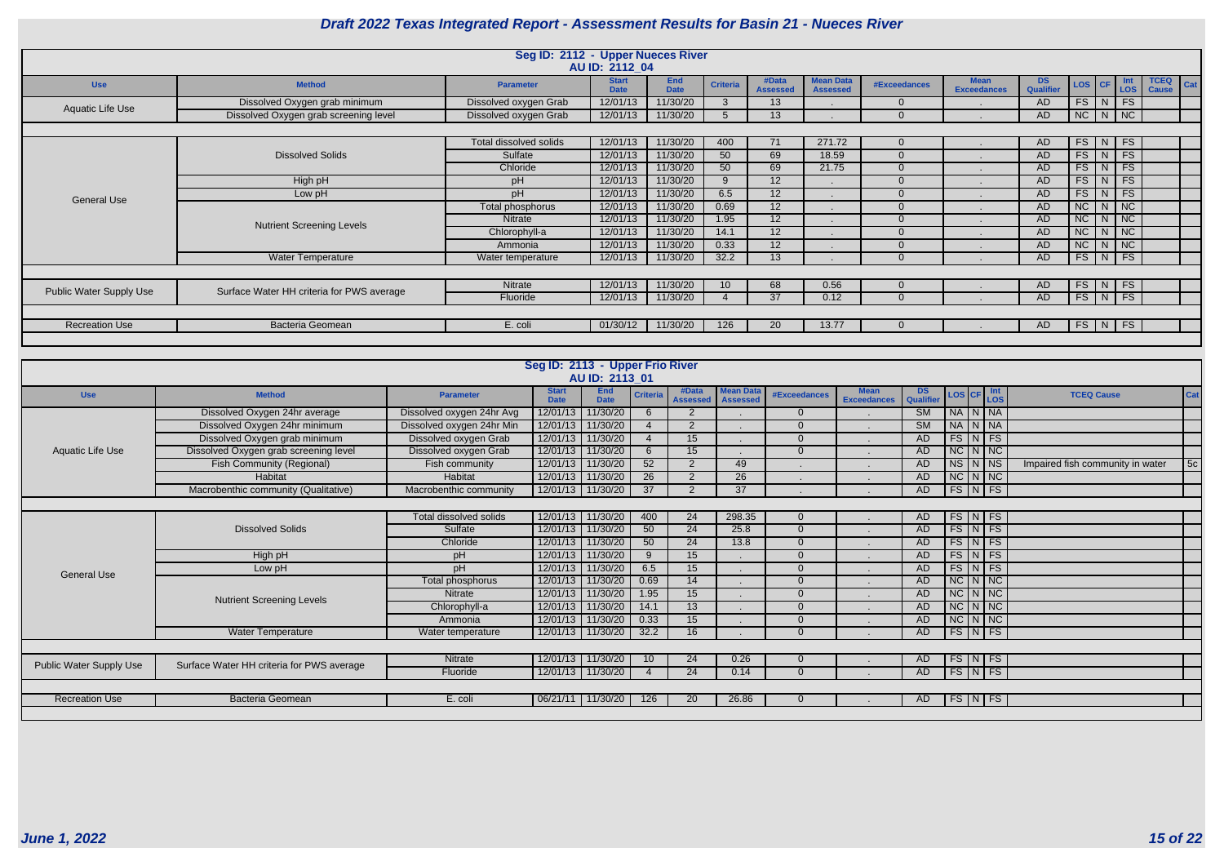|                                |                                           | Seg ID: 2112 - Upper Nueces River |                             |                           |                 |                          |                                     |              |                                   |                         |               |                |                                    |
|--------------------------------|-------------------------------------------|-----------------------------------|-----------------------------|---------------------------|-----------------|--------------------------|-------------------------------------|--------------|-----------------------------------|-------------------------|---------------|----------------|------------------------------------|
|                                |                                           |                                   | AU ID: 2112_04              |                           |                 |                          |                                     |              |                                   |                         |               |                |                                    |
| <b>Use</b>                     | <b>Method</b>                             | <b>Parameter</b>                  | <b>Start</b><br><b>Date</b> | <b>End</b><br><b>Date</b> | <b>Criteria</b> | #Data<br><b>Assessed</b> | <b>Mean Data</b><br><b>Assessed</b> | #Exceedances | <b>Mean</b><br><b>Exceedances</b> | DS.<br><b>Qualifier</b> | LOS   CF      | Int<br>$-$ LOS | <b>TCEQ</b><br>Cat<br><b>Cause</b> |
| Aquatic Life Use               | Dissolved Oxygen grab minimum             | Dissolved oxygen Grab             | 12/01/13                    | 11/30/20                  | $\mathbf{3}$    | 13 <sup>°</sup>          |                                     | $\Omega$     |                                   | <b>AD</b>               | $FS$ $N$      | FS             |                                    |
|                                | Dissolved Oxygen grab screening level     | Dissolved oxygen Grab             | 12/01/13                    | 11/30/20                  | $\overline{5}$  | 13                       |                                     |              |                                   | <b>AD</b>               | $NC$ $N$ $NC$ |                |                                    |
|                                |                                           |                                   |                             |                           |                 |                          |                                     |              |                                   |                         |               |                |                                    |
|                                |                                           | Total dissolved solids            | 12/01/13                    | 11/30/20                  | 400             | 71                       | 271.72                              | $\Omega$     |                                   | AD                      | $FS$ N FS     |                |                                    |
|                                | <b>Dissolved Solids</b>                   | Sulfate                           | 12/01/13                    | 11/30/20                  | 50              | 69                       | 18.59                               |              |                                   | AD                      | $FS$ $N$ $FS$ |                |                                    |
|                                |                                           | Chloride                          | 12/01/13                    | 11/30/20                  | 50              | 69                       | 21.75                               |              |                                   | <b>AD</b>               | $FS$ $N$      | <b>FS</b>      |                                    |
|                                | High pH                                   | pH                                | 12/01/13                    | 11/30/20                  | $\mathbf{Q}$    | 12 <sup>2</sup>          |                                     |              |                                   | <b>AD</b>               | $FS$ N        | FS             |                                    |
| <b>General Use</b>             | Low pH                                    | pH                                | 12/01/13                    | 11/30/20                  | 6.5             | $12 \overline{ }$        |                                     | $\Omega$     |                                   | <b>AD</b>               | $FS$ $N$      | FS             |                                    |
|                                |                                           | Total phosphorus                  | 12/01/13                    | 11/30/20                  | 0.69            | 12                       |                                     |              |                                   | <b>AD</b>               | $NC$ $N$ $NC$ |                |                                    |
|                                | <b>Nutrient Screening Levels</b>          | <b>Nitrate</b>                    | 12/01/13                    | 11/30/20                  | 1.95            | 12                       |                                     |              |                                   | <b>AD</b>               | $NC$ $N$ $NC$ |                |                                    |
|                                |                                           | Chlorophyll-a                     | 12/01/13                    | 11/30/20                  | 14.1            | 12                       |                                     |              |                                   | <b>AD</b>               | $NC$ $N$ $NC$ |                |                                    |
|                                |                                           | Ammonia                           | 12/01/13                    | 11/30/20                  | 0.33            | $12 \overline{ }$        |                                     |              |                                   | <b>AD</b>               | $NC$ $N$ $NC$ |                |                                    |
|                                | <b>Water Temperature</b>                  | Water temperature                 | 12/01/13                    | 11/30/20                  | 32.2            | 13 <sup>°</sup>          |                                     |              |                                   | <b>AD</b>               | $FS$ $N$      | <b>FS</b>      |                                    |
|                                |                                           |                                   |                             |                           |                 |                          |                                     |              |                                   |                         |               |                |                                    |
| <b>Public Water Supply Use</b> | Surface Water HH criteria for PWS average | Nitrate                           | 12/01/13                    | 11/30/20                  | 10              | 68                       | 0.56                                |              |                                   | AD                      | $FS$ N FS     |                |                                    |
|                                |                                           | Fluoride                          | 12/01/13                    | 11/30/20                  |                 | 37                       | 0.12                                | $\Omega$     |                                   | <b>AD</b>               | $FS$ $N$ $FS$ |                |                                    |
|                                |                                           |                                   |                             |                           |                 |                          |                                     |              |                                   |                         |               |                |                                    |
| <b>Recreation Use</b>          | <b>Bacteria Geomean</b>                   | E. coli                           | 01/30/12                    | 11/30/20                  | 126             | 20                       | 13.77                               |              |                                   | AD                      | $FS$ N FS     |                |                                    |
|                                |                                           |                                   |                             |                           |                 |                          |                                     |              |                                   |                         |               |                |                                    |

|                                |                                           |                           | Seg ID: 2113 - Upper Frio River | AU ID: 2113 01            |                 |                          |                                     |                     |                                   |                 |                                                          |  |                                  |            |
|--------------------------------|-------------------------------------------|---------------------------|---------------------------------|---------------------------|-----------------|--------------------------|-------------------------------------|---------------------|-----------------------------------|-----------------|----------------------------------------------------------|--|----------------------------------|------------|
| <b>Use</b>                     | <b>Method</b>                             | <b>Parameter</b>          | <b>Start</b><br><b>Date</b>     | <b>End</b><br><b>Date</b> | <b>Criteria</b> | #Data<br><b>Assessed</b> | <b>Mean Data</b><br><b>Assessed</b> | <b>#Exceedances</b> | <b>Mean</b><br><b>Exceedances</b> | DS<br>Qualifier | $\text{LoS}$ $\text{CF}$ $\frac{\text{Int}}{\text{LoS}}$ |  | <b>TCEQ Cause</b>                | <b>Cat</b> |
|                                | Dissolved Oxygen 24hr average             | Dissolved oxygen 24hr Avg |                                 | 12/01/13 11/30/20         |                 | -2                       |                                     |                     |                                   | <b>SM</b>       | NA N NA                                                  |  |                                  |            |
|                                | Dissolved Oxygen 24hr minimum             | Dissolved oxygen 24hr Min |                                 | 12/01/13 11/30/20         |                 | $\overline{2}$           |                                     | $\Omega$            |                                   | SM              | NA N NA                                                  |  |                                  |            |
|                                | Dissolved Oxygen grab minimum             | Dissolved oxygen Grab     | 12/01/13 11/30/20               |                           |                 | 15                       |                                     | $\Omega$            |                                   | AD              | $FS\vert N \vert FS$                                     |  |                                  |            |
| Aquatic Life Use               | Dissolved Oxygen grab screening level     | Dissolved oxygen Grab     | 12/01/13 11/30/20               |                           | 6               | 15                       |                                     | $\Omega$            |                                   | AD              | $NC$ $N$ $NC$                                            |  |                                  |            |
|                                | <b>Fish Community (Regional)</b>          | Fish community            | 12/01/13 11/30/20               |                           | 52              | $\overline{2}$           | 49                                  |                     |                                   | <b>AD</b>       | NS N NS                                                  |  | Impaired fish community in water | 5c         |
|                                | Habitat                                   | Habitat                   | 12/01/13 11/30/20               |                           | 26              | $\overline{2}$           | 26                                  |                     |                                   | AD              | $NC$ $N$ $NC$                                            |  |                                  |            |
|                                | Macrobenthic community (Qualitative)      | Macrobenthic community    |                                 | 12/01/13 11/30/20         | 37              | $\overline{2}$           | 37                                  |                     |                                   | AD              | $FS\vert N \vert FS$                                     |  |                                  |            |
|                                |                                           |                           |                                 |                           |                 |                          |                                     |                     |                                   |                 |                                                          |  |                                  |            |
|                                |                                           | Total dissolved solids    | 12/01/13 11/30/20               |                           | 400             | 24                       | 298.35                              | $\Omega$            |                                   | AD              | $FS\vert N \vert FS$                                     |  |                                  |            |
|                                | <b>Dissolved Solids</b>                   | Sulfate                   | 12/01/13 11/30/20               |                           | 50              | 24                       | 25.8                                | $\Omega$            |                                   | AD              | $FS\vert N \vert FS$                                     |  |                                  |            |
|                                |                                           | Chloride                  | 12/01/13 11/30/20               |                           | 50              | 24                       | 13.8                                |                     |                                   | AD              | $FS\mid N \mid FS$                                       |  |                                  |            |
|                                | High pH                                   | pH                        |                                 | 12/01/13 11/30/20         | 9               | 15                       |                                     | $\Omega$            |                                   | <b>AD</b>       | $FS$ $N$ $FS$                                            |  |                                  |            |
| <b>General Use</b>             | Low pH                                    | nH                        | 12/01/13 11/30/20               |                           | 6.5             | 15                       |                                     | $\Omega$            |                                   | AD              | $FS\vert N \vert FS$                                     |  |                                  |            |
|                                |                                           | Total phosphorus          | 12/01/13 11/30/20               |                           | 0.69            | 14                       |                                     |                     |                                   | AD              | $NC$ $N$ $NC$                                            |  |                                  |            |
|                                | <b>Nutrient Screening Levels</b>          | <b>Nitrate</b>            | 12/01/13 11/30/20               |                           | 1.95            | 15                       |                                     | $\Omega$            |                                   | AD              | $NC$ $N$ $NC$                                            |  |                                  |            |
|                                |                                           | Chlorophyll-a             | 12/01/13 11/30/20               |                           | 14.1            | 13                       |                                     | $\Omega$            |                                   | AD              | $NC$ $N$ $NC$                                            |  |                                  |            |
|                                |                                           | Ammonia                   | 12/01/13 11/30/20               |                           | 0.33            | 15                       |                                     | $\Omega$            |                                   | AD              | $NC$ $N$ $NC$                                            |  |                                  |            |
|                                | Water Temperature                         | Water temperature         |                                 | 12/01/13 11/30/20         | 32.2            | 16                       |                                     | $\Omega$            |                                   | AD.             | $FS\vert N \vert FS$                                     |  |                                  |            |
|                                |                                           |                           |                                 |                           |                 |                          |                                     |                     |                                   |                 |                                                          |  |                                  |            |
|                                |                                           | <b>Nitrate</b>            |                                 | 12/01/13 11/30/20         | 10 <sup>1</sup> | 24                       | 0.26                                |                     |                                   | AD              | $FS\mid N \mid FS$                                       |  |                                  |            |
| <b>Public Water Supply Use</b> | Surface Water HH criteria for PWS average | Fluoride                  |                                 | 12/01/13 11/30/20         |                 | 24                       | 0.14                                | $\Omega$            |                                   | AD              | $FS\mid N \mid FS$                                       |  |                                  |            |
|                                |                                           |                           |                                 |                           |                 |                          |                                     |                     |                                   |                 |                                                          |  |                                  |            |
| <b>Recreation Use</b>          | Bacteria Geomean                          | E. coli                   | 06/21/11 11/30/20               |                           | 126             | 20                       | 26.86                               |                     |                                   | AD              | $FS\mid N \mid FS$                                       |  |                                  |            |
|                                |                                           |                           |                                 |                           |                 |                          |                                     |                     |                                   |                 |                                                          |  |                                  |            |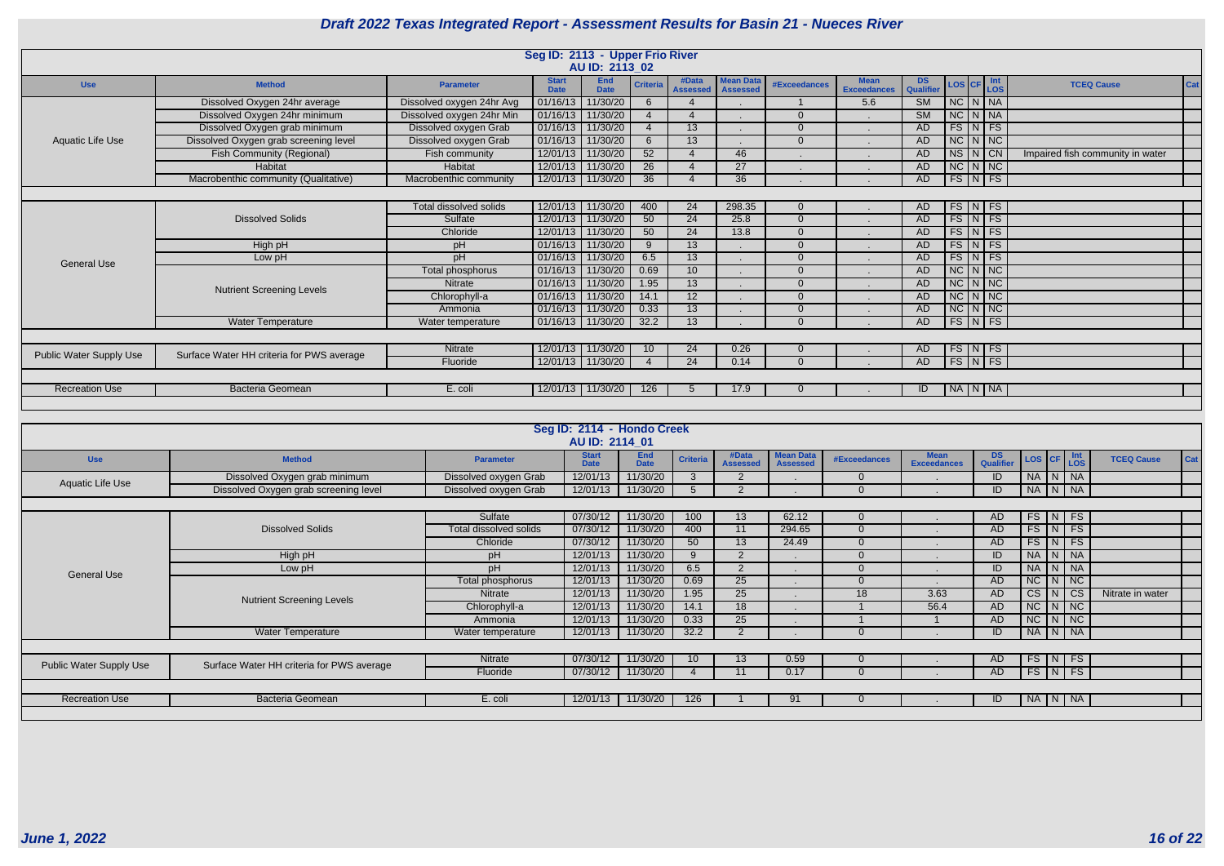|                                |                                           |                               |                             | Seg ID: 2113 - Upper Frio River<br>AU ID: 2113_02 |                           |                          |                                     |                                     |                            |                                   |                                  |                    |                   |                                  |     |
|--------------------------------|-------------------------------------------|-------------------------------|-----------------------------|---------------------------------------------------|---------------------------|--------------------------|-------------------------------------|-------------------------------------|----------------------------|-----------------------------------|----------------------------------|--------------------|-------------------|----------------------------------|-----|
| <b>Use</b>                     | <b>Method</b>                             | <b>Parameter</b>              | <b>Start</b><br><b>Date</b> | <b>End</b><br><b>Date</b>                         | <b>Criteria</b>           | #Data<br><b>Assessed</b> | <b>Mean Data</b><br><b>Assessed</b> | <b>#Exceedances</b>                 | Mean<br><b>Exceedances</b> | DS.<br>Qualifier                  | $\textsf{LoS}$ CF $\textsf{Int}$ |                    |                   | <b>TCEQ Cause</b>                | Cat |
|                                | Dissolved Oxygen 24hr average             | Dissolved oxygen 24hr Avg     | 01/16/13                    | 11/30/20                                          | 6                         | -4                       |                                     |                                     | 5.6                        | $\overline{\text{SM}}$            | $NC$ $N$ $N$                     |                    |                   |                                  |     |
|                                | Dissolved Oxygen 24hr minimum             | Dissolved oxygen 24hr Min     |                             | 01/16/13 11/30/20                                 |                           | $\boldsymbol{\Delta}$    |                                     | $\Omega$                            |                            | SM                                | $NC$ $N$ $NA$                    |                    |                   |                                  |     |
|                                | Dissolved Oxygen grab minimum             | Dissolved oxygen Grab         |                             | 01/16/13 11/30/20                                 |                           | 13                       |                                     | $\Omega$                            |                            | <b>AD</b>                         | $FS$ $N$ $FS$                    |                    |                   |                                  |     |
| <b>Aquatic Life Use</b>        | Dissolved Oxygen grab screening level     | Dissolved oxygen Grab         |                             | 01/16/13 11/30/20                                 | 6                         | $\overline{13}$          |                                     | $\Omega$                            |                            | <b>AD</b>                         | $NC$ $N$ $NC$                    |                    |                   |                                  |     |
|                                | Fish Community (Regional)                 | Fish community                |                             | 12/01/13 11/30/20                                 | 52                        | $\overline{4}$           | 46                                  |                                     |                            | <b>AD</b>                         | $NS$ $N$ $CN$                    |                    |                   | Impaired fish community in water |     |
|                                | Habitat                                   | <b>Habitat</b>                |                             | 12/01/13 11/30/20                                 | 26                        | $\overline{4}$           | 27                                  |                                     |                            | <b>AD</b>                         | $NC$ $N$ $NC$                    |                    |                   |                                  |     |
|                                | Macrobenthic community (Qualitative)      | Macrobenthic community        |                             | 12/01/13 11/30/20                                 | $\overline{36}$           | $\boldsymbol{\Delta}$    | $\overline{36}$                     |                                     |                            | AD                                | $FS\vert N \vert FS$             |                    |                   |                                  |     |
|                                |                                           |                               |                             |                                                   |                           |                          |                                     |                                     |                            |                                   |                                  |                    |                   |                                  |     |
|                                |                                           | Total dissolved solids        |                             | 12/01/13 11/30/20                                 | 400                       | 24                       | 298.35                              | $\Omega$                            |                            | AD                                | FS N FS                          |                    |                   |                                  |     |
|                                | <b>Dissolved Solids</b>                   | Sulfate                       |                             | 12/01/13 11/30/20                                 | 50                        | 24                       | 25.8                                | $\Omega$                            |                            | <b>AD</b>                         | $FS\vert N \vert FS$             |                    |                   |                                  |     |
|                                |                                           | Chloride                      |                             | 12/01/13 11/30/20                                 | 50                        | $\overline{24}$          | 13.8                                | $\Omega$                            |                            | AD                                | $FS$ $N$ $FS$                    |                    |                   |                                  |     |
|                                | High pH                                   | pH                            |                             | 01/16/13 11/30/20                                 | -9                        | 13                       |                                     | $\Omega$                            |                            | AD                                | $FS$ $N$ $FS$                    |                    |                   |                                  |     |
| <b>General Use</b>             | Low pH                                    | pH                            |                             | 01/16/13 11/30/20                                 | 6.5                       | 13                       |                                     | $\Omega$                            |                            | <b>AD</b>                         | $FS\vert N \vert FS$             |                    |                   |                                  |     |
|                                |                                           | Total phosphorus              |                             | 01/16/13 11/30/20                                 | 0.69                      | 10                       |                                     | $\Omega$                            |                            | <b>AD</b>                         | $NC$ $N$ $NC$                    |                    |                   |                                  |     |
|                                |                                           | Nitrate                       |                             | 01/16/13 11/30/20                                 | 1.95                      | $\overline{13}$          |                                     | $\Omega$                            |                            | AD                                | $NC$ $N$ $NC$                    |                    |                   |                                  |     |
|                                | <b>Nutrient Screening Levels</b>          | Chlorophyll-a                 |                             | 01/16/13 11/30/20                                 | 14.1                      | 12                       |                                     | $\Omega$                            |                            | <b>AD</b>                         | $NC$ $N$ $NC$                    |                    |                   |                                  |     |
|                                |                                           | Ammonia                       |                             | 01/16/13 11/30/20                                 | 0.33                      | 13                       |                                     | $\Omega$                            |                            | <b>AD</b>                         | $NC$ $N$ $NC$                    |                    |                   |                                  |     |
|                                | Water Temperature                         | Water temperature             |                             | 01/16/13 11/30/20                                 | 32.2                      | 13                       |                                     | $\Omega$                            |                            | <b>AD</b>                         | $FS\vert N \vert FS$             |                    |                   |                                  |     |
|                                |                                           |                               |                             |                                                   |                           |                          |                                     |                                     |                            |                                   |                                  |                    |                   |                                  |     |
|                                |                                           | Nitrate                       |                             | 12/01/13 11/30/20                                 | 10                        | 24                       | 0.26                                | $\Omega$                            |                            | AD.                               | $FS\vert N \vert FS$             |                    |                   |                                  |     |
| <b>Public Water Supply Use</b> | Surface Water HH criteria for PWS average | Fluoride                      |                             | 12/01/13 11/30/20                                 |                           | 24                       | 0.14                                | $\Omega$                            |                            | <b>AD</b>                         | $FS$ $N$ $FS$                    |                    |                   |                                  |     |
|                                |                                           |                               |                             |                                                   |                           |                          |                                     |                                     |                            |                                   |                                  |                    |                   |                                  |     |
| <b>Recreation Use</b>          | <b>Bacteria Geomean</b>                   | E. coli                       |                             | 12/01/13 11/30/20                                 | 126                       | 5                        | 17.9                                | $\Omega$                            |                            | ID                                | NA N NA                          |                    |                   |                                  |     |
|                                |                                           |                               |                             |                                                   |                           |                          |                                     |                                     |                            |                                   |                                  |                    |                   |                                  |     |
|                                |                                           |                               |                             |                                                   |                           |                          |                                     |                                     |                            |                                   |                                  |                    |                   |                                  |     |
|                                |                                           |                               |                             | Seg ID: 2114 - Hondo Creek                        |                           |                          |                                     |                                     |                            |                                   |                                  |                    |                   |                                  |     |
|                                |                                           |                               |                             | AU ID: 2114 01                                    |                           |                          |                                     |                                     |                            |                                   |                                  |                    |                   |                                  |     |
| <b>Use</b>                     | <b>Method</b>                             | <b>Parameter</b>              |                             | <b>Start</b><br><b>Date</b>                       | <b>End</b><br><b>Date</b> | <b>Criteria</b>          | #Data<br><b>Assessed</b>            | <b>Mean Data</b><br><b>Assessed</b> | <b>#Exceedances</b>        | <b>Mean</b><br><b>Exceedances</b> | <b>DS</b><br>Qualifier           | LOS CF             | $\frac{Int}{LOS}$ | <b>TCEQ Cause</b>                | Cat |
| <b>Aquatic Life Use</b>        | Dissolved Oxygen grab minimum             | Dissolved oxygen Grab         |                             | 12/01/13                                          | 11/30/20                  | $\mathbf{3}$             | 2                                   |                                     | $\overline{0}$             |                                   | ID                               | NA N NA            |                   |                                  |     |
|                                | Dissolved Oxygen grab screening level     | Dissolved oxygen Grab         |                             | 12/01/13                                          | 11/30/20                  | $5\overline{)}$          | $\overline{2}$                      |                                     | $\Omega$                   |                                   | ID                               | NA N NA            |                   |                                  |     |
|                                |                                           |                               |                             |                                                   |                           |                          |                                     |                                     |                            |                                   |                                  |                    |                   |                                  |     |
|                                |                                           | Sulfate                       |                             | 07/30/12                                          | 11/30/20                  | 100                      | 13                                  | 62.12                               | $\Omega$                   |                                   | AD                               | FS N FS            |                   |                                  |     |
|                                | <b>Dissolved Solids</b>                   | <b>Total dissolved solids</b> |                             | 07/30/12                                          | 11/30/20                  | 400                      | 11                                  | 294.65                              | $\overline{0}$             |                                   | AD                               | $FS$ $N$ $FS$      |                   |                                  |     |
|                                |                                           | Chloride                      |                             | 07/30/12                                          | 11/30/20                  | 50                       | 13                                  | 24.49                               | $\overline{0}$             |                                   | AD                               | $FS$ N FS          |                   |                                  |     |
|                                | High pH                                   | pH                            |                             | 12/01/13                                          | 11/30/20                  | 9                        | $\overline{2}$                      |                                     | $\overline{0}$             |                                   | ID                               | NA N NA            |                   |                                  |     |
| <b>General Use</b>             | Low pH                                    | pH                            |                             | 12/01/13                                          | 11/30/20                  | 6.5                      | $\overline{2}$                      |                                     | $\overline{0}$             |                                   | ID                               | NA N NA            |                   |                                  |     |
|                                |                                           | <b>Total phosphorus</b>       |                             | 12/01/13                                          | 11/30/20                  | 0.69                     | 25                                  |                                     | $\overline{0}$             |                                   | <b>AD</b>                        | $NC$ $N$ $NC$      |                   |                                  |     |
|                                | <b>Nutrient Screening Levels</b>          | Nitrate                       |                             | 12/01/13                                          | 11/30/20                  | 1.95                     | 25                                  |                                     | 18                         | 3.63                              | AD                               | $CS$ $N$ $CS$      |                   | Nitrate in water                 |     |
|                                |                                           | Chlorophyll-a                 |                             | 12/01/13                                          | 11/30/20                  | 14.1                     | 18                                  |                                     |                            | 56.4                              | AD                               | $NC$ $N$ $NC$      |                   |                                  |     |
|                                |                                           | Ammonia                       |                             | 12/01/13                                          | 11/30/20                  | 0.33                     | 25                                  |                                     |                            |                                   | AD                               | $NC$ $N$ $NC$      |                   |                                  |     |
|                                | <b>Water Temperature</b>                  | Water temperature             |                             | 12/01/13                                          | 11/30/20                  | 32.2                     | $\overline{2}$                      |                                     | $\overline{0}$             |                                   | ID                               | NA N NA            |                   |                                  |     |
|                                |                                           |                               |                             |                                                   |                           |                          |                                     |                                     |                            |                                   |                                  |                    |                   |                                  |     |
| <b>Public Water Supply Use</b> | Surface Water HH criteria for PWS average | Nitrate                       |                             | 07/30/12                                          | 11/30/20                  | 10                       | 13                                  | 0.59                                | $\overline{0}$             |                                   | AD                               | FS N FS            |                   |                                  |     |
|                                |                                           | Fluoride                      |                             | 07/30/12                                          | 11/30/20                  | $\overline{4}$           | 11                                  | 0.17                                | $\Omega$                   |                                   | AD                               | $FS\mid N \mid FS$ |                   |                                  |     |
|                                |                                           |                               |                             |                                                   |                           |                          |                                     |                                     |                            |                                   |                                  |                    |                   |                                  |     |
| <b>Recreation Use</b>          | Bacteria Geomean                          | E. coli                       |                             | 12/01/13                                          | 11/30/20                  | 126                      |                                     | 91                                  | $\overline{0}$             |                                   | ID                               | NA   N   NA        |                   |                                  |     |
|                                |                                           |                               |                             |                                                   |                           |                          |                                     |                                     |                            |                                   |                                  |                    |                   |                                  |     |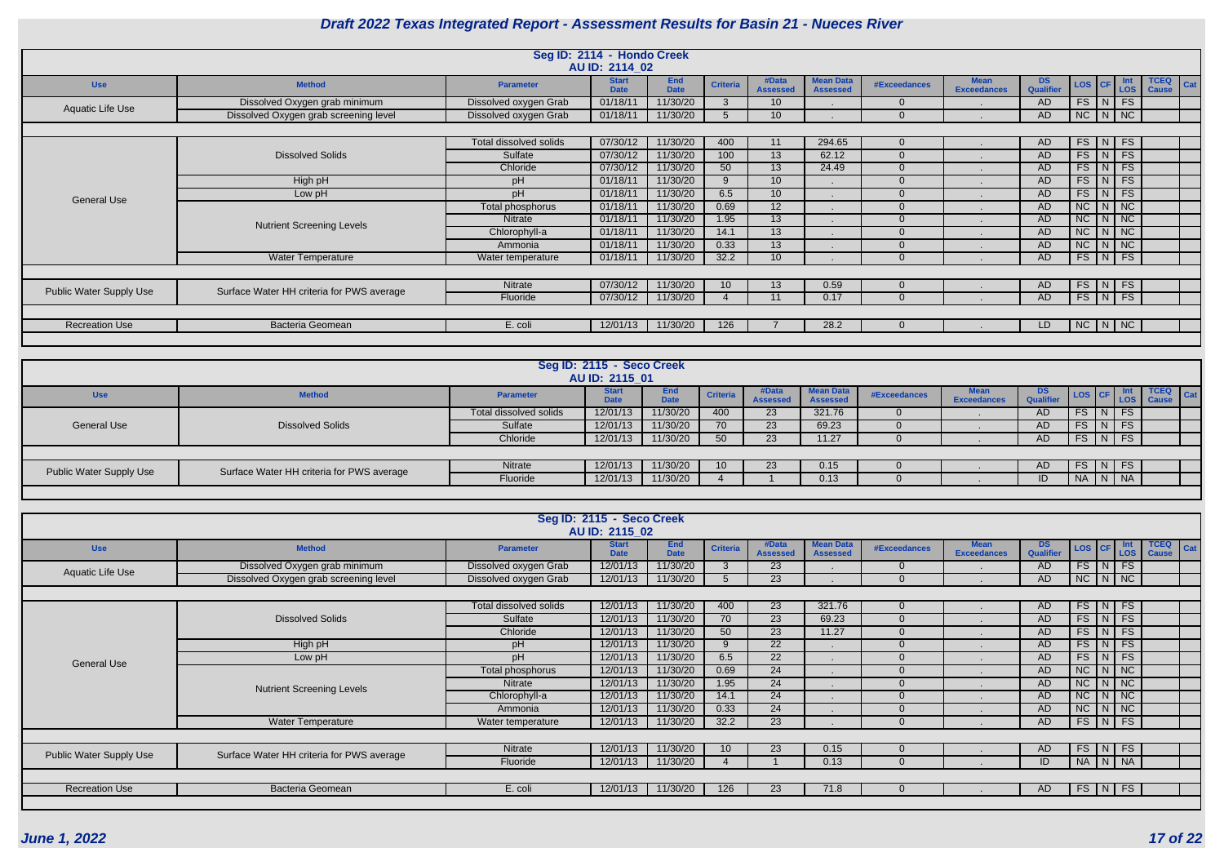|                                |                                           |                        | Seg ID: 2114 - Hondo Creek<br>AU ID: 2114 02 |                    |                 |                          |                                     |                     |                                   |                        |               |               |                         |                                    |
|--------------------------------|-------------------------------------------|------------------------|----------------------------------------------|--------------------|-----------------|--------------------------|-------------------------------------|---------------------|-----------------------------------|------------------------|---------------|---------------|-------------------------|------------------------------------|
| <b>Use</b>                     | <b>Method</b>                             | <b>Parameter</b>       | <b>Start</b><br><b>Date</b>                  | End<br><b>Date</b> | <b>Criteria</b> | #Data<br><b>Assessed</b> | <b>Mean Data</b><br><b>Assessed</b> | <b>#Exceedances</b> | <b>Mean</b><br><b>Exceedances</b> | <b>DS</b><br>Qualifier | LOS   CF      |               | Int<br>LOS <sub>1</sub> | <b>TCEQ</b><br>Cat<br><b>Cause</b> |
| Aquatic Life Use               | Dissolved Oxygen grab minimum             | Dissolved oxygen Grab  | 01/18/11                                     | 11/30/20           |                 | 10 <sup>°</sup>          |                                     | $\Omega$            |                                   | AD.                    |               | $FS$ $N$ $FS$ |                         |                                    |
|                                | Dissolved Oxygen grab screening level     | Dissolved oxygen Grab  | 01/18/11                                     | 11/30/20           |                 | 10                       |                                     | $\Omega$            |                                   | AD                     |               |               | $NC$ $N$ $NC$           |                                    |
|                                |                                           |                        |                                              |                    |                 |                          |                                     |                     |                                   |                        |               |               |                         |                                    |
|                                |                                           | Total dissolved solids | 07/30/12                                     | 11/30/20           | 400             | 11                       | 294.65                              | $\overline{0}$      |                                   | AD.                    | $FS$ $N$ $FS$ |               |                         |                                    |
|                                | <b>Dissolved Solids</b>                   | Sulfate                | 07/30/12                                     | 11/30/20           | 100             | 13 <sup>°</sup>          | 62.12                               | $\overline{0}$      |                                   | AD.                    |               | $FS$ $N$ $FS$ |                         |                                    |
|                                |                                           | Chloride               | 07/30/12                                     | 11/30/20           | 50              | 13 <sup>°</sup>          | 24.49                               | $\overline{0}$      |                                   | AD                     |               | $FS$ $N$ $FS$ |                         |                                    |
|                                | High pH                                   | pH                     | 01/18/11                                     | 11/30/20           | $\Omega$        | 10 <sup>°</sup>          |                                     | $\Omega$            |                                   | AD                     | FS            |               | $N$ FS                  |                                    |
| <b>General Use</b>             | Low pH                                    | pH                     | 01/18/11                                     | 11/30/20           | 6.5             | 10 <sup>°</sup>          |                                     | $\Omega$            |                                   | AD                     |               | $FS$ $N$ $FS$ |                         |                                    |
|                                |                                           | Total phosphorus       | 01/18/11                                     | 11/30/20           | 0.69            | 12 <sup>°</sup>          |                                     | $\Omega$            |                                   | AD.                    | $NC$ $N$ $NC$ |               |                         |                                    |
|                                | <b>Nutrient Screening Levels</b>          | Nitrate                | 01/18/11                                     | 11/30/20           | 1.95            | 13                       |                                     | $\Omega$            |                                   | AD.                    | $NC$ $N$ $NC$ |               |                         |                                    |
|                                |                                           | Chlorophyll-a          | 01/18/11                                     | 11/30/20           | 14.1            | 13 <sup>°</sup>          |                                     | $\Omega$            |                                   | AD                     | $NC$ $N$ $NC$ |               |                         |                                    |
|                                |                                           | Ammonia                | 01/18/11                                     | 11/30/20           | 0.33            | 13 <sup>°</sup>          |                                     | $\Omega$            |                                   | AD                     | NC            | $N$ NC        |                         |                                    |
|                                | <b>Water Temperature</b>                  | Water temperature      | 01/18/11                                     | 11/30/20           | 32.2            | 10 <sup>°</sup>          |                                     | $\Omega$            |                                   | AD.                    | FS            | $N$ FS        |                         |                                    |
|                                |                                           |                        |                                              |                    |                 |                          |                                     |                     |                                   |                        |               |               |                         |                                    |
|                                | Surface Water HH criteria for PWS average | Nitrate                | 07/30/12                                     | 11/30/20           | 10              | 13 <sup>°</sup>          | 0.59                                | $\Omega$            |                                   | AD.                    | FS            | $N$ FS        |                         |                                    |
| <b>Public Water Supply Use</b> |                                           | Fluoride               | 07/30/12                                     | 11/30/20           |                 | 11                       | 0.17                                | $\overline{0}$      |                                   | AD                     |               |               | $FS \mid N \mid FS$     |                                    |
|                                |                                           |                        |                                              |                    |                 |                          |                                     |                     |                                   |                        |               |               |                         |                                    |
| <b>Recreation Use</b>          | Bacteria Geomean                          | E. coli                | 12/01/13                                     | 11/30/20           | 126             |                          | 28.2                                | $\Omega$            |                                   | LD.                    | $NC$ $N$ $NC$ |               |                         |                                    |
|                                |                                           |                        |                                              |                    |                 |                          |                                     |                     |                                   |                        |               |               |                         |                                    |

|                         |                                           |                        | Seg ID: 2115 - Seco Creek<br>AU ID: 2115 01 |                    |                 |                 |                                     |                     |                            |                        |             |   |           |                                 |                     |
|-------------------------|-------------------------------------------|------------------------|---------------------------------------------|--------------------|-----------------|-----------------|-------------------------------------|---------------------|----------------------------|------------------------|-------------|---|-----------|---------------------------------|---------------------|
| <b>Use</b>              | <b>Method</b>                             | <b>Parameter</b>       | <b>Start</b><br><b>Date</b>                 | End<br><b>Date</b> | <b>Criteria</b> | <b>Assessed</b> | <b>Mean Data</b><br><b>Assessed</b> | <b>#Exceedances</b> | Mean<br><b>Exceedances</b> | DS<br><b>Qualifier</b> |             |   |           | <b>TCEQ</b><br>LOS CF LOS Cause | $\vert$ Cat $\vert$ |
|                         |                                           | Total dissolved solids | 12/01/13                                    | 11/30/20           | 400             | 23              | 321.76                              |                     |                            | AD.                    | FS          |   | <b>FS</b> |                                 |                     |
| <b>General Use</b>      | <b>Dissolved Solids</b>                   | Sulfate                | 12/01/13                                    | 11/30/20           | 70              | 23              | 69.23                               |                     |                            | AD.                    | <b>FS</b>   | N | FS        |                                 |                     |
|                         |                                           | Chloride               | 12/01/13                                    | 11/30/20           | 50              | 23              | 11.27                               |                     |                            | AD.                    | $FS$ $N$    |   | FS        |                                 |                     |
|                         |                                           |                        |                                             |                    |                 |                 |                                     |                     |                            |                        |             |   |           |                                 |                     |
| Public Water Supply Use | Surface Water HH criteria for PWS average | <b>Nitrate</b>         | 12/01/13                                    | 11/30/20           | 10              | 23              | 0.15                                |                     |                            | AD                     | $FS$ $N$    |   | <b>FS</b> |                                 |                     |
|                         |                                           | Fluoride               | 12/01/13                                    | 11/30/20           |                 |                 | 0.13                                |                     |                            | ID                     | NA   N   NA |   |           |                                 |                     |
|                         |                                           |                        |                                             |                    |                 |                 |                                     |                     |                            |                        |             |   |           |                                 |                     |

|                                |                                           |                        | Seg ID: 2115 - Seco Creek<br>AU ID: 2115 02 |                           |                 |                          |                                     |                     |                                   |                         |          |    |                   |                                    |
|--------------------------------|-------------------------------------------|------------------------|---------------------------------------------|---------------------------|-----------------|--------------------------|-------------------------------------|---------------------|-----------------------------------|-------------------------|----------|----|-------------------|------------------------------------|
| <b>Use</b>                     | <b>Method</b>                             | <b>Parameter</b>       | <b>Start</b><br><b>Date</b>                 | <b>End</b><br><b>Date</b> | <b>Criteria</b> | #Data<br><b>Assessed</b> | <b>Mean Data</b><br><b>Assessed</b> | <b>#Exceedances</b> | <b>Mean</b><br><b>Exceedances</b> | DS.<br><b>Qualifier</b> | LOS CF   |    | <b>Int</b><br>LOS | <b>TCEQ</b><br>Cat<br><b>Cause</b> |
| Aquatic Life Use               | Dissolved Oxygen grab minimum             | Dissolved oxygen Grab  | 12/01/13                                    | 11/30/20                  | $\mathcal{S}$   | 23                       |                                     |                     |                                   | AD                      | $FS$ $N$ |    | <b>FS</b>         |                                    |
|                                | Dissolved Oxygen grab screening level     | Dissolved oxygen Grab  | 12/01/13                                    | 11/30/20                  |                 | 23                       |                                     |                     |                                   | AD                      | $NC$   N |    | NC                |                                    |
|                                |                                           |                        |                                             |                           |                 |                          |                                     |                     |                                   |                         |          |    |                   |                                    |
|                                |                                           | Total dissolved solids | 12/01/13                                    | 11/30/20                  | 400             | 23                       | 321.76                              |                     |                                   | AD                      | FS       | N  | <b>FS</b>         |                                    |
|                                | <b>Dissolved Solids</b>                   | Sulfate                | 12/01/13                                    | 11/30/20                  | 70              | 23                       | 69.23                               |                     |                                   | AD.                     | $FS$ $N$ |    | FS                |                                    |
|                                |                                           | Chloride               | 12/01/13                                    | 11/30/20                  | 50              | 23                       | 11.27                               |                     |                                   | AD                      | $FS$ $N$ |    | FS                |                                    |
|                                | High pH                                   | pH                     | 12/01/13                                    | 11/30/20                  | 9               | 22                       |                                     |                     |                                   | AD.                     | FS       | N  | <b>FS</b>         |                                    |
| <b>General Use</b>             | Low pH                                    | pH                     | 12/01/13                                    | 11/30/20                  | 6.5             | 22                       |                                     |                     |                                   | AD                      | FS       | N  | FS                |                                    |
|                                |                                           | Total phosphorus       | 12/01/13                                    | 11/30/20                  | 0.69            | 24                       |                                     |                     |                                   | AD                      | NC       | N  | NC                |                                    |
|                                | <b>Nutrient Screening Levels</b>          | Nitrate                | 12/01/13                                    | 11/30/20                  | 1.95            | 24                       |                                     |                     |                                   | AD.                     | NC       | N  | NC                |                                    |
|                                |                                           | Chlorophyll-a          | 12/01/13                                    | 11/30/20                  | 14.1            | 24                       |                                     |                     |                                   | AD.                     | NC       | N  | <b>NC</b>         |                                    |
|                                |                                           | Ammonia                | 12/01/13                                    | 11/30/20                  | 0.33            | 24                       |                                     |                     |                                   | <b>AD</b>               | NC       | N  | NC                |                                    |
|                                | Water Temperature                         | Water temperature      | 12/01/13                                    | 11/30/20                  | 32.2            | 23                       |                                     |                     |                                   | AD.                     | $FS$ $N$ |    | FS                |                                    |
|                                |                                           |                        |                                             |                           |                 |                          |                                     |                     |                                   |                         |          |    |                   |                                    |
| <b>Public Water Supply Use</b> | Surface Water HH criteria for PWS average | Nitrate                | 12/01/13                                    | 11/30/20                  | 10              | 23                       | 0.15                                |                     |                                   | <b>AD</b>               | FS       | N  | <b>FS</b>         |                                    |
|                                |                                           | Fluoride               | 12/01/13                                    | 11/30/20                  |                 |                          | 0.13                                |                     |                                   | ID                      |          |    | NA N NA           |                                    |
|                                |                                           |                        |                                             |                           |                 |                          |                                     |                     |                                   |                         |          |    |                   |                                    |
| <b>Recreation Use</b>          | Bacteria Geomean                          | E. coli                | 12/01/13                                    | 11/30/20                  | 126             | 23                       | 71.8                                |                     |                                   | AD.                     | FS       | N, | <b>FS</b>         |                                    |
|                                |                                           |                        |                                             |                           |                 |                          |                                     |                     |                                   |                         |          |    |                   |                                    |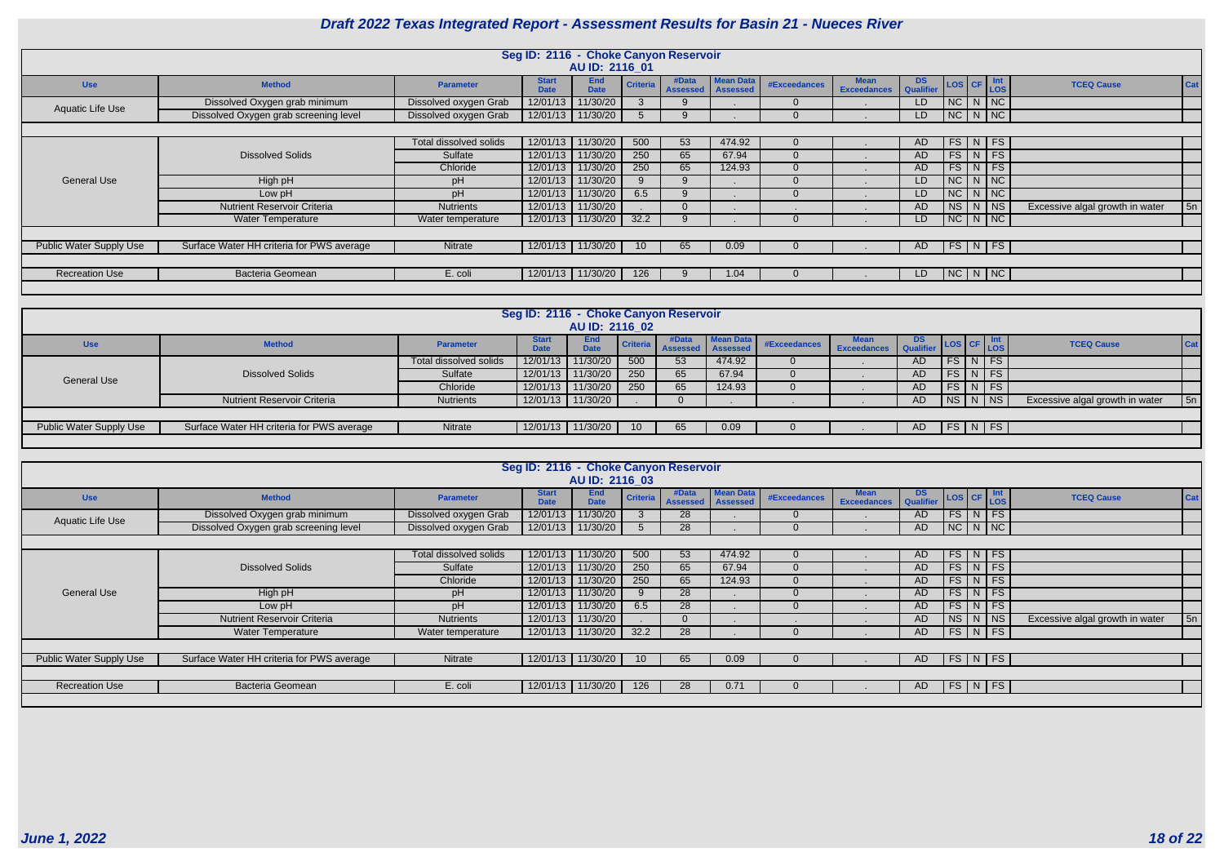|                                |                                                                                                                 |                       |                             | Seg ID: 2116 - Choke Canyon Reservoir |                 |                          |                                     |                     |                                   |           |               |  |                    |                                 |            |
|--------------------------------|-----------------------------------------------------------------------------------------------------------------|-----------------------|-----------------------------|---------------------------------------|-----------------|--------------------------|-------------------------------------|---------------------|-----------------------------------|-----------|---------------|--|--------------------|---------------------------------|------------|
|                                |                                                                                                                 |                       |                             | AU ID: 2116 01                        |                 |                          |                                     |                     |                                   |           |               |  |                    |                                 |            |
| <b>Use</b>                     | <b>Method</b>                                                                                                   | <b>Parameter</b>      | <b>Start</b><br><b>Date</b> | <b>End</b><br><b>Date</b>             | <b>Criteria</b> | #Data<br><b>Assessed</b> | <b>Mean Data</b><br><b>Assessed</b> | <b>#Exceedances</b> | <b>Mean</b><br><b>Exceedances</b> | DS CF Int |               |  |                    | <b>TCEQ Cause</b>               | <b>Cat</b> |
| <b>Aquatic Life Use</b>        | Dissolved Oxygen grab minimum                                                                                   | Dissolved oxygen Grab | 12/01/13                    | 11/30/20                              |                 |                          |                                     |                     |                                   | LD.       | $NC$ $N$ $NC$ |  |                    |                                 |            |
|                                | Dissolved Oxygen grab screening level                                                                           | Dissolved oxygen Grab | 12/01/13                    | 11/30/20                              |                 |                          |                                     |                     |                                   | LD.       | $NC$ $N$ $NC$ |  |                    |                                 |            |
|                                |                                                                                                                 |                       |                             |                                       |                 |                          |                                     |                     |                                   |           |               |  |                    |                                 |            |
|                                | 11/30/20<br>$FS$ N FS<br>Total dissolved solids<br>12/01/13<br>500<br>53<br>474.92<br><b>AD</b><br>$\Omega$     |                       |                             |                                       |                 |                          |                                     |                     |                                   |           |               |  |                    |                                 |            |
|                                | 11/30/20<br>250<br>$FS$ N FS<br><b>Dissolved Solids</b><br>12/01/13<br>Sulfate<br>65<br>67.94<br>AD<br>$\Omega$ |                       |                             |                                       |                 |                          |                                     |                     |                                   |           |               |  |                    |                                 |            |
|                                |                                                                                                                 | Chloride              | 12/01/13                    | 11/30/20                              | 250             | 65                       | 124.93                              | $\Omega$            |                                   | AD        |               |  | $FS\mid N \mid FS$ |                                 |            |
| <b>General Use</b>             | High pH                                                                                                         | pH                    | 12/01/13                    | 11/30/20                              | 9               |                          |                                     | $\Omega$            |                                   | LD.       | NCNNC         |  |                    |                                 |            |
|                                | Low pH                                                                                                          | pH                    | 12/01/13                    | 11/30/20                              | 6.5             |                          |                                     | $\Omega$            |                                   | LD.       | $NC$ $N$ $NC$ |  |                    |                                 |            |
|                                | <b>Nutrient Reservoir Criteria</b>                                                                              | <b>Nutrients</b>      | 12/01/13                    | 11/30/20                              |                 |                          |                                     |                     | $\blacksquare$                    | AD        | $NS$ $N$      |  | NS                 | Excessive algal growth in water | 5n         |
|                                | <b>Water Temperature</b>                                                                                        | Water temperature     | 12/01/13                    | 11/30/20                              | 32.2            |                          |                                     | $\Omega$            |                                   | LD.       |               |  | $NC$ $N$ $NC$      |                                 |            |
|                                |                                                                                                                 |                       |                             |                                       |                 |                          |                                     |                     |                                   |           |               |  |                    |                                 |            |
| <b>Public Water Supply Use</b> | Surface Water HH criteria for PWS average                                                                       | Nitrate               | 12/01/13                    | 11/30/20                              | 10 <sup>°</sup> | 65                       | 0.09                                |                     |                                   | AD        |               |  | FS N FS            |                                 |            |
|                                |                                                                                                                 |                       |                             |                                       |                 |                          |                                     |                     |                                   |           |               |  |                    |                                 |            |
| <b>Recreation Use</b>          | <b>Bacteria Geomean</b>                                                                                         | E. coli               |                             | 12/01/13 11/30/20                     | 126             |                          | 1.04                                |                     |                                   | LD.       | NC N NC       |  |                    |                                 |            |
|                                |                                                                                                                 |                       |                             |                                       |                 |                          |                                     |                     |                                   |           |               |  |                    |                                 |            |

|                                |                                                                                                                    |                        | Seg ID: 2116 - Choke Canyon Reservoir | AU ID: 2116 02            |     |       |                                                       |              |                    |                  |  |  |                                                                               |                                 |             |
|--------------------------------|--------------------------------------------------------------------------------------------------------------------|------------------------|---------------------------------------|---------------------------|-----|-------|-------------------------------------------------------|--------------|--------------------|------------------|--|--|-------------------------------------------------------------------------------|---------------------------------|-------------|
| <b>Use</b>                     | <b>Method</b>                                                                                                      | <b>Parameter</b>       | <b>Date</b>                           | <b>End</b><br><b>Date</b> |     | #Data | <b>Mean Data</b><br><b>Criteria</b> Assessed Assessed | #Exceedances | <b>Exceedances</b> | DS.<br>Qualifier |  |  | $\left  \text{LoS} \right $ CF $\left  \frac{\text{Int}}{\text{LoS}} \right $ | <b>TCEQ Cause</b>               | <b>Cat</b>  |
|                                |                                                                                                                    | Total dissolved solids |                                       | 12/01/13 11/30/20         | 500 | 53    | 474.92                                                |              |                    | AD               |  |  | $FS\mid N \mid FS$                                                            |                                 |             |
| <b>General Use</b>             | <b>Dissolved Solids</b><br>11/30/20<br>FS<br>$\vert N \vert$ FS<br>Sulfate<br>12/01/13<br>250<br>67.94<br>65<br>AD |                        |                                       |                           |     |       |                                                       |              |                    |                  |  |  |                                                                               |                                 |             |
|                                |                                                                                                                    | Chloride               | 12/01/13                              | 11/30/20                  | 250 | 65    | 124.93                                                |              |                    | AD.              |  |  | FS N FS                                                                       |                                 |             |
|                                | <b>Nutrient Reservoir Criteria</b>                                                                                 | Nutrients              |                                       | 12/01/13 11/30/20         |     |       |                                                       |              |                    | AD               |  |  | NS   N   NS                                                                   | Excessive algal growth in water | $\sqrt{5n}$ |
|                                |                                                                                                                    |                        |                                       |                           |     |       |                                                       |              |                    |                  |  |  |                                                                               |                                 |             |
| <b>Public Water Supply Use</b> | Surface Water HH criteria for PWS average                                                                          | Nitrate                |                                       | 12/01/13 11/30/20         | 10  | 65    | 0.09 <sub>1</sub>                                     |              |                    | AD.              |  |  | FS N FS                                                                       |                                 |             |
|                                |                                                                                                                    |                        |                                       |                           |     |       |                                                       |              |                    |                  |  |  |                                                                               |                                 |             |

|                                | Seg ID: 2116 - Choke Canyon Reservoir<br>AU ID: 2116 03                                                           |                       |                             |                           |                 |                              |                  |                     |                                   |               |                                         |  |         |                                 |     |
|--------------------------------|-------------------------------------------------------------------------------------------------------------------|-----------------------|-----------------------------|---------------------------|-----------------|------------------------------|------------------|---------------------|-----------------------------------|---------------|-----------------------------------------|--|---------|---------------------------------|-----|
| <b>Use</b>                     | <b>Method</b>                                                                                                     | <b>Parameter</b>      | <b>Start</b><br><b>Date</b> | <b>End</b><br><b>Date</b> | <b>Criteria</b> | #Data<br>Assessed   Assessed | <b>Mean Data</b> | <b>#Exceedances</b> | <b>Mean</b><br><b>Exceedances</b> | DS LOS CF Int |                                         |  |         | <b>TCEQ Cause</b>               | Cat |
| Aquatic Life Use               | Dissolved Oxygen grab minimum                                                                                     | Dissolved oxygen Grab | 12/01/13                    | 11/30/20                  |                 | 28                           |                  | $\Omega$            |                                   | AD.           | $\lceil\,$ FS $\mid$ N $\mid$ FS $\mid$ |  |         |                                 |     |
|                                | Dissolved Oxygen grab screening level                                                                             | Dissolved oxygen Grab | 12/01/13                    | 11/30/20                  |                 | 28                           |                  |                     |                                   | AD            | NCNNC                                   |  |         |                                 |     |
|                                | <b>AD</b><br>$\Omega$                                                                                             |                       |                             |                           |                 |                              |                  |                     |                                   |               |                                         |  |         |                                 |     |
|                                | $FS$ N FS<br>Total dissolved solids<br>12/01/13<br>11/30/20<br>500<br>53<br>474.92                                |                       |                             |                           |                 |                              |                  |                     |                                   |               |                                         |  |         |                                 |     |
|                                | $FS\mid N \mid FS \mid$<br>11/30/20<br>250<br>12/01/13<br>65<br>67.94<br><b>Dissolved Solids</b><br>Sulfate<br>AD |                       |                             |                           |                 |                              |                  |                     |                                   |               |                                         |  |         |                                 |     |
|                                |                                                                                                                   | Chloride              | 12/01/13                    | 11/30/20                  | 250             | 65                           | 124.93           | $\Omega$            |                                   | AD            |                                         |  | FS N FS |                                 |     |
| <b>General Use</b>             | High pH                                                                                                           | pH                    | 12/01/13                    | 11/30/20                  | 9               | 28                           |                  | $\Omega$            |                                   | AD            |                                         |  | FS N FS |                                 |     |
|                                | Low pH                                                                                                            | pH                    | 12/01/13                    | 11/30/20                  | 6.5             | 28                           |                  | $\Omega$            |                                   | AD            |                                         |  | FS N FS |                                 |     |
|                                | <b>Nutrient Reservoir Criteria</b>                                                                                | <b>Nutrients</b>      | 12/01/13                    | 11/30/20                  |                 | $\Omega$                     |                  |                     |                                   | AD            | NS N N                                  |  |         | Excessive algal growth in water | 5n  |
|                                | <b>Water Temperature</b>                                                                                          | Water temperature     | 12/01/13                    | 11/30/20                  | 32.2            | 28                           |                  | $\Omega$            |                                   | AD            | $\mid$ FS $\mid$ N $\mid$ FS $\mid$     |  |         |                                 |     |
|                                |                                                                                                                   |                       |                             |                           |                 |                              |                  |                     |                                   |               |                                         |  |         |                                 |     |
| <b>Public Water Supply Use</b> | Surface Water HH criteria for PWS average                                                                         | Nitrate               | 12/01/13 11/30/20           |                           | 10 <sup>1</sup> | 65                           | 0.09             |                     |                                   | <b>AD</b>     | FS N FS                                 |  |         |                                 |     |
|                                |                                                                                                                   |                       |                             |                           |                 |                              |                  |                     |                                   |               |                                         |  |         |                                 |     |
| <b>Recreation Use</b>          | <b>Bacteria Geomean</b>                                                                                           | E. coli               |                             | 12/01/13 11/30/20         | 126             | 28                           | 0.71             | $\Omega$            |                                   | AD            | FS N FS                                 |  |         |                                 |     |
|                                |                                                                                                                   |                       |                             |                           |                 |                              |                  |                     |                                   |               |                                         |  |         |                                 |     |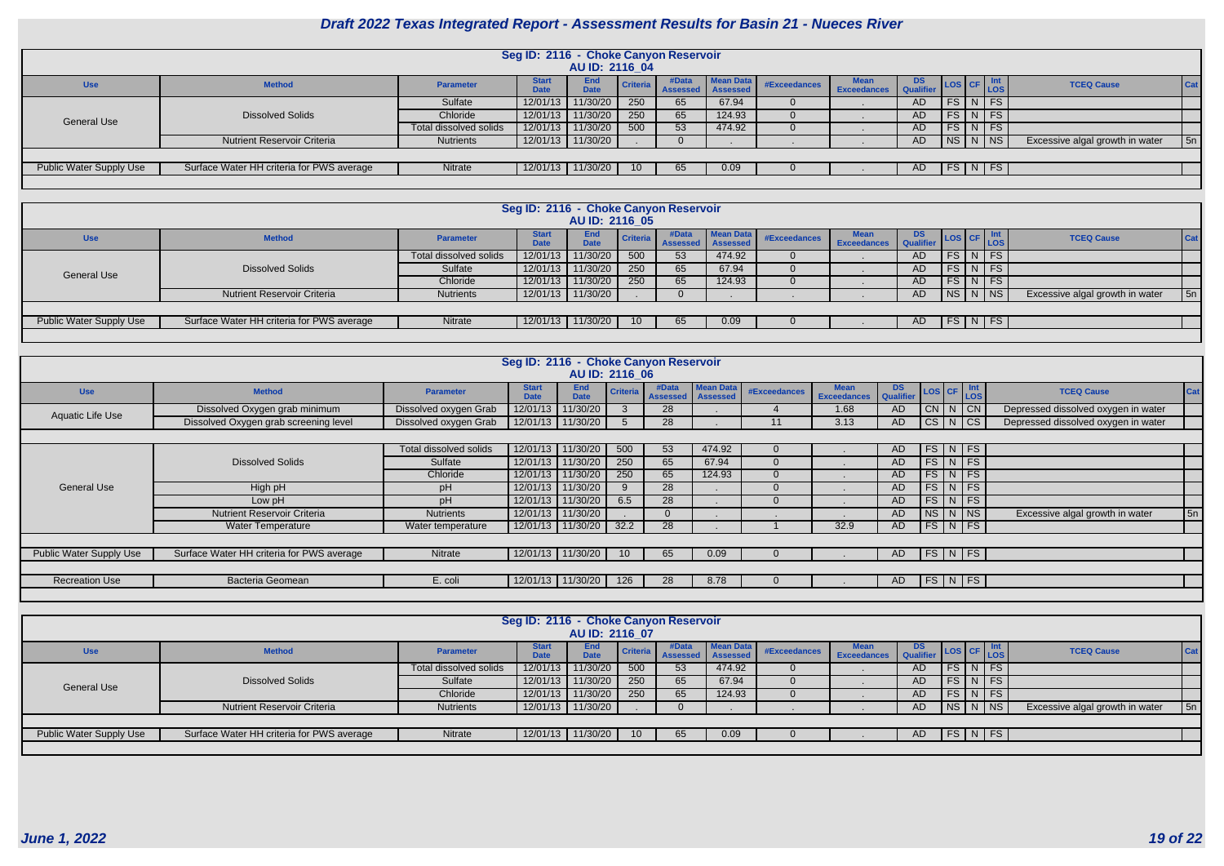|                                                                                                                                      |                                           |                        | Seg ID: 2116 - Choke Canyon Reservoir | AU ID: 2116 04     |                 |                          |                              |              |                    |           |  |  |                                                            |                                 |     |
|--------------------------------------------------------------------------------------------------------------------------------------|-------------------------------------------|------------------------|---------------------------------------|--------------------|-----------------|--------------------------|------------------------------|--------------|--------------------|-----------|--|--|------------------------------------------------------------|---------------------------------|-----|
| <b>Use</b>                                                                                                                           | <b>Method</b>                             | <b>Parameter</b>       | <b>Start</b><br><b>Date</b>           | End<br><b>Date</b> | Criteria        | #Data<br><b>Assessed</b> | <b>Mean Data</b><br>Assessed | #Exceedances | <b>Exceedances</b> | <b>DS</b> |  |  | $\left  \text{Los} \right $ CF $\left  \text{LOS} \right $ | <b>TCEQ Cause</b>               | Cat |
| $FS$ N FS<br>11/30/20<br>Sulfate<br>12/01/13<br>250<br>67.94<br>AD.<br>65                                                            |                                           |                        |                                       |                    |                 |                          |                              |              |                    |           |  |  |                                                            |                                 |     |
| 11/30/20<br><b>Dissolved Solids</b><br>$FS\mid N \mid FS$<br>12/01/13<br>250<br>124.93<br>AD<br>Chloride<br>65<br><b>General Use</b> |                                           |                        |                                       |                    |                 |                          |                              |              |                    |           |  |  |                                                            |                                 |     |
|                                                                                                                                      |                                           | Total dissolved solids | 12/01/13                              | 11/30/20           | 500             | 53                       | 474.92                       |              |                    | AD        |  |  | $FS$ N FS                                                  |                                 |     |
|                                                                                                                                      | <b>Nutrient Reservoir Criteria</b>        | <b>Nutrients</b>       | 12/01/13                              | 11/30/20           |                 |                          |                              |              |                    | AD        |  |  | NS N NS                                                    | Excessive algal growth in water | 5n  |
|                                                                                                                                      |                                           |                        |                                       |                    |                 |                          |                              |              |                    |           |  |  |                                                            |                                 |     |
| Public Water Supply Use                                                                                                              | Surface Water HH criteria for PWS average | Nitrate                | 12/01/13                              | 11/30/20           | 10 <sup>1</sup> | 65                       | 0.09                         |              |                    | AD.       |  |  | FS N FS                                                    |                                 |     |
|                                                                                                                                      |                                           |                        |                                       |                    |                 |                          |                              |              |                    |           |  |  |                                                            |                                 |     |

|                                |                                                                                                                                |                  | Seg ID: 2116 - Choke Canyon Reservoir | AU ID: 2116 05            |                 |                          |                                     |              |                    |                         |  |  |             |                                 |            |
|--------------------------------|--------------------------------------------------------------------------------------------------------------------------------|------------------|---------------------------------------|---------------------------|-----------------|--------------------------|-------------------------------------|--------------|--------------------|-------------------------|--|--|-------------|---------------------------------|------------|
| <b>Use</b>                     | <b>Method</b>                                                                                                                  | <b>Parameter</b> | <b>Start</b><br><b>Date</b>           | <b>End</b><br><b>Date</b> | Criteria        | #Data<br><b>Assessed</b> | <b>Mean Data</b><br><b>Assessed</b> | #Exceedances | <b>Exceedances</b> | DS.<br><b>Qualifier</b> |  |  | LOS CF Int  | <b>TCEQ Cause</b>               | <b>Cat</b> |
|                                | 11/30/20<br>$FS\mid N \mid FS$<br>12/01/13<br>474.92<br>500<br>Total dissolved solids<br>53<br>AD.                             |                  |                                       |                           |                 |                          |                                     |              |                    |                         |  |  |             |                                 |            |
|                                | <b>Dissolved Solids</b><br>11/30/20<br>FS N FS<br>12/01/13<br>250<br>Sulfate<br>67.94<br>65<br><b>AD</b><br><b>General Use</b> |                  |                                       |                           |                 |                          |                                     |              |                    |                         |  |  |             |                                 |            |
|                                |                                                                                                                                | Chloride         | 12/01/13                              | 11/30/20                  | 250             | 65                       | 124.93                              |              |                    | <b>AD</b>               |  |  | FS N FS     |                                 |            |
|                                | <b>Nutrient Reservoir Criteria</b>                                                                                             | <b>Nutrients</b> | 12/01/13                              | 11/30/20                  |                 |                          |                                     |              |                    | AD.                     |  |  | NS   N   NS | Excessive algal growth in water | 5n         |
|                                |                                                                                                                                |                  |                                       |                           |                 |                          |                                     |              |                    |                         |  |  |             |                                 |            |
| <b>Public Water Supply Use</b> | Surface Water HH criteria for PWS average                                                                                      | Nitrate          | 12/01/13                              | 11/30/20                  | 10 <sup>1</sup> | 65                       | 0.09                                |              |                    | AD.                     |  |  | FS N FS     |                                 |            |
|                                |                                                                                                                                |                  |                                       |                           |                 |                          |                                     |              |                    |                         |  |  |             |                                 |            |

|                         | Seg ID: 2116 - Choke Canyon Reservoir                                                                                           |                       |                             |                           |                 |                          |                                     |              |                                   |                         |         |  |                    |                                     |            |
|-------------------------|---------------------------------------------------------------------------------------------------------------------------------|-----------------------|-----------------------------|---------------------------|-----------------|--------------------------|-------------------------------------|--------------|-----------------------------------|-------------------------|---------|--|--------------------|-------------------------------------|------------|
|                         |                                                                                                                                 |                       |                             | AU ID: 2116 06            |                 |                          |                                     |              |                                   |                         |         |  |                    |                                     |            |
| <b>Use</b>              | <b>Method</b>                                                                                                                   | <b>Parameter</b>      | <b>Start</b><br><b>Date</b> | <b>End</b><br><b>Date</b> | <b>Criteria</b> | #Data<br><b>Assessed</b> | <b>Mean Data</b><br><b>Assessed</b> | #Exceedances | <b>Mean</b><br><b>Exceedances</b> | DS Qualifier LOS CF LOS |         |  |                    | <b>TCEQ Cause</b>                   | <b>Cat</b> |
| Aquatic Life Use        | Dissolved Oxygen grab minimum                                                                                                   | Dissolved oxygen Grab | 12/01/13                    | 11/30/20                  |                 | 28                       |                                     |              | 1.68                              | <b>AD</b>               | CN N CN |  |                    | Depressed dissolved oxygen in water |            |
|                         | Dissolved Oxygen grab screening level                                                                                           | Dissolved oxygen Grab | 12/01/13                    | 11/30/20                  | $\mathcal{D}$   | 28                       |                                     | 11           | 3.13                              | <b>AD</b>               | CS N CS |  |                    | Depressed dissolved oxygen in water |            |
|                         | $\Omega$                                                                                                                        |                       |                             |                           |                 |                          |                                     |              |                                   |                         |         |  |                    |                                     |            |
|                         | FS N FS<br>Total dissolved solids<br>12/01/13<br>11/30/20<br>500<br>53<br>474.92<br><b>AD</b>                                   |                       |                             |                           |                 |                          |                                     |              |                                   |                         |         |  |                    |                                     |            |
|                         | $FS\mid N \mid FS$<br><b>Dissolved Solids</b><br>11/30/20<br>250<br>65<br>Sulfate<br>12/01/13<br>67.94<br><b>AD</b><br>$\Omega$ |                       |                             |                           |                 |                          |                                     |              |                                   |                         |         |  |                    |                                     |            |
|                         |                                                                                                                                 | Chloride              | 12/01/13                    | 11/30/20                  | 250             | 65                       | 124.93                              | $\Omega$     |                                   | <b>AD</b>               |         |  | $FS\mid N \mid FS$ |                                     |            |
| <b>General Use</b>      | High pH                                                                                                                         | pH                    | 12/01/13                    | 11/30/20                  | 9               | 28                       |                                     | $\Omega$     |                                   | AD                      |         |  | $FS\mid N \mid FS$ |                                     |            |
|                         | Low pH                                                                                                                          | pH                    | 12/01/13                    | 1/30/20                   | 6.5             | 28                       |                                     | $\Omega$     |                                   | <b>AD</b>               | FS      |  | $N$ FS             |                                     |            |
|                         | <b>Nutrient Reservoir Criteria</b>                                                                                              | <b>Nutrients</b>      | 12/01/13                    | 11/30/20                  |                 |                          |                                     |              |                                   | <b>AD</b>               | $ $ NS  |  | $N$ NS             | Excessive algal growth in water     | 5n         |
|                         | <b>Water Temperature</b>                                                                                                        | Water temperature     | 12/01/13                    | 11/30/20                  | 32.2            | 28                       |                                     |              | 32.9                              | <b>AD</b>               | FS N FS |  |                    |                                     |            |
|                         |                                                                                                                                 |                       |                             |                           |                 |                          |                                     |              |                                   |                         |         |  |                    |                                     |            |
| Public Water Supply Use | Surface Water HH criteria for PWS average                                                                                       | Nitrate               | 12/01/13                    | 11/30/20                  | 10              | 65                       | 0.09                                |              |                                   | AD                      |         |  | FS N FS            |                                     |            |
|                         |                                                                                                                                 |                       |                             |                           |                 |                          |                                     |              |                                   |                         |         |  |                    |                                     |            |
| <b>Recreation Use</b>   | Bacteria Geomean                                                                                                                | E. coli               |                             | 12/01/13 11/30/20         | 126             | 28                       | 8.78                                | $\Omega$     |                                   | AD                      | FS N FS |  |                    |                                     |            |
|                         |                                                                                                                                 |                       |                             |                           |                 |                          |                                     |              |                                   |                         |         |  |                    |                                     |            |

|                                | Seg ID: 2116 - Choke Canyon Reservoir     |                        |                             |                    |                 |                          |                                     |              |                    |                         |  |  |                         |                                 |         |
|--------------------------------|-------------------------------------------|------------------------|-----------------------------|--------------------|-----------------|--------------------------|-------------------------------------|--------------|--------------------|-------------------------|--|--|-------------------------|---------------------------------|---------|
|                                |                                           |                        |                             |                    |                 |                          |                                     |              |                    |                         |  |  |                         |                                 |         |
|                                |                                           |                        |                             | AU ID: 2116 07     |                 |                          |                                     |              |                    |                         |  |  |                         |                                 |         |
| <b>Use</b>                     | <b>Method</b>                             | <b>Parameter</b>       | <b>Start</b><br><b>Date</b> | End<br><b>Date</b> | Criteria        | #Data<br><b>Assessed</b> | <b>Mean Data</b><br><b>Assessed</b> | #Exceedances | <b>Exceedances</b> | DS.<br><b>Oualifier</b> |  |  | LOS CF Int              | <b>TCEQ Cause</b>               | $ $ Cat |
|                                |                                           | Total dissolved solids | 12/01/13                    | 11/30/20           | 500             | 53                       | 474.92                              |              |                    | AD                      |  |  | $FS$ N FS               |                                 |         |
| <b>General Use</b>             | <b>Dissolved Solids</b>                   | Sulfate                | 12/01/13                    | 11/30/20           | 250             | 65                       | 67.94                               |              |                    | AD.                     |  |  | $FS$ N FS               |                                 |         |
|                                |                                           | Chloride               | 12/01/13                    | 11/30/20           | 250             | 65                       | 124.93                              |              |                    | AD.                     |  |  | $FS\mid N \mid FS \mid$ |                                 |         |
|                                | <b>Nutrient Reservoir Criteria</b>        | <b>Nutrients</b>       | 12/01/13                    | 11/30/20           |                 |                          |                                     |              |                    | AD                      |  |  | $N_S N NS $             | Excessive algal growth in water | 5n      |
|                                |                                           |                        |                             |                    |                 |                          |                                     |              |                    |                         |  |  |                         |                                 |         |
| <b>Public Water Supply Use</b> | Surface Water HH criteria for PWS average | Nitrate                | 12/01/13                    | 11/30/20           | 10 <sup>1</sup> | 65                       | 0.09                                |              |                    | AD                      |  |  | FS N FS                 |                                 |         |
|                                |                                           |                        |                             |                    |                 |                          |                                     |              |                    |                         |  |  |                         |                                 |         |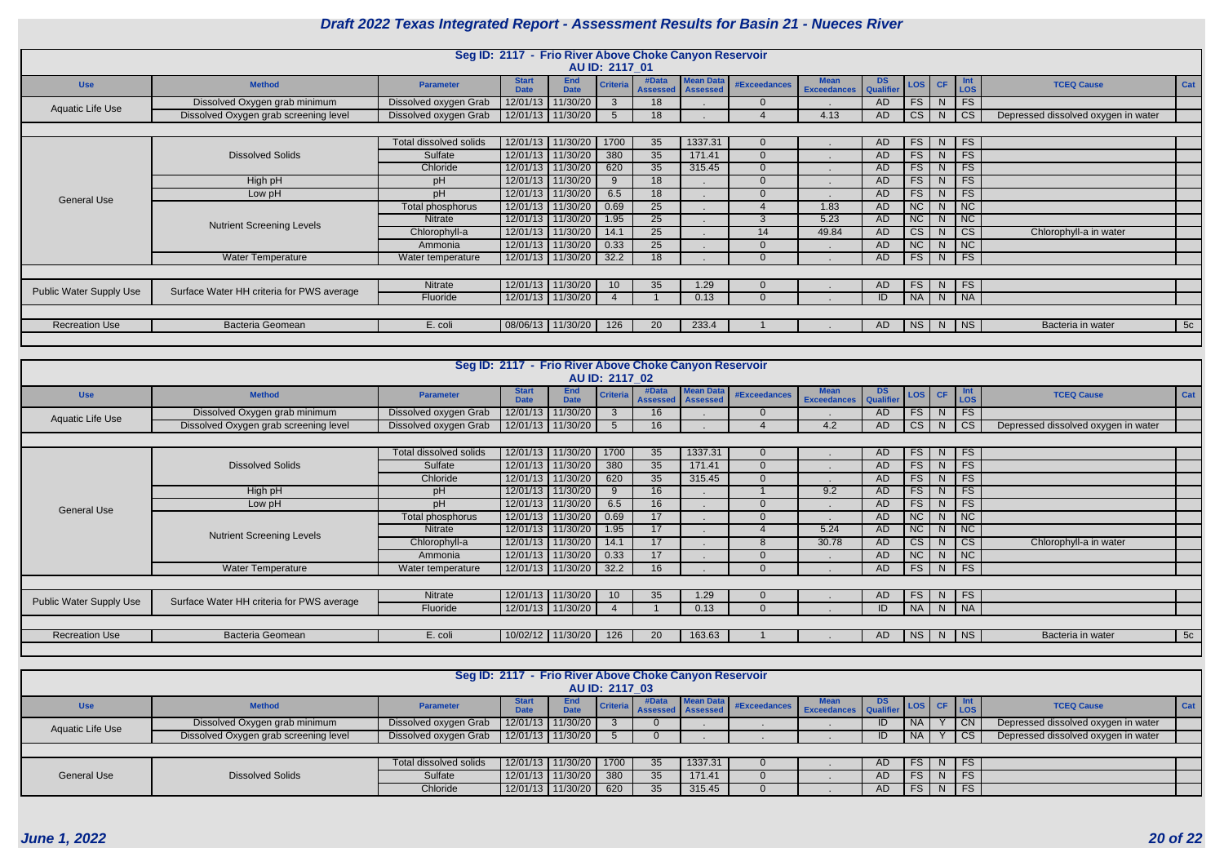|                                |                                                                                                                                                                                                                     |                       | Seg ID: 2117 - Frio River Above Choke Canyon Reservoir |                           |                 |                          |                                     |              |                                   |                 |                        |                |                        |                                     |            |
|--------------------------------|---------------------------------------------------------------------------------------------------------------------------------------------------------------------------------------------------------------------|-----------------------|--------------------------------------------------------|---------------------------|-----------------|--------------------------|-------------------------------------|--------------|-----------------------------------|-----------------|------------------------|----------------|------------------------|-------------------------------------|------------|
|                                |                                                                                                                                                                                                                     |                       |                                                        |                           | AU ID: 2117 01  |                          |                                     |              |                                   |                 |                        |                |                        |                                     |            |
| <b>Use</b>                     | <b>Method</b>                                                                                                                                                                                                       | <b>Parameter</b>      | <b>Start</b><br><b>Date</b>                            | <b>End</b><br><b>Date</b> | <b>Criter</b>   | #Data<br><b>Assessed</b> | <b>Mean Data</b><br><b>Assessed</b> | #Exceedances | <b>Mean</b><br><b>Exceedances</b> | DS<br>Qualifier | LOS                    | CF             | Int<br>LOS             | <b>TCEQ Cause</b>                   | Cat        |
| <b>Aquatic Life Use</b>        | Dissolved Oxygen grab minimum                                                                                                                                                                                       | Dissolved oxygen Grab | 12/01/13                                               | 11/30/20                  | 3               | 18                       |                                     |              |                                   | <b>AD</b>       | FS                     | N              | FS                     |                                     |            |
|                                | Dissolved Oxygen grab screening level                                                                                                                                                                               | Dissolved oxygen Grab |                                                        | 12/01/13 11/30/20         | $5\overline{)}$ | 18                       |                                     |              | 4.13                              | <b>AD</b>       | CS                     | N              | CS                     | Depressed dissolved oxygen in water |            |
|                                |                                                                                                                                                                                                                     |                       |                                                        |                           |                 |                          |                                     |              |                                   |                 |                        |                |                        |                                     |            |
|                                | 12/01/13 11/30/20<br>FS<br>1700<br>1337.31<br>FS<br>35<br>N<br>Total dissolved solids<br>AD<br>12/01/13 11/30/20<br>380<br>35<br><b>FS</b><br>FS<br><b>Dissolved Solids</b><br>Sulfate<br>171.41<br><b>AD</b><br>N. |                       |                                                        |                           |                 |                          |                                     |              |                                   |                 |                        |                |                        |                                     |            |
|                                |                                                                                                                                                                                                                     |                       |                                                        |                           |                 |                          |                                     |              |                                   |                 |                        |                |                        |                                     |            |
|                                | FS<br>12/01/13 11/30/20<br>FS<br>620<br>35<br>315.45<br>N.<br>Chloride<br>AD                                                                                                                                        |                       |                                                        |                           |                 |                          |                                     |              |                                   |                 |                        |                |                        |                                     |            |
|                                | 12/01/13 11/30/20<br><b>FS</b><br>FS<br>High pH<br>18<br><b>AD</b><br>N<br>pH<br>9                                                                                                                                  |                       |                                                        |                           |                 |                          |                                     |              |                                   |                 |                        |                |                        |                                     |            |
| <b>General Use</b>             | Low pH                                                                                                                                                                                                              | pH                    | 12/01/13                                               | 11/30/20                  | 6.5             | 18                       |                                     |              |                                   | <b>AD</b>       | <b>FS</b>              | N <sub>1</sub> | FS                     |                                     |            |
|                                |                                                                                                                                                                                                                     | Total phosphorus      | 12/01/13                                               | 11/30/20                  | 0.69            | 25                       |                                     |              | 1.83                              | <b>AD</b>       | $\overline{\text{NC}}$ | N.             | <b>NC</b>              |                                     |            |
|                                | <b>Nutrient Screening Levels</b>                                                                                                                                                                                    | Nitrate               |                                                        | 12/01/13 11/30/20         | 1.95            | 25                       |                                     | 3            | 5.23                              | AD              | NC                     | N              | <b>NC</b>              |                                     |            |
|                                |                                                                                                                                                                                                                     | Chlorophyll-a         |                                                        | 12/01/13 11/30/20         | 14.1            | 25                       |                                     | 14           | 49.84                             | AD              | $\overline{\text{CS}}$ | N              | $\overline{\text{CS}}$ | Chlorophyll-a in water              |            |
|                                |                                                                                                                                                                                                                     | Ammonia               |                                                        | 12/01/13 11/30/20         | 0.33            | 25                       |                                     |              | $\blacksquare$                    | <b>AD</b>       | NC                     | N              | <b>NC</b>              |                                     |            |
|                                | Water Temperature                                                                                                                                                                                                   | Water temperature     |                                                        | 12/01/13 11/30/20         | 32.2            | 18                       |                                     |              |                                   | <b>AD</b>       | <b>FS</b>              | N              | FS                     |                                     |            |
|                                |                                                                                                                                                                                                                     |                       |                                                        |                           |                 |                          |                                     |              |                                   |                 |                        |                |                        |                                     |            |
| <b>Public Water Supply Use</b> | Surface Water HH criteria for PWS average                                                                                                                                                                           | Nitrate               |                                                        | 12/01/13 11/30/20         |                 | 35                       | 1.29                                |              |                                   | AD.             | <b>FS</b>              | N              | <b>FS</b>              |                                     |            |
|                                |                                                                                                                                                                                                                     | Fluoride              |                                                        | 12/01/13 11/30/20         |                 |                          | 0.13                                |              |                                   | ID              | $N\overline{A}$        | N              | <b>NA</b>              |                                     |            |
|                                |                                                                                                                                                                                                                     |                       |                                                        |                           |                 |                          |                                     |              |                                   |                 |                        |                |                        |                                     |            |
| <b>Recreation Use</b>          | <b>Bacteria Geomean</b>                                                                                                                                                                                             | E. coli               |                                                        | 08/06/13 11/30/20         | 126             | 20                       | 233.4                               |              |                                   | AD              | $\lfloor NS \rfloor$   | N              | N <sub>S</sub>         | Bacteria in water                   | $\vert$ 5c |
|                                |                                                                                                                                                                                                                     |                       |                                                        |                           |                 |                          |                                     |              |                                   |                 |                        |                |                        |                                     |            |

|                         |                                                                                                                                                                                                                                                  |                       | Seg ID: 2117 - Frio River Above Choke Canyon Reservoir |                           | AU ID: 2117 02  |                                   |                  |              |                                   |                 |                        |           |                        |                                     |     |
|-------------------------|--------------------------------------------------------------------------------------------------------------------------------------------------------------------------------------------------------------------------------------------------|-----------------------|--------------------------------------------------------|---------------------------|-----------------|-----------------------------------|------------------|--------------|-----------------------------------|-----------------|------------------------|-----------|------------------------|-------------------------------------|-----|
| <b>Use</b>              | <b>Method</b>                                                                                                                                                                                                                                    | <b>Parameter</b>      | <b>Start</b><br><b>Date</b>                            | <b>End</b><br><b>Date</b> | <b>Criteria</b> | #Data<br><b>Assessed Assessed</b> | <b>Mean Data</b> | #Exceedances | <b>Mean</b><br><b>Exceedances</b> | DS<br>Qualifier | LOS <sup>1</sup>       | <b>CF</b> | <b>Int</b><br>LOS      | <b>TCEQ Cause</b>                   | Cat |
| Aquatic Life Use        | Dissolved Oxygen grab minimum                                                                                                                                                                                                                    | Dissolved oxygen Grab | 12/01/13                                               | 11/30/20                  |                 | 16                                |                  | $\Omega$     |                                   | <b>AD</b>       | <b>FS</b>              | N.        | <b>FS</b>              |                                     |     |
|                         | Dissolved Oxygen grab screening level                                                                                                                                                                                                            | Dissolved oxygen Grab | 12/01/13                                               | 11/30/20                  | -5              | 16                                |                  |              | 4.2                               | <b>AD</b>       | $\overline{\text{CS}}$ | N.        | $\overline{\text{CS}}$ | Depressed dissolved oxygen in water |     |
|                         |                                                                                                                                                                                                                                                  |                       |                                                        |                           |                 |                                   |                  |              |                                   |                 |                        |           |                        |                                     |     |
|                         | 12/01/13<br>11/30/20<br>1337.31<br>Total dissolved solids<br>1700<br>35<br>FS<br><b>FS</b><br>N<br>AD<br>0<br>11/30/20<br>380<br><b>FS</b><br>12/01/13<br>35<br>171.41<br><b>AD</b><br>N<br><b>FS</b><br><b>Dissolved Solids</b><br>Sulfate<br>0 |                       |                                                        |                           |                 |                                   |                  |              |                                   |                 |                        |           |                        |                                     |     |
|                         |                                                                                                                                                                                                                                                  |                       |                                                        |                           |                 |                                   |                  |              |                                   |                 |                        |           |                        |                                     |     |
|                         | 11/30/20<br>620<br>12/01/13<br>35<br>315.45<br><b>FS</b><br><b>FS</b><br>Chloride<br><b>AD</b><br>N.                                                                                                                                             |                       |                                                        |                           |                 |                                   |                  |              |                                   |                 |                        |           |                        |                                     |     |
|                         | 12/01/13<br>11/30/20<br><b>FS</b><br>High pH<br>16<br>9.2<br><b>AD</b><br>N<br>FS<br>pH<br>-9                                                                                                                                                    |                       |                                                        |                           |                 |                                   |                  |              |                                   |                 |                        |           |                        |                                     |     |
| <b>General Use</b>      | Low pH                                                                                                                                                                                                                                           | pH                    | 12/01/13                                               | 11/30/20                  | 6.5             | 16                                |                  |              |                                   | <b>AD</b>       | <b>FS</b>              | N.        | FS                     |                                     |     |
|                         |                                                                                                                                                                                                                                                  | Total phosphorus      | 12/01/13                                               | 11/30/20                  | 0.69            | 17                                |                  |              |                                   | <b>AD</b>       | NC                     | N         | NC                     |                                     |     |
|                         | <b>Nutrient Screening Levels</b>                                                                                                                                                                                                                 | Nitrate               | 12/01/13                                               | 11/30/20                  | 1.95            | 17                                |                  |              | 5.24                              | <b>AD</b>       | $\overline{\text{NC}}$ | N         | NC                     |                                     |     |
|                         |                                                                                                                                                                                                                                                  | Chlorophyll-a         | 12/01/13                                               | 11/30/20                  | 14.1            | 17                                |                  |              | 30.78                             | <b>AD</b>       | CS                     | N         | <b>CS</b>              | Chlorophyll-a in water              |     |
|                         |                                                                                                                                                                                                                                                  | Ammonia               | 12/01/13                                               | 11/30/20                  | 0.33            | 17                                |                  |              |                                   | <b>AD</b>       | $\overline{\text{NC}}$ | N         | <b>NC</b>              |                                     |     |
|                         | <b>Water Temperature</b>                                                                                                                                                                                                                         | Water temperature     | 12/01/13                                               | 11/30/20                  | 32.2            | 16                                |                  |              |                                   | <b>AD</b>       | <b>FS</b>              | N         | FS                     |                                     |     |
|                         |                                                                                                                                                                                                                                                  |                       |                                                        |                           |                 |                                   |                  |              |                                   |                 |                        |           |                        |                                     |     |
| Public Water Supply Use | Surface Water HH criteria for PWS average                                                                                                                                                                                                        | Nitrate               | 12/01/13                                               | 11/30/20                  | 10              | 35                                | 1.29             | $\Omega$     |                                   | <b>AD</b>       | <b>FS</b>              | N.        | FS                     |                                     |     |
|                         |                                                                                                                                                                                                                                                  | Fluoride              |                                                        | 12/01/13 11/30/20         |                 |                                   | 0.13             | 0            |                                   | ID              | NA                     | N         | <b>NA</b>              |                                     |     |
|                         |                                                                                                                                                                                                                                                  |                       |                                                        |                           |                 |                                   |                  |              |                                   |                 |                        |           |                        |                                     |     |
| <b>Recreation Use</b>   | <b>Bacteria Geomean</b>                                                                                                                                                                                                                          | E. coli               |                                                        | 10/02/12   11/30/20       | 126             | 20                                | 163.63           |              |                                   | AD              | <b>NS</b>              | N         | <b>NS</b>              | Bacteria in water                   | 5c  |
|                         |                                                                                                                                                                                                                                                  |                       |                                                        |                           |                 |                                   |                  |              |                                   |                 |                        |           |                        |                                     |     |

|                    |                                                                                                                                                                        |                        | Seg ID: 2117 - Frio River Above Choke Canyon Reservoir |  | AU ID: 2117 03 |                 |         |  |  |    |           |     |            |                                     |  |
|--------------------|------------------------------------------------------------------------------------------------------------------------------------------------------------------------|------------------------|--------------------------------------------------------|--|----------------|-----------------|---------|--|--|----|-----------|-----|------------|-------------------------------------|--|
| <b>Use</b>         | Mean Data #Exceedances Mean DS LOS CF<br>End<br>Criteria Assessed Assessed<br><b>TCEQ Cause</b><br>$\overline{\phantom{a}}$ Cat<br><b>Method</b><br><b>Parameter</b>   |                        |                                                        |  |                |                 |         |  |  |    |           |     |            |                                     |  |
|                    | 12/01/13 11/30/20<br>Dissolved Oxygen grab minimum<br><b>CN</b><br>Dissolved oxygen Grab<br>Depressed dissolved oxygen in water<br><b>NA</b><br>ID<br>Aquatic Life Use |                        |                                                        |  |                |                 |         |  |  |    |           |     |            |                                     |  |
|                    | Dissolved Oxygen grab screening level                                                                                                                                  | Dissolved oxygen Grab  | 12/01/13 11/30/20                                      |  |                |                 |         |  |  | ID | <b>NA</b> |     | $ $ CS $ $ | Depressed dissolved oxygen in water |  |
|                    |                                                                                                                                                                        |                        |                                                        |  |                |                 |         |  |  |    |           |     |            |                                     |  |
|                    |                                                                                                                                                                        | Total dissolved solids | 12/01/13 11/30/20                                      |  | 1700           | 35 <sup>°</sup> | 1337.31 |  |  | AD | $FS$ N FS |     |            |                                     |  |
| <b>General Use</b> | <b>Dissolved Solids</b>                                                                                                                                                | Sulfate                | 12/01/13 11/30/20                                      |  | 380            | 35 <sub>2</sub> | 171.41  |  |  | AD | FS        | N I | <b>FS</b>  |                                     |  |
|                    |                                                                                                                                                                        | Chloride               | 12/01/13 11/30/20                                      |  | 620            | 35 <sub>2</sub> | 315.45  |  |  | AD | FS        | N   | F S        |                                     |  |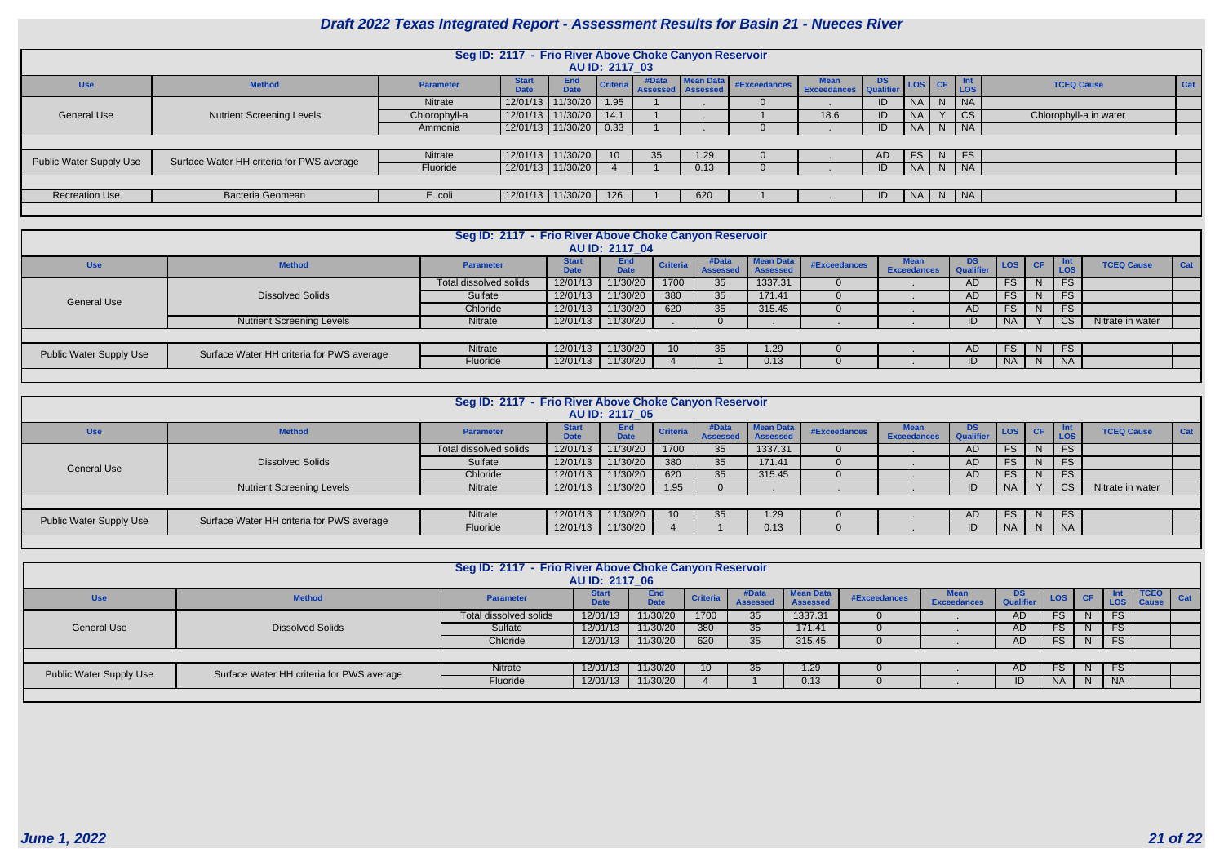| <b>CF</b>    | Int<br><b>LOS</b>      | <b>TCEQ Cause</b>      | Cat |
|--------------|------------------------|------------------------|-----|
| N            | <b>NA</b>              |                        |     |
|              | $\overline{\text{CS}}$ | Chlorophyll-a in water |     |
| N            | <b>NA</b>              |                        |     |
|              |                        |                        |     |
| N            | FS                     |                        |     |
| N            | <b>NA</b>              |                        |     |
|              |                        |                        |     |
| $\mathsf{N}$ | <b>NA</b>              |                        |     |
|              |                        |                        |     |

|                                                           | Seg ID: 2117 - Frio River Above Choke Canyon Reservoir |                  |                             |                           |                |       |                                                |                                               |      |    |                        |   |            |                        |  |
|-----------------------------------------------------------|--------------------------------------------------------|------------------|-----------------------------|---------------------------|----------------|-------|------------------------------------------------|-----------------------------------------------|------|----|------------------------|---|------------|------------------------|--|
|                                                           |                                                        |                  |                             |                           |                |       |                                                |                                               |      |    |                        |   |            |                        |  |
|                                                           |                                                        |                  |                             |                           | AU ID: 2117 03 |       |                                                |                                               |      |    |                        |   |            |                        |  |
| <b>Use</b>                                                | <b>Method</b>                                          | <b>Parameter</b> | <b>Start</b><br><b>Date</b> | <b>End</b><br><b>Date</b> |                | #Data | <b>Mean Data</b><br>Criteria Assessed Assessed | #Exceedances Mean DS<br>Exceedances Qualifier |      |    | $\vert$ LOS $\vert$ CF |   | Int<br>LOS | <b>TCEQ Cause</b>      |  |
|                                                           |                                                        | <b>Nitrate</b>   | 12/01/13                    | 11/30/20                  | 1.95           |       |                                                |                                               |      | ID | <b>NA</b>              | N | $N_A$      |                        |  |
| <b>General Use</b>                                        | <b>Nutrient Screening Levels</b>                       | Chlorophyll-a    | 12/01/13                    | 11/30/20                  | 14.1           |       |                                                |                                               | 18.6 | ID | <b>NA</b>              |   | <b>CS</b>  | Chlorophyll-a in water |  |
| 12/01/13 11/30/20 0.33<br>$N$ NA<br>ID<br>NA  <br>Ammonia |                                                        |                  |                             |                           |                |       |                                                |                                               |      |    |                        |   |            |                        |  |
|                                                           |                                                        |                  |                             |                           |                |       |                                                |                                               |      |    |                        |   |            |                        |  |
| Public Water Supply Use                                   | Surface Water HH criteria for PWS average              | Nitrate          |                             | 12/01/13 11/30/20         | $10^{\circ}$   | 35    | 1.29                                           |                                               |      | AD | FS.                    | N | <b>FS</b>  |                        |  |
|                                                           |                                                        | Fluoride         |                             | 12/01/13   11/30/20       |                |       | 0.13                                           |                                               |      | ID | <b>NA</b>              |   | N   NA     |                        |  |
|                                                           |                                                        |                  |                             |                           |                |       |                                                |                                               |      |    |                        |   |            |                        |  |
| <b>Recreation Use</b>                                     | Bacteria Geomean                                       | E. coli          |                             | 12/01/13   11/30/20       | 126            |       | 620                                            |                                               |      | ID | NA   N   NA            |   |            |                        |  |
|                                                           |                                                        |                  |                             |                           |                |       |                                                |                                               |      |    |                        |   |            |                        |  |

| Seg ID: 2117 - Frio River Above Choke Canyon Reservoir<br><b>AU ID: 2117 04</b> |                                           |                        |                             |                           |                 |                          |                                     |              |                                   |                               |            |           |            |                   |     |
|---------------------------------------------------------------------------------|-------------------------------------------|------------------------|-----------------------------|---------------------------|-----------------|--------------------------|-------------------------------------|--------------|-----------------------------------|-------------------------------|------------|-----------|------------|-------------------|-----|
| <b>Use</b>                                                                      | <b>Method</b>                             | <b>Parameter</b>       | <b>Start</b><br><b>Date</b> | <b>End</b><br><b>Date</b> | <b>Criteria</b> | #Data<br><b>Assessed</b> | <b>Mean Data</b><br><b>Assessed</b> | #Exceedances | <b>Mean</b><br><b>Exceedances</b> | <b>DS</b><br><b>Qualifier</b> | <b>LOS</b> | <b>CF</b> | Int<br>LOS | <b>TCEQ Cause</b> | Cat |
|                                                                                 |                                           | Total dissolved solids | 12/01/13                    | 11/30/20                  | 1700            | 35                       | 1337.31                             |              |                                   | AD                            | <b>FS</b>  | N.        | <b>FS</b>  |                   |     |
| <b>General Use</b>                                                              | <b>Dissolved Solids</b>                   | Sulfate                | 12/01/13                    | 11/30/20                  | 380             | 35                       | 171.41                              |              |                                   | AD                            | <b>FS</b>  | N.        | <b>FS</b>  |                   |     |
|                                                                                 |                                           | Chloride               | 12/01/13                    | 11/30/20                  | 620             | 35                       | 315.45                              |              |                                   | AD                            | <b>FS</b>  | N.        | <b>FS</b>  |                   |     |
|                                                                                 | <b>Nutrient Screening Levels</b>          | Nitrate                | 12/01/13                    | 11/30/20                  |                 |                          |                                     |              |                                   | ID                            | <b>NA</b>  |           | <b>CS</b>  | Nitrate in water  |     |
|                                                                                 |                                           |                        |                             |                           |                 |                          |                                     |              |                                   |                               |            |           |            |                   |     |
| <b>Public Water Supply Use</b>                                                  | Surface Water HH criteria for PWS average | Nitrate                | 12/01/13                    | 11/30/20                  |                 | 35                       | 1.29 <sub>1</sub>                   |              |                                   | AD                            | FS.        | N.        | <b>FS</b>  |                   |     |
|                                                                                 |                                           | Fluoride               | 12/01/13                    | 11/30/20                  |                 |                          | 0.13                                |              |                                   | ID                            | <b>NA</b>  | N.        | <b>NA</b>  |                   |     |
|                                                                                 |                                           |                        |                             |                           |                 |                          |                                     |              |                                   |                               |            |           |            |                   |     |

| Seg ID: 2117 - Frio River Above Choke Canyon Reservoir |                                           |                        |                             |                    |                 |                          |                                     |              |                            |                               |           |           |            |                   |     |
|--------------------------------------------------------|-------------------------------------------|------------------------|-----------------------------|--------------------|-----------------|--------------------------|-------------------------------------|--------------|----------------------------|-------------------------------|-----------|-----------|------------|-------------------|-----|
| <b>AU ID: 2117 05</b>                                  |                                           |                        |                             |                    |                 |                          |                                     |              |                            |                               |           |           |            |                   |     |
| <b>Use</b>                                             | <b>Method</b>                             | <b>Parameter</b>       | <b>Start</b><br><b>Date</b> | End<br><b>Date</b> | <b>Criteria</b> | #Data<br><b>Assessed</b> | <b>Mean Data</b><br><b>Assessed</b> | #Exceedances | Mean<br><b>Exceedances</b> | <b>DS</b><br><b>Qualifier</b> | LOS       | <b>CF</b> | Int<br>LOS | <b>TCEQ Cause</b> | Cat |
| <b>General Use</b>                                     | <b>Dissolved Solids</b>                   | Total dissolved solids | 12/01/13                    | 11/30/20           | 1700            | 35                       | 1337.31                             |              |                            | <b>AD</b>                     | <b>FS</b> | N.        | <b>FS</b>  |                   |     |
|                                                        |                                           | Sulfate                | 12/01/13                    | 11/30/20           | 380             | 35                       | 171.41                              |              |                            | AD                            | <b>FS</b> | N         | <b>FS</b>  |                   |     |
|                                                        |                                           | Chloride               | 12/01/13                    | 11/30/20           | 620             | 35                       | 315.45                              |              |                            | AD                            | <b>FS</b> | N.        | <b>FS</b>  |                   |     |
|                                                        | <b>Nutrient Screening Levels</b>          | Nitrate                | 12/01/13                    | 11/30/20           | 1.95            |                          |                                     |              |                            | ID                            | <b>NA</b> |           | <b>CS</b>  | Nitrate in water  |     |
|                                                        |                                           |                        |                             |                    |                 |                          |                                     |              |                            |                               |           |           |            |                   |     |
| Public Water Supply Use                                | Surface Water HH criteria for PWS average | Nitrate                | 12/01/13                    | 11/30/20           | 10              | 35                       | 1.29 <sub>1</sub>                   |              |                            | AD                            | <b>FS</b> | N.        | <b>FS</b>  |                   |     |
|                                                        |                                           | Fluoride               | 12/01/13                    | 11/30/20           |                 |                          | 0.13                                |              |                            | ID                            | <b>NA</b> | N.        | <b>NA</b>  |                   |     |

|                                | Seg ID: 2117 - Frio River Above Choke Canyon Reservoir<br>AU ID: 2117 06 |                        |                             |                    |                 |                          |                                     |              |                    |                         |           |              |                    |                             |     |
|--------------------------------|--------------------------------------------------------------------------|------------------------|-----------------------------|--------------------|-----------------|--------------------------|-------------------------------------|--------------|--------------------|-------------------------|-----------|--------------|--------------------|-----------------------------|-----|
| <b>Use</b>                     | <b>Method</b>                                                            | <b>Parameter</b>       | <b>Start</b><br><b>Date</b> | End<br><b>Date</b> | <b>Criteria</b> | #Data<br><b>Assessed</b> | <b>Mean Data</b><br><b>Assessed</b> | #Exceedances | <b>Exceedances</b> | DS.<br><b>Qualifier</b> | LOS CF    |              | -Int<br><b>LOS</b> | <b>TCEQ</b><br><b>Cause</b> | Cat |
|                                |                                                                          | Total dissolved solids | 12/01/13                    | 11/30/20           | 1700            | 35                       | 1337.31                             |              |                    | AD                      | FS        | <sup>N</sup> | FS                 |                             |     |
| <b>General Use</b>             | <b>Dissolved Solids</b>                                                  | Sulfate                | 12/01/13                    | 11/30/20           | 380             | 35                       | 171.41                              |              |                    | AD                      | FS.       | <sub>N</sub> | <b>FS</b>          |                             |     |
|                                |                                                                          | Chloride               | 12/01/13                    | 11/30/20           | 620             | 35                       | 315.45                              |              |                    | AD                      | FS.       | N.           | <b>FS</b>          |                             |     |
|                                |                                                                          |                        |                             |                    |                 |                          |                                     |              |                    |                         |           |              |                    |                             |     |
| <b>Public Water Supply Use</b> | Surface Water HH criteria for PWS average                                | Nitrate                | 12/01/13                    | 11/30/20           | 10              | 35                       | 1.29                                |              |                    | AD                      | FS.       | N.           | <b>FS</b>          |                             |     |
|                                |                                                                          | Fluoride               | 12/01/13                    | 11/30/20           |                 |                          | 0.13                                |              |                    | ID                      | <b>NA</b> | N.           | <b>NA</b>          |                             |     |
|                                |                                                                          |                        |                             |                    |                 |                          |                                     |              |                    |                         |           |              |                    |                             |     |